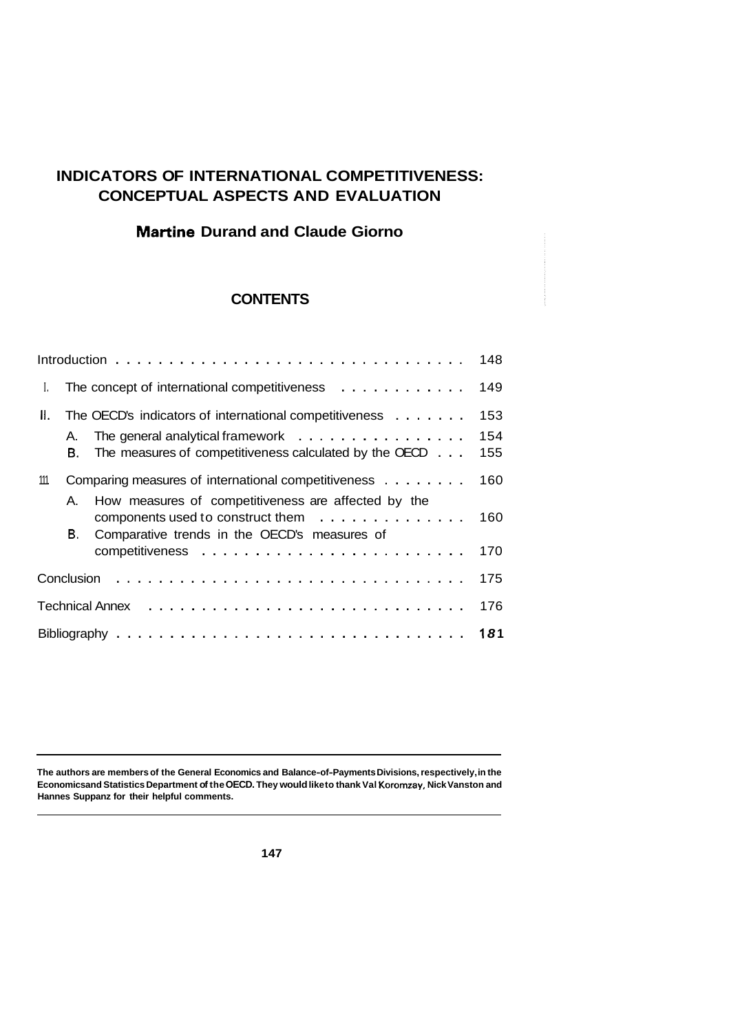# **INDICATORS OF INTERNATIONAL COMPETITIVENESS: CONCEPTUAL ASPECTS AND EVALUATION**

## **Martine Durand and Claude Giorno**

## **CONTENTS**

|      |          |                                                                                                                                                      | 148               |
|------|----------|------------------------------------------------------------------------------------------------------------------------------------------------------|-------------------|
| L    |          | The concept of international competitiveness $\ldots \ldots \ldots \ldots$                                                                           | 149               |
| Ⅱ.   | А.<br>В. | The OECD's indicators of international competitiveness<br>The general analytical framework<br>The measures of competitiveness calculated by the OECD | 153<br>154<br>155 |
| 111. |          | Comparing measures of international competitiveness                                                                                                  | 160               |
|      | Α.<br>В. | How measures of competitiveness are affected by the<br>components used to construct them<br>Comparative trends in the OECD's measures of             | 160               |
|      |          |                                                                                                                                                      | 170               |
|      |          |                                                                                                                                                      | 175               |
|      |          |                                                                                                                                                      | 176               |
|      |          |                                                                                                                                                      |                   |

**The authors are members of the General Economics and Balance-of-Payments Divisions, respectively, in the Economics and Statistics Department of the OECD. They would like to thank Val Koromzay, Nick Vanston and Hannes Suppanz for their helpful comments.**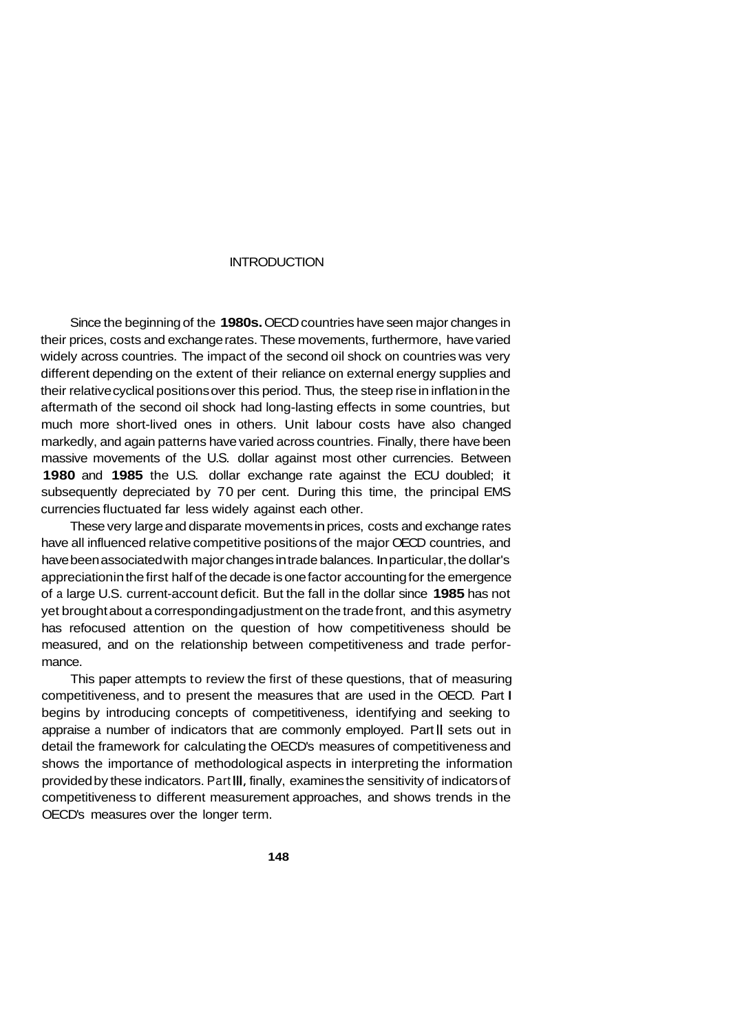#### **INTRODUCTION**

Since the beginning of the **1980s.** OECD countries have seen major changes in their prices, costs and exchange rates. These movements, furthermore, have varied widely across countries. The impact of the second oil shock on countries was very different depending on the extent of their reliance on external energy supplies and their relative cyclical positions over this period. Thus, the steep rise in inflation in the aftermath of the second oil shock had long-lasting effects in some countries, but much more short-lived ones in others. Unit labour costs have also changed markedly, and again patterns have varied across countries. Finally, there have been massive movements of the U.S. dollar against most other currencies. Between **1980** and **1985** the U.S. dollar exchange rate against the ECU doubled; it subsequently depreciated by 70 per cent. During this time, the principal EMS currencies fluctuated far less widely against each other.

These very large and disparate movements in prices, costs and exchange rates have all influenced relative competitive positions of the major OECD countries, and have been associated with major changes in trade balances. In particular, the dollar's appreciation in the first half of the decade is one factor accounting for the emergence of a large U.S. current-account deficit. But the fall in the dollar since **1985** has not yet brought about a corresponding adjustment on the trade front, and this asymetry has refocused attention on the question of how competitiveness should be measured, and on the relationship between competitiveness and trade performance.

This paper attempts to review the first of these questions, that of measuring competitiveness, and to present the measures that are used in the OECD. Part I begins by introducing concepts of competitiveness, identifying and seeking to appraise a number of indicators that are commonly employed. Part **II** sets out in detail the framework for calculating the OECD's measures of competitiveness and shows the importance of methodological aspects in interpreting the information provided by these indicators. Part **111,** finally, examines the sensitivity of indicators of competitiveness to different measurement approaches, and shows trends in the OECD's measures over the longer term.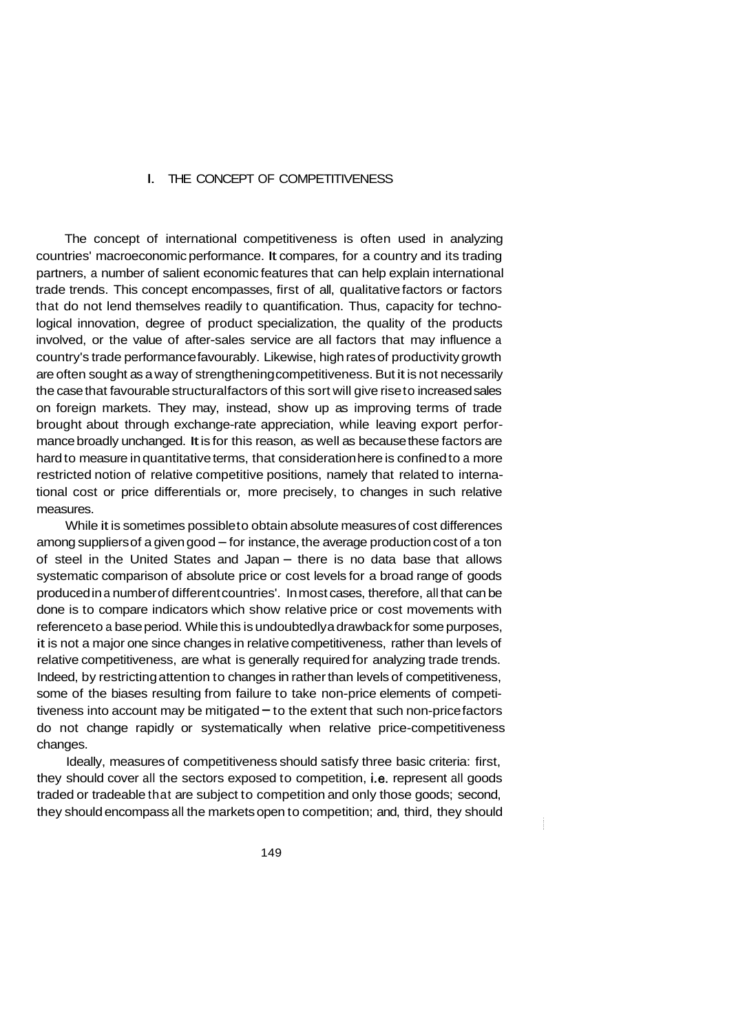#### I. THE CONCEPT OF COMPETITIVENESS

The concept of international competitiveness is often used in analyzing countries' macroeconomic performance. It compares, for a country and its trading partners, a number of salient economic features that can help explain international trade trends. This concept encompasses, first of all, qualitative factors or factors that do not lend themselves readily to quantification. Thus, capacity for technological innovation, degree of product specialization, the quality of the products involved, or the value of after-sales service are all factors that may influence a country's trade performance favourably. Likewise, high rates of productivity growth are often sought as a way of strengthening competitiveness. But it is not necessarily the case that favourable structural factors of this sort will give rise to increased sales on foreign markets. They may, instead, show up as improving terms of trade brought about through exchange-rate appreciation, while leaving export performance broadly unchanged. It is for this reason, as well as because these factors are hard to measure in quantitative terms, that consideration here is confined to a more restricted notion of relative competitive positions, namely that related to international cost or price differentials or, more precisely, to changes in such relative measures.

While it is sometimes possible to obtain absolute measures of cost differences among suppliers of a given good  $-$  for instance, the average production cost of a ton of steel in the United States and Japan – there is no data base that allows systematic comparison of absolute price or cost levels for a broad range of goods produced in a number of different countries'. In most cases, therefore, all that can be done is to compare indicators which show relative price or cost movements with reference to a base period. While this is undoubtedly a drawback for some purposes, it is not a major one since changes in relative competitiveness, rather than levels of relative competitiveness, are what is generally required for analyzing trade trends. Indeed, by restricting attention to changes in rather than levels of competitiveness, some of the biases resulting from failure to take non-price elements of competitiveness into account may be mitigated  $-$  to the extent that such non-price factors do not change rapidly or systematically when relative price-competitiveness changes.

Ideally, measures of competitiveness should satisfy three basic criteria: first, they should cover all the sectors exposed to competition, i.e. represent all goods traded or tradeable that are subject to competition and only those goods; second, they should encompass all the markets open to competition; and, third, they should

 $\frac{1}{2}$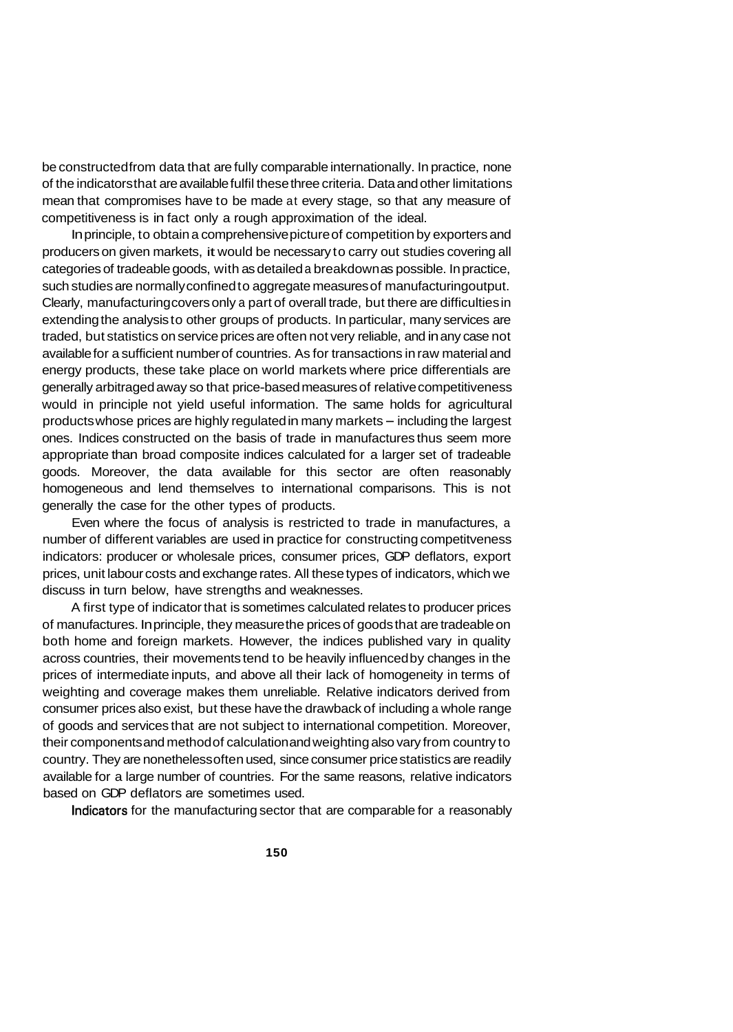be constructed from data that are fully comparable internationally. In practice, none of the indicators that are available fulfil these three criteria. Data and other limitations mean that compromises have to be made at every stage, so that any measure of competitiveness is in fact only a rough approximation of the ideal.

In principle, to obtain a comprehensive picture of competition by exporters and producers on given markets, it would be necessary to carry out studies covering all categories of tradeable goods, with as detailed a breakdown as possible. In practice, such studies are normally confined to aggregate measures of manufacturing output. Clearly, manufacturing covers only a part of overall trade, but there are difficulties in extending the analysis to other groups of products. In particular, many services are traded, but statistics on service prices are often not very reliable, and in any case not available for a sufficient number of countries. As for transactions in raw material and energy products, these take place on world markets where price differentials are generally arbitraged away so that price-based measures of relative competitiveness would in principle not yield useful information. The same holds for agricultural products whose prices are highly regulated in many markets - including the largest ones. Indices constructed on the basis of trade in manufactures thus seem more appropriate than broad composite indices calculated for a larger set of tradeable goods. Moreover, the data available for this sector are often reasonably homogeneous and lend themselves to international comparisons. This is not generally the case for the other types of products.

Even where the focus of analysis is restricted to trade in manufactures, a number of different variables are used in practice for constructing competitveness indicators: producer or wholesale prices, consumer prices, GDP deflators, export prices, unit labour costs and exchange rates. All these types of indicators, which we discuss in turn below, have strengths and weaknesses.

A first type of indicator that is sometimes calculated relates to producer prices of manufactures. In principle, they measure the prices of goods that are tradeable on both home and foreign markets. However, the indices published vary in quality across countries, their movements tend to be heavily influenced by changes in the prices of intermediate inputs, and above all their lack of homogeneity in terms of weighting and coverage makes them unreliable. Relative indicators derived from consumer prices also exist, but these have the drawback of including a whole range of goods and services that are not subject to international competition. Moreover, their components and method of calculation and weighting also vary from country to country. They are nonetheless often used, since consumer price statistics are readily available for a large number of countries. For the same reasons, relative indicators based on GDP deflators are sometimes used.

Indicators for the manufacturing sector that are comparable for a reasonably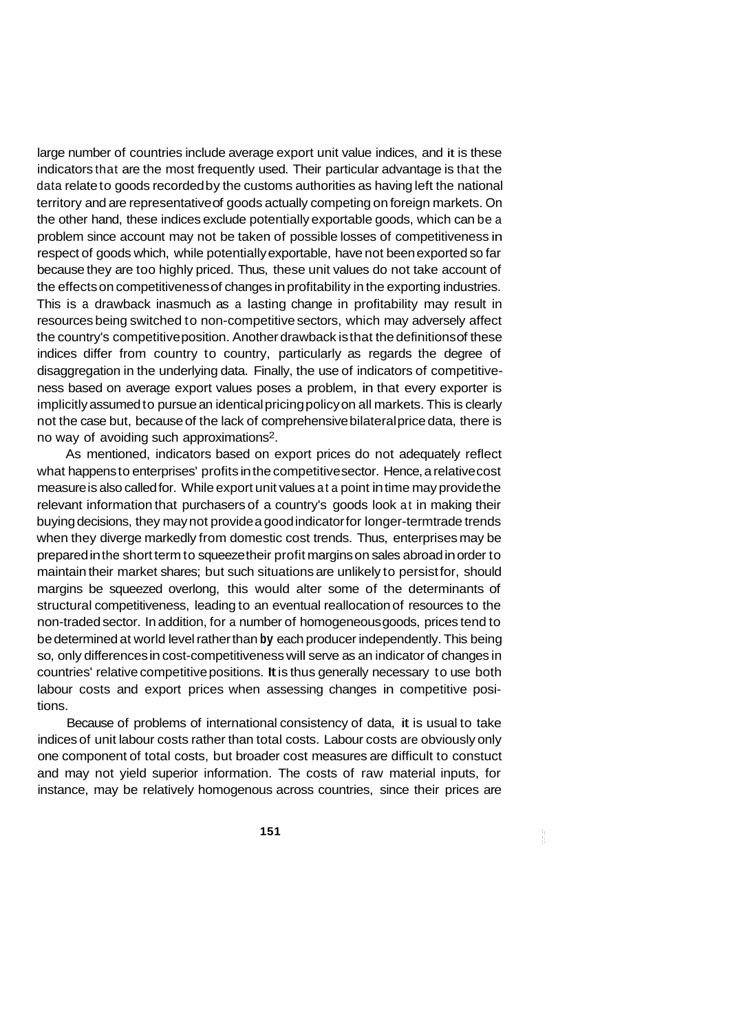large number of countries include average export unit value indices, and it is these indicators that are the most frequently used. Their particular advantage is that the data relate to goods recorded by the customs authorities as having left the national territory and are representative of goods actually competing on foreign markets. On the other hand, these indices exclude potentially exportable goods, which can be a problem since account may not be taken of possible losses of competitiveness in respect of goods which, while potentially exportable, have not been exported so far because they are too highly priced. Thus, these unit values do not take account of the effects on competitiveness of changes in profitability in the exporting industries. This is a drawback inasmuch as a lasting change in profitability may result in resources being switched to non-competitive sectors, which may adversely affect the country's competitive position. Another drawback is that the definitions of these indices differ from country to country, particularly as regards the degree of disaggregation in the underlying data. Finally, the use of indicators of competitiveness based on average export values poses a problem, in that every exporter is implicitly assumed to pursue an identical pricing policy on all markets. This is clearly not the case but, because of the lack of comprehensive bilateral price data, there is no way of avoiding such approximations2.

As mentioned, indicators based on export prices do not adequately reflect what happens to enterprises' profits in the competitive sector. Hence, a relative cost measure is also called for. While export unit values at a point in time may provide the relevant information that purchasers of a country's goods look at in making their buying decisions, they may not provide a good indicator for longer-termtrade trends when they diverge markedly from domestic cost trends. Thus, enterprises may be prepared in the short term to squeeze their profit margins on sales abroad in order to maintain their market shares; but such situations are unlikely to persist for, should margins be squeezed overlong, this would alter some of the determinants of structural competitiveness, leading to an eventual reallocation of resources to the non-traded sector. In addition, for a number of homogeneous goods, prices tend to be determined at world level rather than **by** each producer independently. This being so, only differences in cost-competitiveness will serve as an indicator of changes in countries' relative competitive positions. It is thus generally necessary to use both labour costs and export prices when assessing changes in competitive positions.

Because of problems of international consistency of data, it is usual to take indices of unit labour costs rather than total costs. Labour costs are obviously only one component of total costs, but broader cost measures are difficult to constuct and may not yield superior information. The costs of raw material inputs, for instance, may be relatively homogenous across countries, since their prices are

à.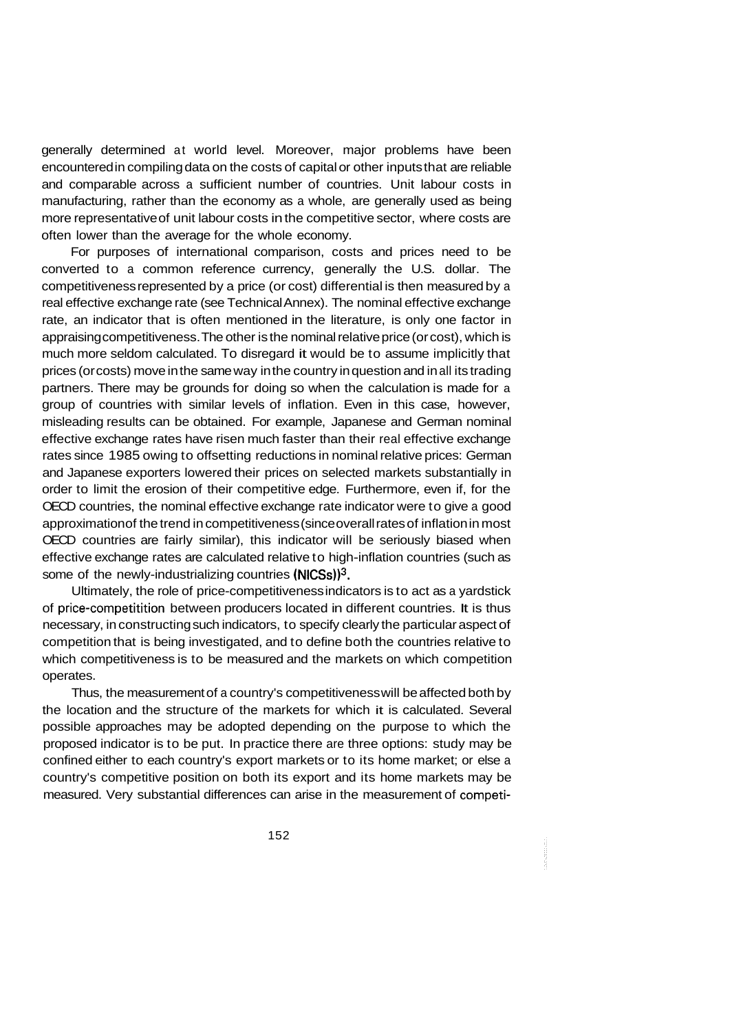generally determined at world level. Moreover, major problems have been encountered in compiling data on the costs of capital or other inputs that are reliable and comparable across a sufficient number of countries. Unit labour costs in manufacturing, rather than the economy as a whole, are generally used as being more representative of unit labour costs in the competitive sector, where costs are often lower than the average for the whole economy.

For purposes of international comparison, costs and prices need to be converted to a common reference currency, generally the U.S. dollar. The competitiveness represented by a price (or cost) differential is then measured by a real effective exchange rate (see Technical Annex). The nominal effective exchange rate, an indicator that is often mentioned in the literature, is only one factor in appraising competitiveness. The other is the nominal relative price (or cost), which is much more seldom calculated. To disregard it would be to assume implicitly that prices (or costs) move in the same way in the country in question and in all its trading partners. There may be grounds for doing so when the calculation is made for a group of countries with similar levels of inflation. Even in this case, however, misleading results can be obtained. For example, Japanese and German nominal effective exchange rates have risen much faster than their real effective exchange rates since 1985 owing to offsetting reductions in nominal relative prices: German and Japanese exporters lowered their prices on selected markets substantially in order to limit the erosion of their competitive edge. Furthermore, even if, for the OECD countries, the nominal effective exchange rate indicator were to give a good approximation of the trend in competitiveness (since overall rates of inflation in most OECD countries are fairly similar), this indicator will be seriously biased when effective exchange rates are calculated relative to high-inflation countries (such as some of the newly-industrializing countries  $(NICSS)^3$ .

Ultimately, the role of price-competitiveness indicators is to act as a yardstick of price-competitition between producers located in different countries. It is thus necessary, in constructing such indicators, to specify clearly the particular aspect of competition that is being investigated, and to define both the countries relative to which competitiveness is to be measured and the markets on which competition operates.

Thus, the measurement of a country's competitiveness will be affected both by the location and the structure of the markets for which it is calculated. Several possible approaches may be adopted depending on the purpose to which the proposed indicator is to be put. In practice there are three options: study may be confined either to each country's export markets or to its home market; or else a country's competitive position on both its export and its home markets may be measured. Very substantial differences can arise in the measurement of competi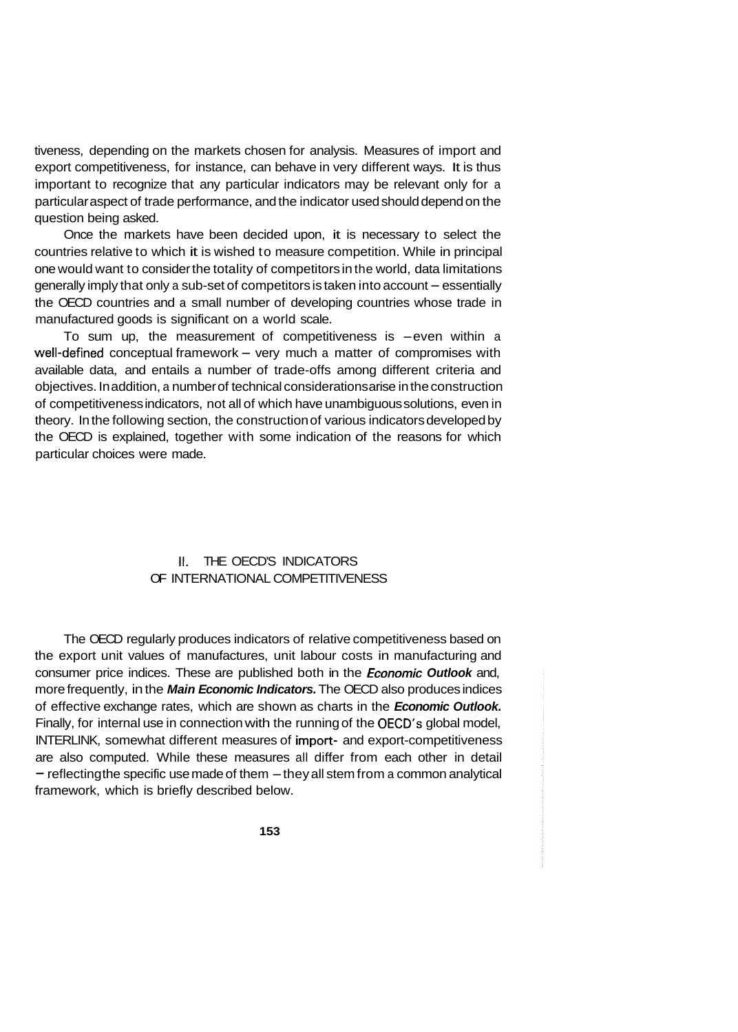tiveness, depending on the markets chosen for analysis. Measures of import and export competitiveness, for instance, can behave in very different ways. It is thus important to recognize that any particular indicators may be relevant only for a particular aspect of trade performance, and the indicator used should depend on the question being asked.

Once the markets have been decided upon, it is necessary to select the countries relative to which it is wished to measure competition. While in principal one would want to consider the totality of competitors in the world, data limitations generally imply that only a sub-set of competitors is taken into account - essentially the OECD countries and a small number of developing countries whose trade in manufactured goods is significant on a world scale.

To sum up, the measurement of competitiveness is  $-even$  within a well-defined conceptual framework - very much a matter of compromises with available data, and entails a number of trade-offs among different criteria and objectives. In addition, a number of technical considerations arise in the construction of competitiveness indicators, not all of which have unambiguous solutions, even in theory. In the following section, the construction of various indicators developed by the OECD is explained, together with some indication of the reasons for which particular choices were made.

## **II.** THE OECD'S INDICATORS OF INTERNATIONAL COMPETITIVENESS

The OECD regularly produces indicators of relative competitiveness based on the export unit values of manufactures, unit labour costs in manufacturing and consumer price indices. These are published both in the *€conomic Outlook* and, more frequently, in the *Main Economic Indicators.* The OECD also produces indices of effective exchange rates, which are shown as charts in the *Economic Outlook.*  Finally, for internal use in connection with the running of the OECD's global model, INTERLINK, somewhat different measures of import- and export-competitiveness are also computed. While these measures all differ from each other in detail  $-$  reflecting the specific use made of them  $-$  they all stem from a common analytical framework, which is briefly described below.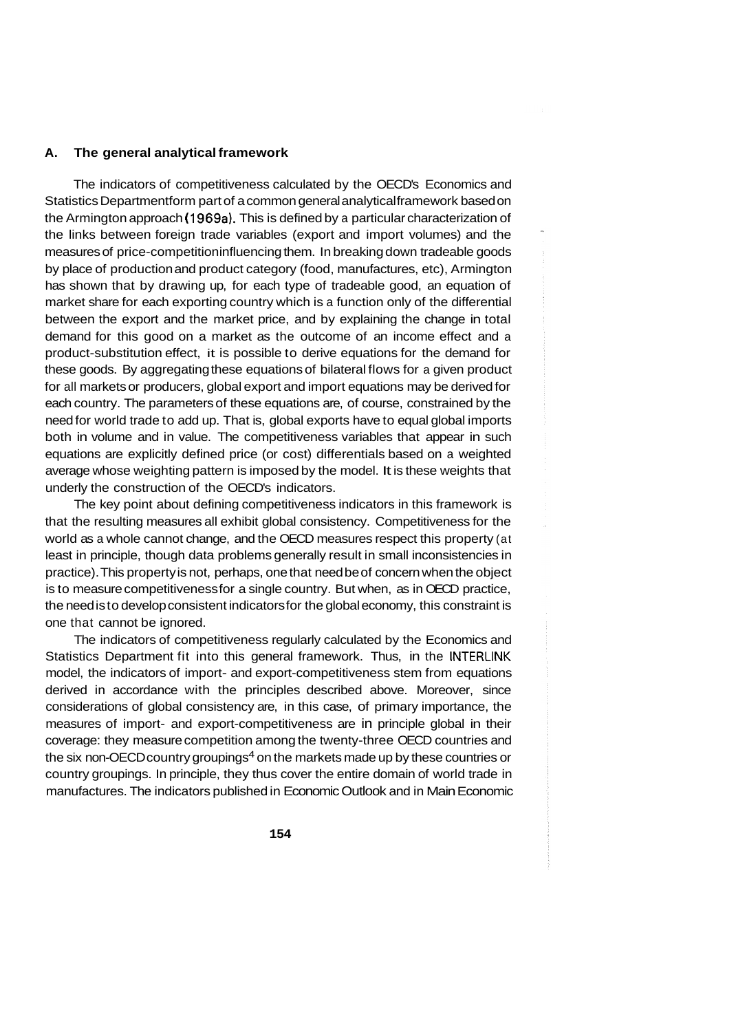#### **A. The general analytical framework**

The indicators of competitiveness calculated by the OECD's Economics and Statistics Department form part of a common general analytical framework based on the Armington approach ( 1969a). This is defined by a particular characterization of the links between foreign trade variables (export and import volumes) and the measures of price-competition influencing them. In breaking down tradeable goods by place of production and product category (food, manufactures, etc), Armington has shown that by drawing up, for each type of tradeable good, an equation of market share for each exporting country which is a function only of the differential between the export and the market price, and by explaining the change in total demand for this good on a market as the outcome of an income effect and a product-substitution effect, it is possible to derive equations for the demand for these goods. By aggregating these equations of bilateral flows for a given product for all markets or producers, global export and import equations may be derived for each country. The parameters of these equations are, of course, constrained by the need for world trade to add up. That is, global exports have to equal global imports both in volume and in value. The competitiveness variables that appear in such equations are explicitly defined price (or cost) differentials based on a weighted average whose weighting pattern is imposed by the model. It is these weights that underly the construction of the OECD's indicators.

The key point about defining competitiveness indicators in this framework is that the resulting measures all exhibit global consistency. Competitiveness for the world as a whole cannot change, and the OECD measures respect this property (at least in principle, though data problems generally result in small inconsistencies in practice). This property is not, perhaps, one that need be of concern when the object is to measure competitiveness for a single country. But when, as in OECD practice, the need is to develop consistent indicators for the global economy, this constraint is one that cannot be ignored.

The indicators of competitiveness regularly calculated by the Economics and Statistics Department fit into this general framework. Thus, in the **INTERLINK**  model, the indicators of import- and export-competitiveness stem from equations derived in accordance with the principles described above. Moreover, since considerations of global consistency are, in this case, of primary importance, the measures of import- and export-competitiveness are in principle global in their coverage: they measure competition among the twenty-three OECD countries and the six non-OECD country groupings<sup>4</sup> on the markets made up by these countries or country groupings. In principle, they thus cover the entire domain of world trade in manufactures. The indicators published in Economic Outlook and in Main Economic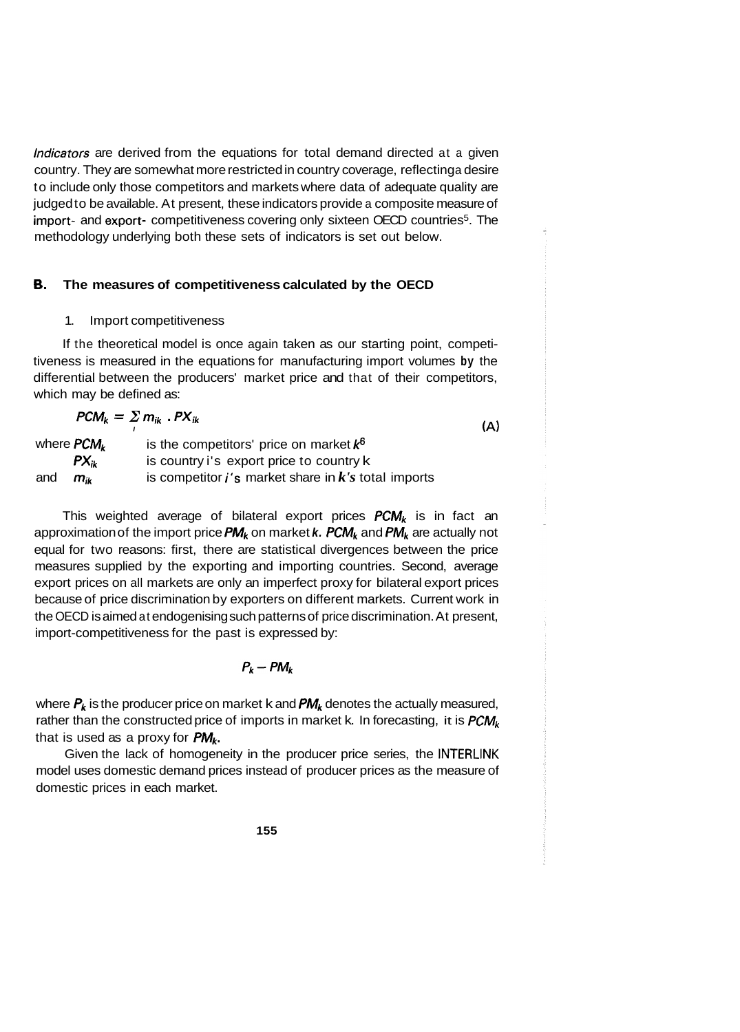Indicators are derived from the equations for total demand directed at a given country. They are somewhat more restricted in country coverage, reflecting a desire to include only those competitors and markets where data of adequate quality are judged to be available. At present, these indicators provide a composite measure of import- and export- competitiveness covering only sixteen OECD countries<sup>5</sup>. The methodology underlying both these sets of indicators is set out below.

#### **B. The measures of competitiveness calculated by the OECD**

#### 1. Import competitiveness

If the theoretical model is once again taken as our starting point, competitiveness is measured in the equations for manufacturing import volumes **by** the differential between the producers' market price and that of their competitors, which may be defined as:

$$
PCM_k = \sum_i m_{ik} \cdot PX_{ik}
$$
 (A)

where **PCM<sub>k</sub>** and *mik*  is the competitors' price on market  $k^6$ is country i's export price to country k is competitor i's market share in *k's* total imports  $PX_{ik}$ 

This weighted average of bilateral export prices  $PCM_k$  is in fact an approximation of the import price *PMk* on market *k. PCMk* and *PMk* are actually not equal for two reasons: first, there are statistical divergences between the price measures supplied by the exporting and importing countries. Second, average export prices on all markets are only an imperfect proxy for bilateral export prices because of price discrimination by exporters on different markets. Current work in the OECD is aimed at endogenising such patterns of price discrimination. At present, import-competitiveness for the past is expressed by:

## $P_k - PM_k$

where *Pk* is the producer price on market k and *PMk* denotes the actually measured, rather than the constructed price of imports in market k. In forecasting, it is *PCMk*  that is used as a proxy for *PMk.* 

Given the lack of homogeneity in the producer price series, the **INTERLINK**  model uses domestic demand prices instead of producer prices as the measure of domestic prices in each market.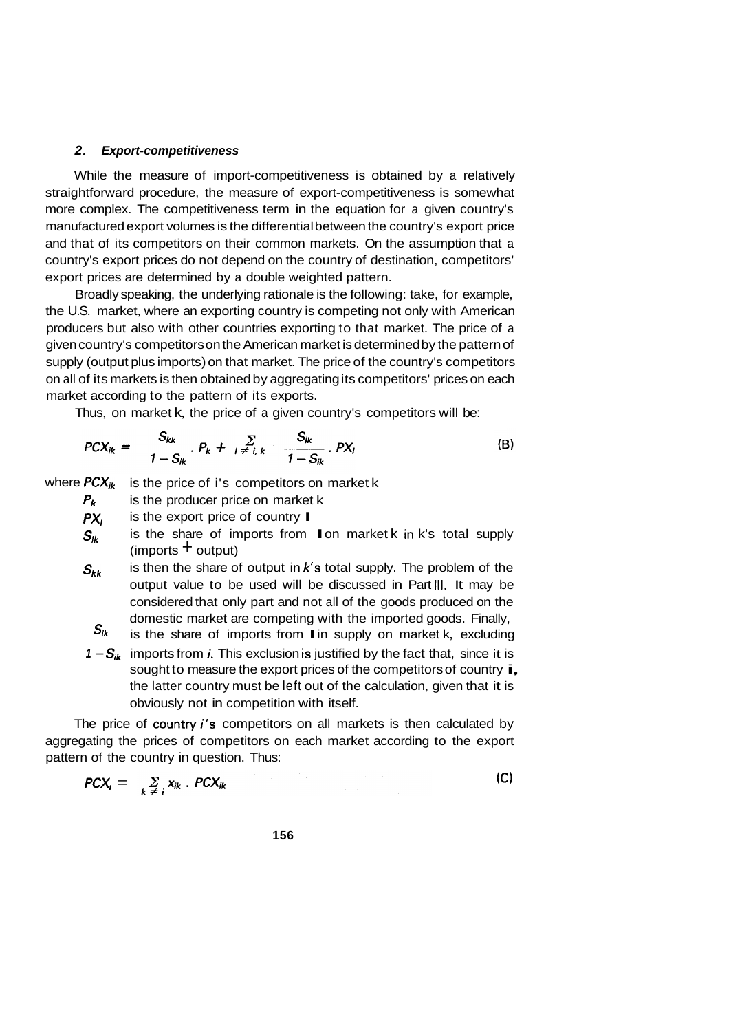#### *2. Export-competitiveness*

While the measure of import-competitiveness is obtained by a relatively straightforward procedure, the measure of export-competitiveness is somewhat more complex. The competitiveness term in the equation for a given country's manufactured export volumes is the differential between the country's export price and that of its competitors on their common markets. On the assumption that a country's export prices do not depend on the country of destination, competitors' export prices are determined by a double weighted pattern.

Broadly speaking, the underlying rationale is the following: take, for example, the U.S. market, where an exporting country is competing not only with American producers but also with other countries exporting to that market. The price of a given country's competitors on the American market is determined by the pattern of supply (output plus imports) on that market. The price of the country's competitors on all of its markets is then obtained by aggregating its competitors' prices on each market according to the pattern of its exports.

Thus, on market k, the price of a given country's competitors will be:

$$
PCX_{ik} = \frac{S_{kk}}{1 - S_{ik}} \cdot P_k + \sum_{l \neq i, k} \frac{S_{lk}}{1 - S_{ik}} \cdot PX_l
$$
 (B)

where  $PCX_{ik}$  is the price of i's competitors on market k

is the producer price on market k is the export price of country I  $P_k$ 

*PX,* 

- is the export price of country  $\blacksquare$ <br>is the share of imports from  $\blacksquare$  on market k in k's total supply (imports  $+$  output)  $S_{lk}$
- is then the share of output in *k's* total supply. The problem of the output value to be used will be discussed in Part **111.** It may be considered that only part and not all of the goods produced on the domestic market are competing with the imported goods. Finally, *sk,*

 $S_{ik}$  is the share of imports from I in supply on market k, excluding

 $1 - S_{ik}$  imports from *i*. This exclusion is justified by the fact that, since it is sought to measure the export prices of the competitors of country  $\mathbf{i}$ , the latter country must be left out of the calculation, given that it is obviously not in competition with itself.

The price of country *i's* competitors on all markets is then calculated by aggregating the prices of competitors on each market according to the export pattern of the country in question. Thus:

$$
PCX_i = \sum_{k \neq i} X_{ik} \cdot PCX_{ik}
$$
 (C)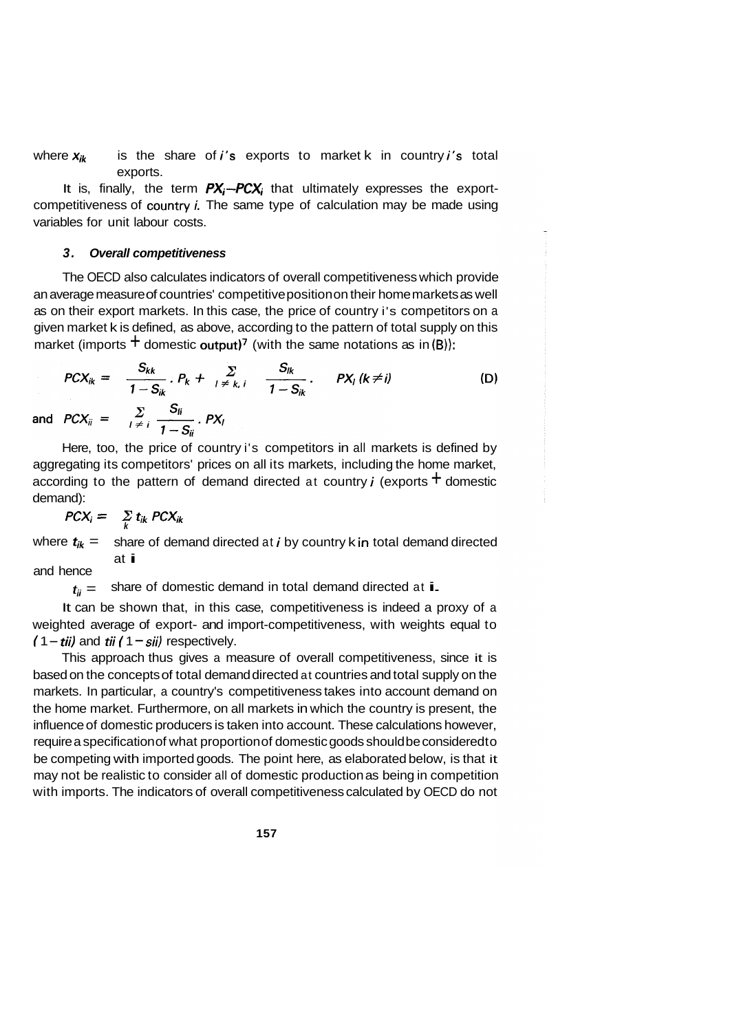where  $x_k$  is the share of *i's* exports to market k in country *i's* total exports.

It is, finally, the term  $PX_i$ - $PCX_i$  that ultimately expresses the exportcompetitiveness of country  $i$ . The same type of calculation may be made using variables for unit labour costs.

#### *3. Overall competitiveness*

The OECD also calculates indicators of overall competitiveness which provide an average measure of countries' competitive position on their home markets as well as on their export markets. In this case, the price of country i's competitors on a given market k is defined, as above, according to the pattern of total supply on this market (imports  $\pm$  domestic output)<sup>7</sup> (with the same notations as in (B)):

$$
PCX_{ik} = \frac{S_{kk}}{1 - S_{ik}} \cdot P_k + \sum_{1 \neq k, i} \frac{S_{ik}}{1 - S_{ik}} \cdot PX_i \ (k \neq i)
$$
\nand

\n
$$
PCX_{ii} = \sum_{1 \neq i} \frac{S_{ii}}{1 - S_{ii}} \cdot PX_i
$$
\n(D)

Here, too, the price of country i's competitors in all markets is defined by aggregating its competitors' prices on all its markets, including the home market, according to the pattern of demand directed at country *i* (exports  $\pm$  domestic demand):

$$
PCX_i = \sum_{k} t_{ik} PCX_{ik}
$$

where  $t_{ik}$  = share of demand directed at *i* by country k in total demand directed at **i** and hence at i<br>share of domestic demand in total demand directed at i.

 $t_{ii} =$ 

It can be shown that, in this case, competitiveness is indeed a proxy of a weighted average of export- and import-competitiveness, with weights equal to  $(1 - \pi i i)$  and  $\pi i$  ( $1 - \pi i i$ ) respectively.

This approach thus gives a measure of overall competitiveness, since it is based on the concepts of total demand directed at countries and total supply on the markets. In particular, a country's competitiveness takes into account demand on the home market. Furthermore, on all markets in which the country is present, the influence of domestic producers is taken into account. These calculations however, require a specification of what proportion of domestic goods should be considered to be competing with imported goods. The point here, as elaborated below, is that it may not be realistic to consider all of domestic production as being in competition with imports. The indicators of overall competitiveness calculated by OECD do not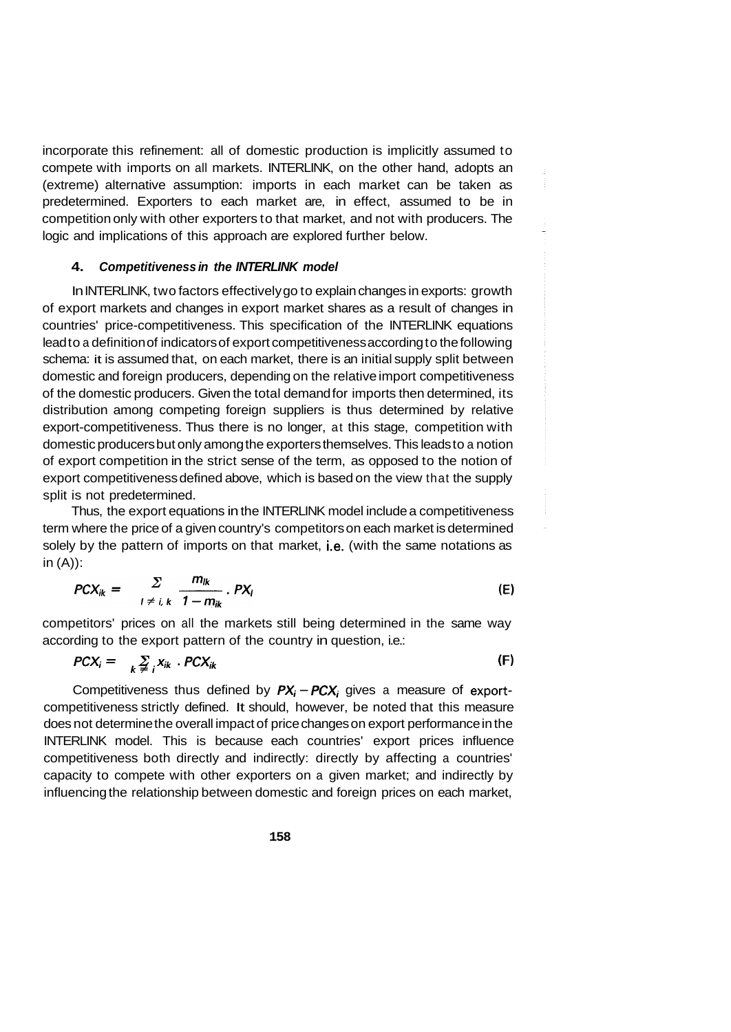incorporate this refinement: all of domestic production is implicitly assumed to compete with imports on all markets. INTERLINK, on the other hand, adopts an (extreme) alternative assumption: imports in each market can be taken as predetermined. Exporters to each market are, in effect, assumed to be in competition only with other exporters to that market, and not with producers. The logic and implications of this approach are explored further below.

### **4.**  *Competitiveness in the INTERLINK model*

In INTERLINK, two factors effectively go to explain changes in exports: growth of export markets and changes in export market shares as a result of changes in countries' price-competitiveness. This specification of the INTERLINK equations lead to a definition of indicators of export competitiveness according to the following schema: it is assumed that, on each market, there is an initial supply split between domestic and foreign producers, depending on the relative import competitiveness of the domestic producers. Given the total demand for imports then determined, its distribution among competing foreign suppliers is thus determined by relative export-competitiveness. Thus there is no longer, at this stage, competition with domestic producers but only among the exporters themselves. This leads to a notion of export competition in the strict sense of the term, as opposed to the notion of export competitiveness defined above, which is based on the view that the supply split is not predetermined.

Thus, the export equations in the INTERLINK model include a competitiveness term where the price of a given country's competitors on each market is determined solely by the pattern of imports on that market, i.e. (with the same notations as in  $(A)$ :

$$
PCX_{ik} = \sum_{l \neq i, k} \frac{m_{lk}}{1 - m_{ik}} \cdot PX_l
$$
 (E)

competitors' prices on all the markets still being determined in the same way according to the export pattern of the country in question, i.e.:

$$
PCX_i = \sum_{k \neq i} X_{ik} \cdot PCX_{ik}
$$
 (F)

Competitiveness thus defined by  $PX_i - PCX_i$  gives a measure of exportcompetitiveness strictly defined. It should, however, be noted that this measure does not determine the overall impact of price changes on export performance in the INTERLINK model. This is because each countries' export prices influence competitiveness both directly and indirectly: directly by affecting a countries' capacity to compete with other exporters on a given market; and indirectly by influencing the relationship between domestic and foreign prices on each market,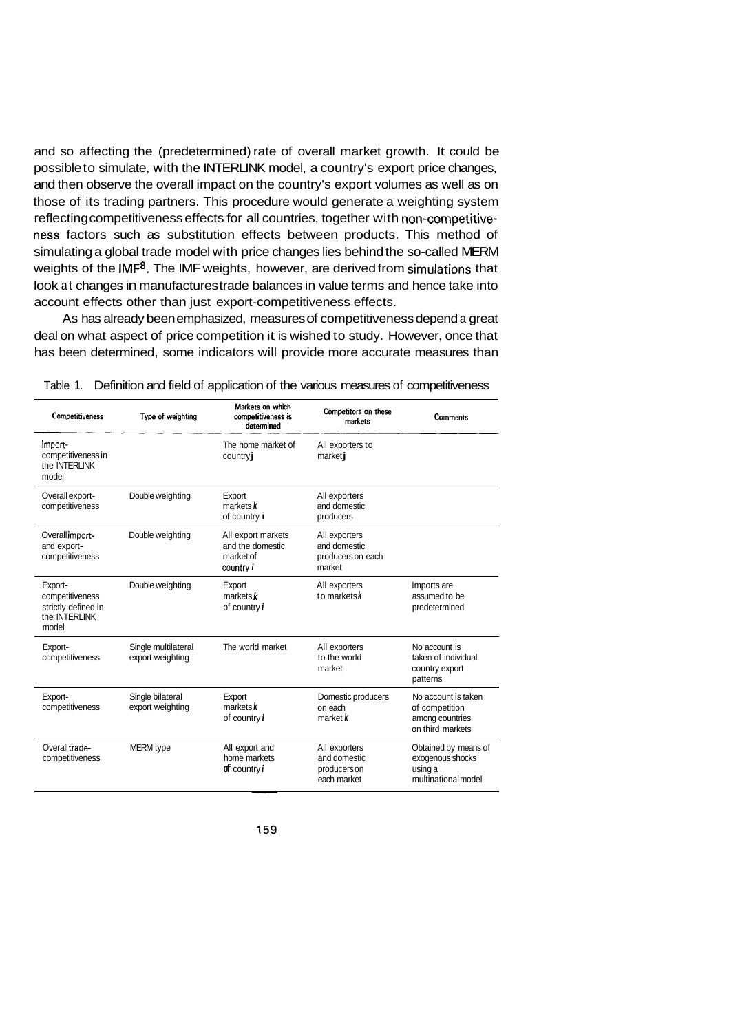and so affecting the (predetermined) rate of overall market growth. It could be possible to simulate, with the INTERLINK model, a country's export price changes, and then observe the overall impact on the country's export volumes as well as on those of its trading partners. This procedure would generate a weighting system reflecting competitiveness effects for all countries, together with non-competitiveness factors such as substitution effects between products. This method of simulating a global trade model with price changes lies behind the so-called MERM weights of the IMF<sup>8</sup>. The IMF weights, however, are derived from simulations that look at changes in manufactures trade balances in value terms and hence take into account effects other than just export-competitiveness effects.

As has already been emphasized, measures of competitiveness depend a great deal on what aspect of price competition it is wished to study. However, once that has been determined, some indicators will provide more accurate measures than

| Competitiveness                                                             | Type of weighting                       | Markets on which<br>competitiveness is<br>determined                    | Competitors on these<br>markets                              | Comments                                                                     |
|-----------------------------------------------------------------------------|-----------------------------------------|-------------------------------------------------------------------------|--------------------------------------------------------------|------------------------------------------------------------------------------|
| Import-<br>competitiveness in<br>the <b>INTERLINK</b><br>model              |                                         | The home market of<br>country j                                         | All exporters to<br>marketi                                  |                                                                              |
| Overall export-<br>competitiveness                                          | Double weighting                        | Export<br>markets $k$<br>of country i                                   | All exporters<br>and domestic<br>producers                   |                                                                              |
| Overall import-<br>and export-<br>competitiveness                           | Double weighting                        | All export markets<br>and the domestic<br>market of<br>country <i>i</i> | All exporters<br>and domestic<br>producers on each<br>market |                                                                              |
| Export-<br>competitiveness<br>strictly defined in<br>the INTERLINK<br>model | Double weighting                        | Export<br>markets $\boldsymbol{k}$<br>of country i                      | All exporters<br>to marketsk                                 | Imports are<br>assumed to be<br>predetermined                                |
| Export-<br>competitiveness                                                  | Single multilateral<br>export weighting | The world market                                                        | All exporters<br>to the world<br>market                      | No account is<br>taken of individual<br>country export<br>patterns           |
| Export-<br>competitiveness                                                  | Single bilateral<br>export weighting    | Export<br>marks k<br>of country $i$                                     | Domestic producers<br>on each<br>market k                    | No account is taken<br>of competition<br>among countries<br>on third markets |
| Overall trade-<br>competitiveness                                           | <b>MERM</b> type                        | All export and<br>home markets<br>$\mathbf{d}$ country $i$              | All exporters<br>and domestic<br>producers on<br>each market | Obtained by means of<br>exogenous shocks<br>using a<br>multinational model   |

Table 1. Definition and field of application of the various measures of competitiveness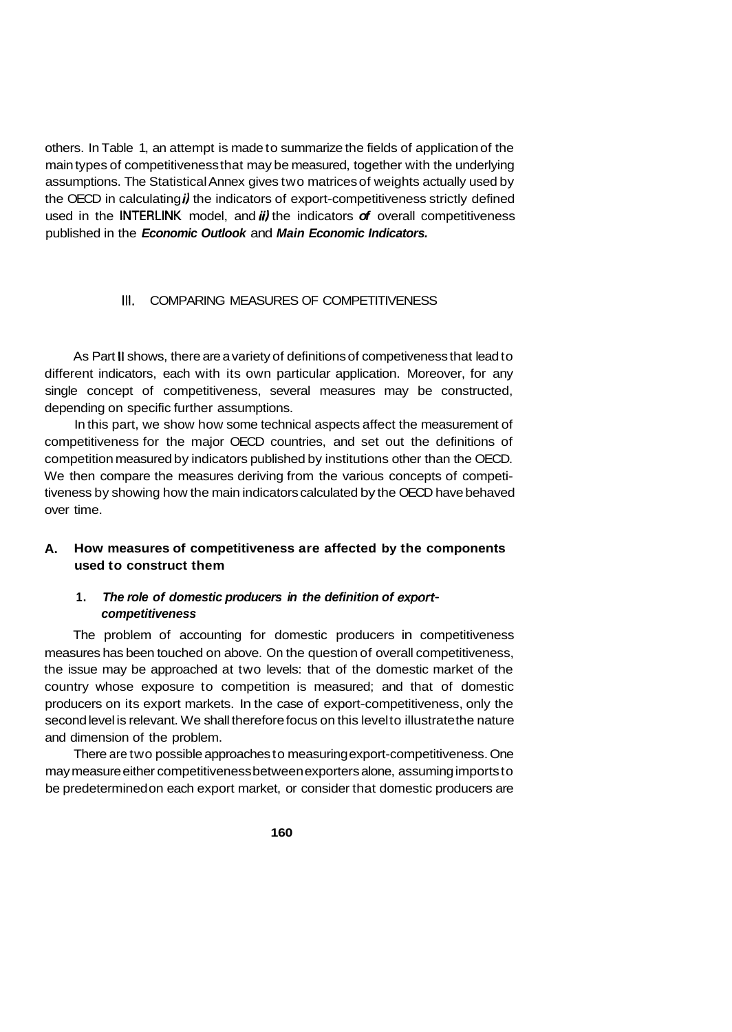others. In Table 1, an attempt is made to summarize the fields of application of the main types of competitiveness that may be measured, together with the underlying assumptions. The Statistical Annex gives two matrices of weights actually used by the OECD in calculating *i)* the indicators of export-competitiveness strictly defined used in the INTERLINK model, and *ii)* the indicators *of* overall competitiveness published in the *Economic Outlook* and *Main Economic Indicators.* 

## **111.** COMPARING MEASURES OF COMPETITIVENESS

As Part **II** shows, there are a variety of definitions of competiveness that lead to different indicators, each with its own particular application. Moreover, for any single concept of competitiveness, several measures may be constructed, depending on specific further assumptions.

In this part, we show how some technical aspects affect the measurement of competitiveness for the major OECD countries, and set out the definitions of competition measured by indicators published by institutions other than the OECD. We then compare the measures deriving from the various concepts of competitiveness by showing how the main indicators calculated by the OECD have behaved over time.

## **A. How measures of competitiveness are affected by the components used to construct them**

#### **1.**  *The role of domestic producers in the definition of exportcompetitiveness*

The problem of accounting for domestic producers in competitiveness measures has been touched on above. On the question of overall competitiveness, the issue may be approached at two levels: that of the domestic market of the country whose exposure to competition is measured; and that of domestic producers on its export markets. In the case of export-competitiveness, only the second level is relevant. We shall therefore focus on this level to illustrate the nature and dimension of the problem.

There are two possible approaches to measuring export-competitiveness. One may measure either competitiveness between exporters alone, assuming imports to be predetermined on each export market, or consider that domestic producers are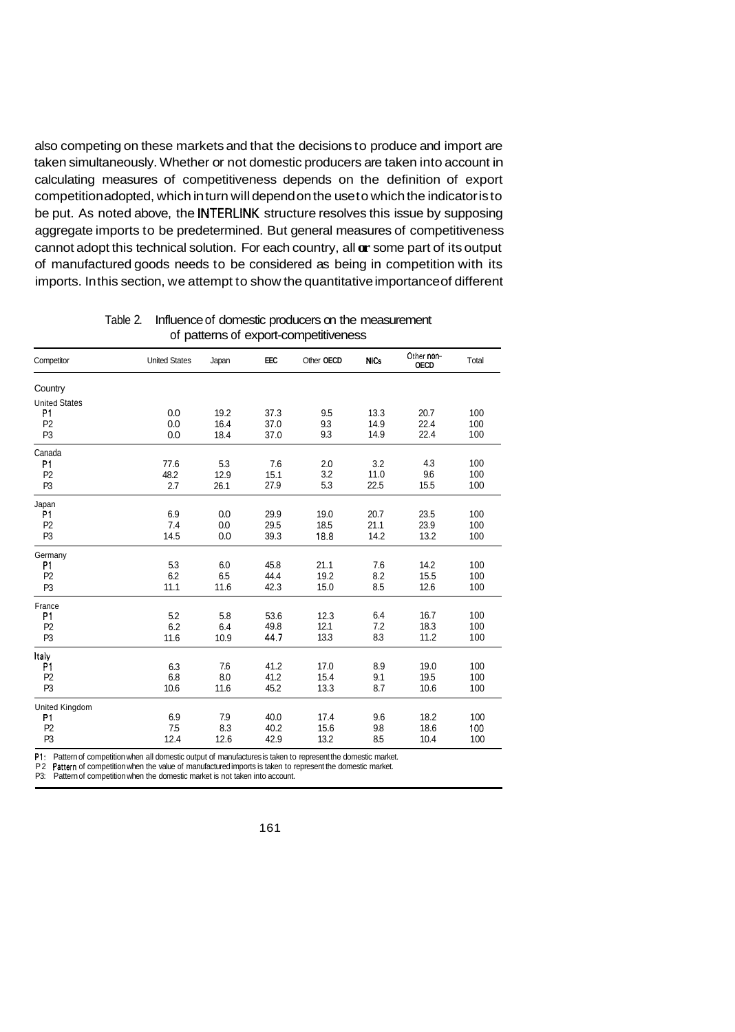also competing on these markets and that the decisions to produce and import are taken simultaneously. Whether or not domestic producers are taken into account in calculating measures of competitiveness depends on the definition of export competition adopted, which in turn will depend on the use to which the indicator is to be put. As noted above, the **INTERLINK** structure resolves this issue by supposing aggregate imports to be predetermined. But general measures of competitiveness cannot adopt this technical solution. For each country, all **or** some part of its output of manufactured goods needs to be considered as being in competition with its imports. In this section, we attempt to show the quantitative importance of different

|                      |                      |       |      |            |             | Other non-  |       |
|----------------------|----------------------|-------|------|------------|-------------|-------------|-------|
| Competitor           | <b>United States</b> | Japan | EEC  | Other OECD | <b>NICs</b> | <b>OECD</b> | Total |
| Country              |                      |       |      |            |             |             |       |
| <b>United States</b> |                      |       |      |            |             |             |       |
| P1                   | 0.0                  | 19.2  | 37.3 | 9.5        | 13.3        | 20.7        | 100   |
| P <sub>2</sub>       | 0.0                  | 16.4  | 37.0 | 9.3        | 14.9        | 22.4        | 100   |
| P <sub>3</sub>       | 0.0                  | 18.4  | 37.0 | 9.3        | 14.9        | 22.4        | 100   |
| Canada               |                      |       |      |            |             |             |       |
| P1                   | 77.6                 | 5.3   | 7.6  | 2.0        | 3.2         | 4.3         | 100   |
| P <sub>2</sub>       | 48.2                 | 12.9  | 15.1 | 3.2        | 11.0        | 9.6         | 100   |
| P <sub>3</sub>       | 2.7                  | 26.1  | 27.9 | 5.3        | 22.5        | 15.5        | 100   |
| Japan                |                      |       |      |            |             |             |       |
| P1                   | 6.9                  | 0.0   | 29.9 | 19.0       | 20.7        | 23.5        | 100   |
| P <sub>2</sub>       | 7.4                  | 0.0   | 29.5 | 18.5       | 21.1        | 23.9        | 100   |
| P <sub>3</sub>       | 14.5                 | 0.0   | 39.3 | 18.8       | 14.2        | 13.2        | 100   |
| Germany              |                      |       |      |            |             |             |       |
| P1                   | 5.3                  | 6.0   | 45.8 | 21.1       | 7.6         | 14.2        | 100   |
| P <sub>2</sub>       | 6.2                  | 6.5   | 44.4 | 19.2       | 8.2         | 15.5        | 100   |
| P <sub>3</sub>       | 11.1                 | 11.6  | 42.3 | 15.0       | 8.5         | 12.6        | 100   |
| France               |                      |       |      |            |             |             |       |
| P1                   | 5.2                  | 5.8   | 53.6 | 12.3       | 6.4         | 16.7        | 100   |
| P <sub>2</sub>       | 6.2                  | 6.4   | 49.8 | 12.1       | 7.2         | 18.3        | 100   |
| P <sub>3</sub>       | 11.6                 | 10.9  | 44.7 | 13.3       | 8.3         | 11.2        | 100   |
| Italy                |                      |       |      |            |             |             |       |
| P1                   | 6.3                  | 7.6   | 41.2 | 17.0       | 8.9         | 19.0        | 100   |
| P <sub>2</sub>       | 6.8                  | 8.0   | 41.2 | 15.4       | 9.1         | 19.5        | 100   |
| P <sub>3</sub>       | 10.6                 | 11.6  | 45.2 | 13.3       | 8.7         | 10.6        | 100   |
| United Kingdom       |                      |       |      |            |             |             |       |
| P1                   | 6.9                  | 7.9   | 40.0 | 17.4       | 9.6         | 18.2        | 100   |
| P <sub>2</sub>       | 7.5                  | 8.3   | 40.2 | 15.6       | 9.8         | 18.6        | 100   |
| P <sub>3</sub>       | 12.4                 | 12.6  | 42.9 | 13.2       | 8.5         | 10.4        | 100   |

Table 2. Influence of domestic producers on the measurement of patterns of export-competitiveness

P1: Pattern of competition when all domestic output of manufactures is taken to represent the domestic market.

P2 Pattern of competition when the value of manufactured imports is taken to represent the domestic market.

P3: Pattern of competition when the domestic market is not taken into account.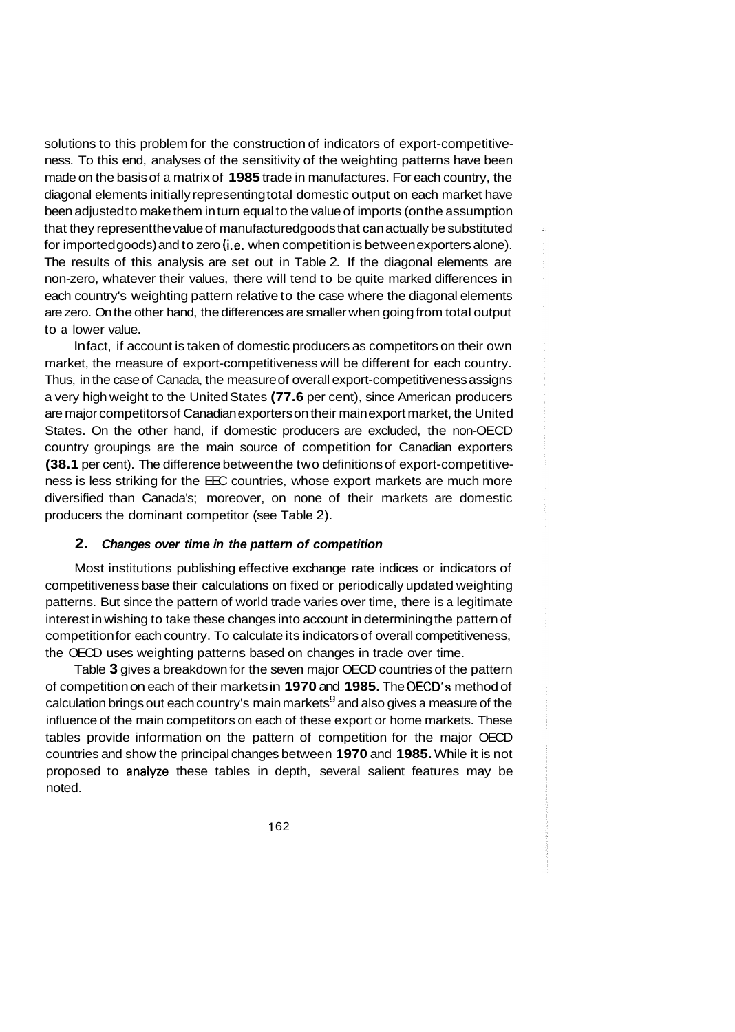solutions to this problem for the construction of indicators of export-competitiveness. To this end, analyses of the sensitivity of the weighting patterns have been made on the basis of a matrix of **1985** trade in manufactures. For each country, the diagonal elements initially representing total domestic output on each market have been adjusted to make them in turn equal to the value of imports (on the assumption that they represent the value of manufactured goods that can actually be substituted for imported goods) and to zero (i.e. when competition is between exporters alone). The results of this analysis are set out in Table 2. If the diagonal elements are non-zero, whatever their values, there will tend to be quite marked differences in each country's weighting pattern relative to the case where the diagonal elements are zero. On the other hand, the differences are smaller when going from total output to a lower value.

In fact, if account is taken of domestic producers as competitors on their own market, the measure of export-competitiveness will be different for each country. Thus, in the case of Canada, the measure of overall export-competitiveness assigns a very high weight to the United States **(77.6** per cent), since American producers are major competitors of Canadian exporters on their main export market, the United States. On the other hand, if domestic producers are excluded, the non-OECD country groupings are the main source of competition for Canadian exporters **(38.1** per cent). The difference between the two definitions of export-competitiveness is less striking for the EEC countries, whose export markets are much more diversified than Canada's; moreover, on none of their markets are domestic producers the dominant competitor (see Table 2).

## **2.**  *Changes over time in the pattern of competition*

Most institutions publishing effective exchange rate indices or indicators of competitiveness base their calculations on fixed or periodically updated weighting patterns. But since the pattern of world trade varies over time, there is a legitimate interest in wishing to take these changes into account in determining the pattern of competition for each country. To calculate its indicators of overall competitiveness, the OECD uses weighting patterns based on changes in trade over time.

Table **3** gives a breakdown for the seven major OECD countries of the pattern of competition on each of their markets in **1970** and **1985.** The OECD's method of calculation brings out each country's main markets $^9$  and also gives a measure of the influence of the main competitors on each of these export or home markets. These tables provide information on the pattern of competition for the major OECD countries and show the principal changes between **1970** and **1985.** While it is not proposed to analyze these tables in depth, several salient features may be noted.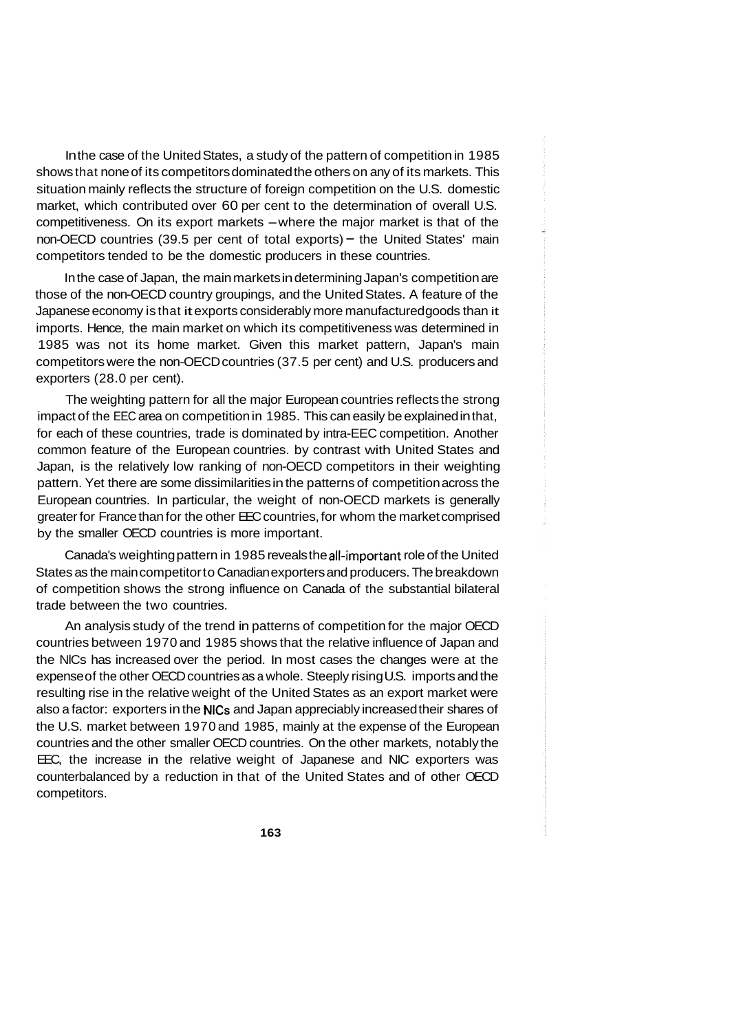In the case of the United States, a study of the pattern of competition in 1985 shows that none of its competitors dominated the others on any of its markets. This situation mainly reflects the structure of foreign competition on the U.S. domestic market, which contributed over 60 per cent to the determination of overall U.S. competitiveness. On its export markets -where the major market is that of the non-OECD countries (39.5 per cent of total exports) - the United States' main competitors tended to be the domestic producers in these countries.

In the case of Japan, the main markets in determining Japan's competition are those of the non-OECD country groupings, and the United States. A feature of the Japanese economy is that it exports considerably more manufactured goods than it imports. Hence, the main market on which its competitiveness was determined in 1985 was not its home market. Given this market pattern, Japan's main competitors were the non-OECD countries (37.5 per cent) and U.S. producers and exporters (28.0 per cent).

The weighting pattern for all the major European countries reflects the strong impact of the EEC area on competition in 1985. This can easily be explained in that, for each of these countries, trade is dominated by intra-EEC competition. Another common feature of the European countries. by contrast with United States and Japan, is the relatively low ranking of non-OECD competitors in their weighting pattern. Yet there are some dissimilarities in the patterns of competition across the European countries. In particular, the weight of non-OECD markets is generally greater for France than for the other EEC countries, for whom the market comprised by the smaller OECD countries is more important.

Canada's weighting pattern in 1985 reveals the all-important role of the United States as the main competitor to Canadian exporters and producers. The breakdown of competition shows the strong influence on Canada of the substantial bilateral trade between the two countries.

An analysis study of the trend in patterns of competition for the major OECD countries between 1970 and 1985 shows that the relative influence of Japan and the NlCs has increased over the period. In most cases the changes were at the expense of the other OECD countries as a whole. Steeply rising U.S. imports and the resulting rise in the relative weight of the United States as an export market were also a factor: exporters in the NlCs and Japan appreciably increased their shares of the U.S. market between 1970 and 1985, mainly at the expense of the European countries and the other smaller OECD countries. On the other markets, notably the EEC, the increase in the relative weight of Japanese and NIC exporters was counterbalanced by a reduction in that of the United States and of other OECD competitors.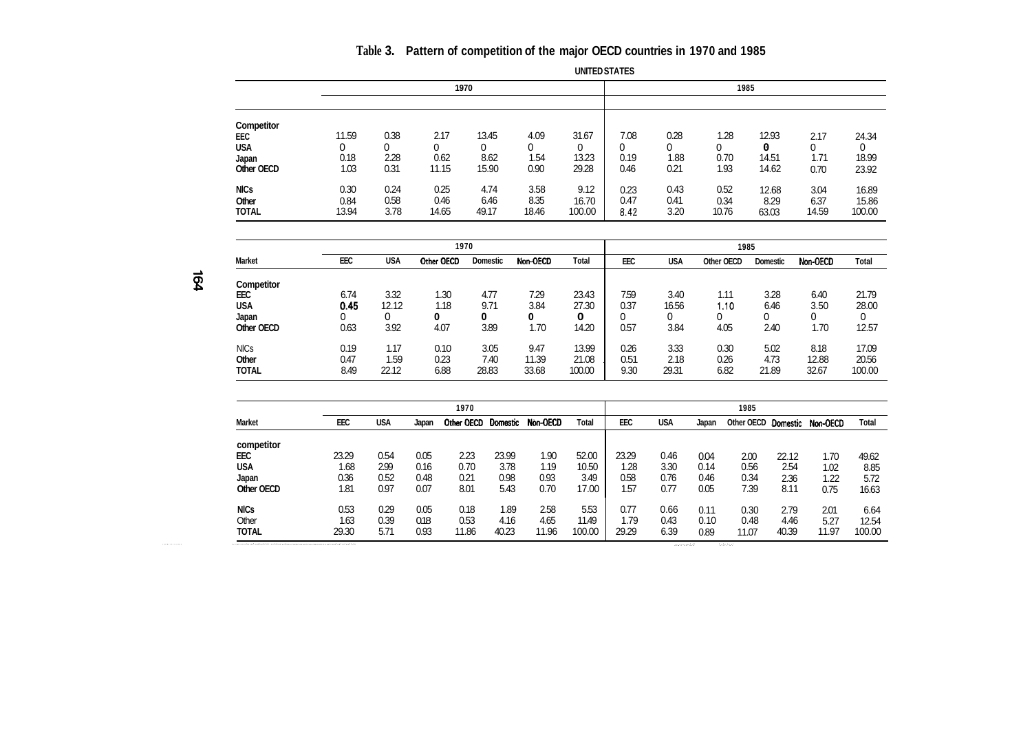## **Table 3. Pattern of competition of the major OECD countries in 1970 and 1985**

|                                                        |                            |                      |                            |                             |                           | <b>UNITED STATES</b>         |                           |                           |                           |                              |                           |                              |
|--------------------------------------------------------|----------------------------|----------------------|----------------------------|-----------------------------|---------------------------|------------------------------|---------------------------|---------------------------|---------------------------|------------------------------|---------------------------|------------------------------|
|                                                        |                            |                      |                            | 1970                        |                           |                              |                           |                           |                           | 1985                         |                           |                              |
| Competitor<br>EEC<br><b>USA</b><br>Japan<br>Other OECD | 11.59<br>0<br>0.18<br>1.03 | 0.38<br>2.28<br>0.31 | 2.17<br>0<br>0.62<br>11.15 | 13.45<br>0<br>8.62<br>15.90 | 4.09<br>0<br>1.54<br>0.90 | 31.67<br>0<br>13.23<br>29.28 | 7.08<br>0<br>0.19<br>0.46 | 0.28<br>0<br>1.88<br>0.21 | 1.28<br>0<br>0.70<br>1.93 | 12.93<br>0<br>14.51<br>14.62 | 2.17<br>0<br>1.71<br>0.70 | 24.34<br>0<br>18.99<br>23.92 |
| <b>NICs</b><br>Other<br><b>TOTAL</b>                   | 0.30<br>0.84<br>13.94      | 0.24<br>0.58<br>3.78 | 0.25<br>0.46<br>14.65      | 4.74<br>6.46<br>49.17       | 3.58<br>8.35<br>18.46     | 9.12<br>16.70<br>100.00      | 0.23<br>0.47<br>8.42      | 0.43<br>0.41<br>3.20      | 0.52<br>0.34<br>10.76     | 12.68<br>8.29<br>63.03       | 3.04<br>6.37<br>14.59     | 16.89<br>15.86<br>100.00     |

|               |      |       | 1970       |                 |          |        | 1985 |       |            |          |          |        |  |  |
|---------------|------|-------|------------|-----------------|----------|--------|------|-------|------------|----------|----------|--------|--|--|
| <b>Market</b> | EEC  | USA   | Other OECD | <b>Domestic</b> | Non-OECD | Total  | EEC  | USA   | Other OECD | Domestic | Non-OECD | Total  |  |  |
| Competitor    |      |       |            |                 |          |        |      |       |            |          |          |        |  |  |
| EEC           | 6.74 | 3.32  | 1.30       | 4.77            | 7.29     | 23.43  | 7.59 | 3.40  | 1.11       | 3.28     | 6.40     | 21.79  |  |  |
| <b>USA</b>    | 0.45 | 12.12 | 1.18       | 9.71            | 3.84     | 27.30  | 0.37 | 16.56 | 1.10       | 6.46     | 3.50     | 28.00  |  |  |
| Japan         |      | 0     | 0          | 0               | 0        | 0      | 0    |       |            |          |          | 0      |  |  |
| Other OECD    | 0.63 | 3.92  | 4.07       | 3.89            | 1.70     | 14.20  | 0.57 | 3.84  | 4.05       | 2.40     | 1.70     | 12.57  |  |  |
| <b>NICs</b>   | 0.19 | 1.17  | 0.10       | 3.05            | 9.47     | 13.99  | 0.26 | 3.33  | 0.30       | 5.02     | 8.18     | 17.09  |  |  |
| <b>Other</b>  | 0.47 | 1.59  | 0.23       | 7.40            | 11.39    | 21.08  | 0.51 | 2.18  | 0.26       | 4.73     | 12.88    | 20.56  |  |  |
| <b>TOTAL</b>  | 8.49 | 22.12 | 6.88       | 28.83           | 33.68    | 100.00 | 9.30 | 29.31 | 6.82       | 21.89    | 32.67    | 100.00 |  |  |

 $\rightarrow$ **P** 

|               |            |            |       | 1970       |          |          |        |       |            |       | 1985       |          |          |        |
|---------------|------------|------------|-------|------------|----------|----------|--------|-------|------------|-------|------------|----------|----------|--------|
| <b>Market</b> | <b>EEC</b> | <b>USA</b> | Japan | Other OECD | Domestic | Non-OECD | Total  | EEC   | <b>USA</b> | Japan | Other OECD | Domestic | Non-OECD | Total  |
| competitor    |            |            |       |            |          |          |        |       |            |       |            |          |          |        |
| EEC           | 23.29      | 0.54       | 0.05  | 2.23       | 23.99    | 1.90     | 52.00  | 23.29 | 0.46       | 0.04  | 2.00       | 22.12    | 1.70     | 49.62  |
| USA           | 1.68       | 2.99       | 0.16  | 0.70       | 3.78     | 1.19     | 10.50  | 1.28  | 3.30       | 0.14  | 0.56       | 2.54     | 1.02     | 8.85   |
| Japan         | 0.36       | 0.52       | 0.48  | 0.21       | 0.98     | 0.93     | 3.49   | 0.58  | 0.76       | 0.46  | 0.34       | 2.36     | 1.22     | 5.72   |
| Other OECD    | 1.81       | 0.97       | 0.07  | 8.01       | 5.43     | 0.70     | 17.00  | 1.57  | 0.77       | 0.05  | 7.39       | 8.11     | 0.75     | 16.63  |
| <b>NICs</b>   | 0.53       | 0.29       | 0.05  | 0.18       | 1.89     | 2.58     | 5.53   | 0.77  | 0.66       | 0.11  | 0.30       | 2.79     | 2.01     | 6.64   |
| Other         | 1.63       | 0.39       | 0.18  | 0.53       | 4.16     | 4.65     | 11.49  | 1.79  | 0.43       | 0.10  | 0.48       | 4.46     | 5.27     | 12.54  |
| <b>TOTAL</b>  | 29.30      | 5.71       | 0.93  | 11.86      | 40.23    | 11.96    | 100.00 | 29.29 | 6.39       | 0.89  | 11.07      | 40.39    | 11.97    | 100.00 |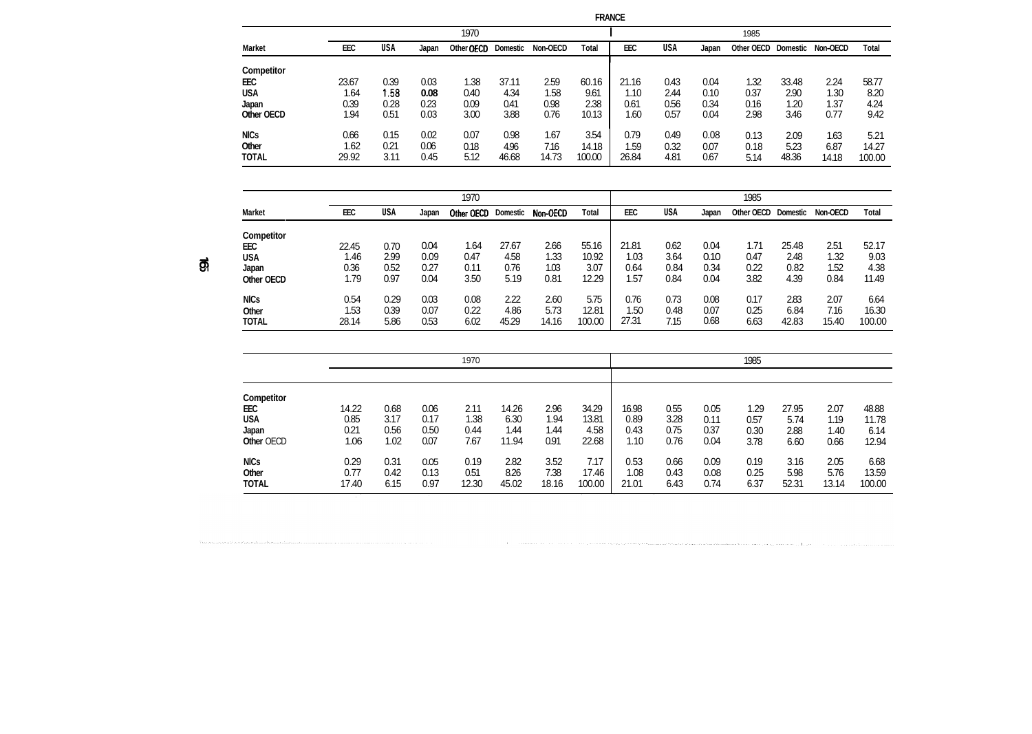| יוי<br>۱ |
|----------|
|----------|

1985

|                   |       |      |       | 1970       |          |          |        |            |      |       | 1985       |                 |          |        |
|-------------------|-------|------|-------|------------|----------|----------|--------|------------|------|-------|------------|-----------------|----------|--------|
| <b>Market</b>     | EEC   | USA  | Japan | Other OECD | Domestic | Non-OECD | Total  | EEC        | USA  | Japan | Other OECD | <b>Domestic</b> | Non-OECD | Total  |
| <b>Competitor</b> |       |      |       |            |          |          |        |            |      |       |            |                 |          |        |
| EEC               | 23.67 | 0.39 | 0.03  | 1.38       | 37.11    | 2.59     | 60.16  | 21.16      | 0.43 | 0.04  | 1.32       | 33.48           | 2.24     | 58.77  |
| USA               | 1.64  | 1.58 | 0.08  | 0.40       | 4.34     | 1.58     | 9.61   | 1.10       | 2.44 | 0.10  | 0.37       | 2.90            | 1.30     | 8.20   |
| Japan             | 0.39  | 0.28 | 0.23  | 0.09       | 0.41     | 0.98     | 2.38   | 0.61       | 0.56 | 0.34  | 0.16       | 1.20            | 1.37     | 4.24   |
| Other OECD        | 1.94  | 0.51 | 0.03  | 3.00       | 3.88     | 0.76     | 10.13  | 1.60       | 0.57 | 0.04  | 2.98       | 3.46            | 0.77     | 9.42   |
| <b>NICs</b>       | 0.66  | 0.15 | 0.02  | 0.07       | 0.98     | 1.67     | 3.54   | 0.79       | 0.49 | 0.08  | 0.13       | 2.09            | 1.63     | 5.21   |
| Other             | 1.62  | 0.21 | 0.06  | 0.18       | 4.96     | 7.16     | 14.18  | <b>.59</b> | 0.32 | 0.07  | 0.18       | 5.23            | 6.87     | 14.27  |
| <b>TOTAL</b>      | 29.92 | 3.11 | 0.45  | 5.12       | 46.68    | 14.73    | 100.00 | 26.84      | 4.81 | 0.67  | 5.14       | 48.36           | 14.18    | 100.00 |

|     | <b>Market</b>                   | EEC   | USA  | Japan | Other OECD | <b>Domestic</b> | Non-OECD | Total  | EEC   | USA  | Japan | Other OECD | Domestic | Non-OECD | Total  |
|-----|---------------------------------|-------|------|-------|------------|-----------------|----------|--------|-------|------|-------|------------|----------|----------|--------|
|     | <b>Competitor</b><br><b>EEC</b> | 22.45 | 0.70 | 0.04  | 1.64       | 27.67           | 2.66     | 55.16  | 21.81 | 0.62 | 0.04  | 1.71       | 25.48    | 2.51     | 52.17  |
| ಕ್ಷ | <b>USA</b>                      | 1.46  | 2.99 | 0.09  | 0.47       | 4.58            | 1.33     | 10.92  | 1.03  | 3.64 | 0.10  | 0.47       | 2.48     | 1.32     | 9.03   |
|     | Japan                           | 0.36  | 0.52 | 0.27  | 0.11       | 0.76            | 1.03     | 3.07   | 0.64  | 0.84 | 0.34  | 0.22       | 0.82     | 1.52     | 4.38   |
|     | Other OECD                      | 1.79  | 0.97 | 0.04  | 3.50       | 5.19            | 0.81     | 12.29  | .57   | 0.84 | 0.04  | 3.82       | 4.39     | 0.84     | 11.49  |
|     | <b>NICs</b>                     | 0.54  | 0.29 | 0.03  | 0.08       | 2.22            | 2.60     | 5.75   | 0.76  | 0.73 | 0.08  | 0.17       | 283      | 2.07     | 6.64   |
|     | Other                           | 1.53  | 0.39 | 0.07  | 0.22       | 4.86            | 5.73     | 12.81  | 1.50  | 0.48 | 0.07  | 0.25       | 6.84     | 7.16     | 16.30  |
|     | <b>TOTAL</b>                    | 28.14 | 5.86 | 0.53  | 6.02       | 45.29           | 14.16    | 100.00 | 27.31 | 7.15 | 0.68  | 6.63       | 42.83    | 15.40    | 100.00 |

1970

|              |       |      |      | 1970  |       |       |        |       |      |      | 1985 |       |       |        |
|--------------|-------|------|------|-------|-------|-------|--------|-------|------|------|------|-------|-------|--------|
|              |       |      |      |       |       |       |        |       |      |      |      |       |       |        |
| Competitor   |       |      |      |       |       |       |        |       |      |      |      |       |       |        |
| EEC          | 14.22 | 0.68 | 0.06 | 2.11  | 14.26 | 2.96  | 34.29  | 16.98 | 0.55 | 0.05 | 1.29 | 27.95 | 2.07  | 48.88  |
| USA          | 0.85  | 3.17 | 0.17 | 1.38  | 6.30  | 1.94  | 13.81  | 0.89  | 3.28 | 0.11 | 0.57 | 5.74  | 1.19  | 11.78  |
| Japan        | 0.21  | 0.56 | 0.50 | 0.44  | 1.44  | 1.44  | 4.58   | 0.43  | 0.75 | 0.37 | 0.30 | 2.88  | 1.40  | 6.14   |
| Other OECD   | 1.06  | 1.02 | 0.07 | 7.67  | 11.94 | 0.91  | 22.68  | 1.10  | 0.76 | 0.04 | 3.78 | 6.60  | 0.66  | 12.94  |
| <b>NICs</b>  | 0.29  | 0.31 | 0.05 | 0.19  | 2.82  | 3.52  | 7.17   | 0.53  | 0.66 | 0.09 | 0.19 | 3.16  | 2.05  | 6.68   |
| Other        | 0.77  | 0.42 | 0.13 | 0.51  | 8.26  | 7.38  | 17.46  | 1.08  | 0.43 | 0.08 | 0.25 | 5.98  | 5.76  | 13.59  |
| <b>TOTAL</b> | 17.40 | 6.15 | 0.97 | 12.30 | 45.02 | 18.16 | 100.00 | 21.01 | 6.43 | 0.74 | 6.37 | 52.31 | 13.14 | 100.00 |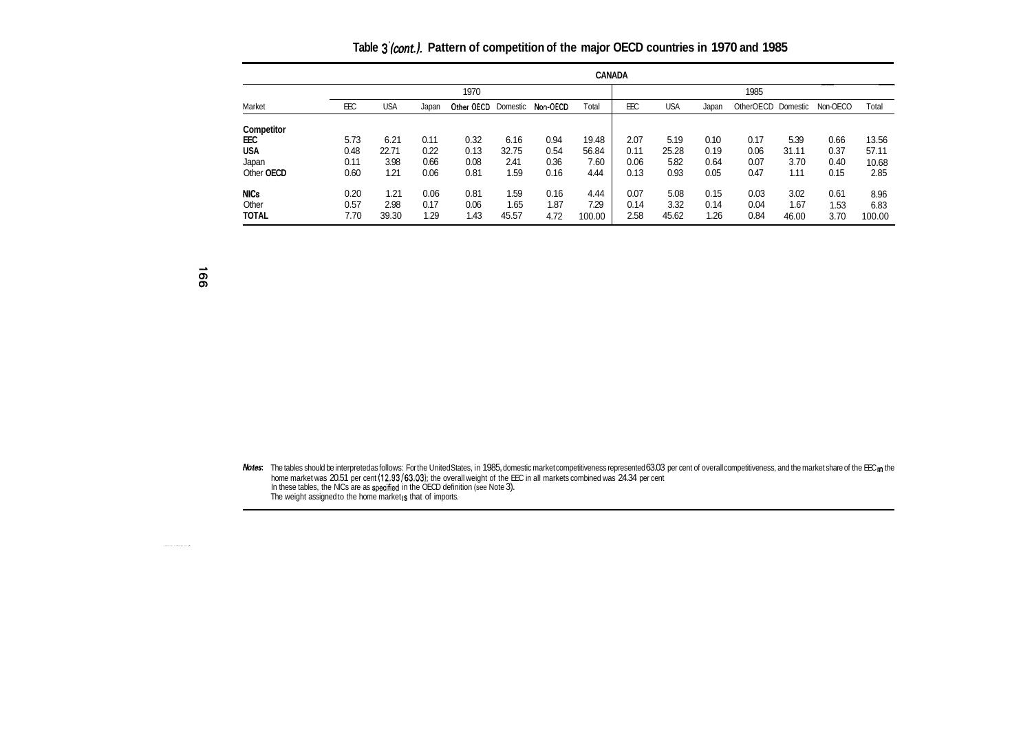**Table** *3'(mnt).* **Pattern of competition of the major OECD countries in 1970 and 1985** 

|                      |              |              |              |              |              |              |              | <b>CANADA</b> |              |              |                    |              |              |              |
|----------------------|--------------|--------------|--------------|--------------|--------------|--------------|--------------|---------------|--------------|--------------|--------------------|--------------|--------------|--------------|
|                      |              |              |              | 1970         |              |              |              |               |              |              | 1985               |              |              |              |
| Market               | <b>EEC</b>   | <b>USA</b>   | Japan        | Other OECD   | Domestic     | Non-OECD     | Total        | <b>EEC</b>    | <b>USA</b>   | Japan        | OtherOECD Domestic |              | Non-OECO     | Total        |
| Competitor           |              |              |              |              |              |              |              |               |              |              |                    |              |              |              |
| EEC                  | 5.73         | 6.21         | 0.11         | 0.32         | 6.16         | 0.94         | 19.48        | 2.07          | 5.19         | 0.10         | 0.17               | 5.39         | 0.66         | 13.56        |
| USA                  | 0.48         | 22.71        | 0.22         | 0.13         | 32.75        | 0.54         | 56.84        | 0.11          | 25.28        | 0.19         | 0.06               | 31.11        | 0.37         | 57.11        |
| Japan                | 0.11         | 3.98         | 0.66         | 0.08         | 2.41         | 0.36         | 7.60         | 0.06          | 5.82         | 0.64         | 0.07               | 3.70         | 0.40         | 10.68        |
| Other OECD           | 0.60         | 1.21         | 0.06         | 0.81         | 1.59         | 0.16         | 4.44         | 0.13          | 0.93         | 0.05         | 0.47               | 1.11         | 0.15         | 2.85         |
| <b>NICs</b><br>Other | 0.20<br>0.57 | 1.21<br>2.98 | 0.06<br>0.17 | 0.81<br>0.06 | 1.59<br>1.65 | 0.16<br>1.87 | 4.44<br>7.29 | 0.07<br>0.14  | 5.08<br>3.32 | 0.15<br>0.14 | 0.03<br>0.04       | 3.02<br>1.67 | 0.61<br>1.53 | 8.96<br>6.83 |
| <b>TOTAL</b>         | 7.70         | 39.30        | 1.29         | 1.43         | 45.57        | 4.72         | 100.00       | 2.58          | 45.62        | 1.26         | 0.84               | 46.00        | 3.70         | 100.00       |

991

*Notes* The tables should be interpreted as follows: For the United States, in 1985, domestic market competitiveness represented 63.03 per cent of overall competitiveness, and the market share of the EEC In the home market was 20.51 per cent (12.93/63.03); the overall weight of the EEC in all markets combined was 24.34 per cent<br>In these tables, the NICs are as specified in the OECD definition (see Note 3).<br>The weight assignedto t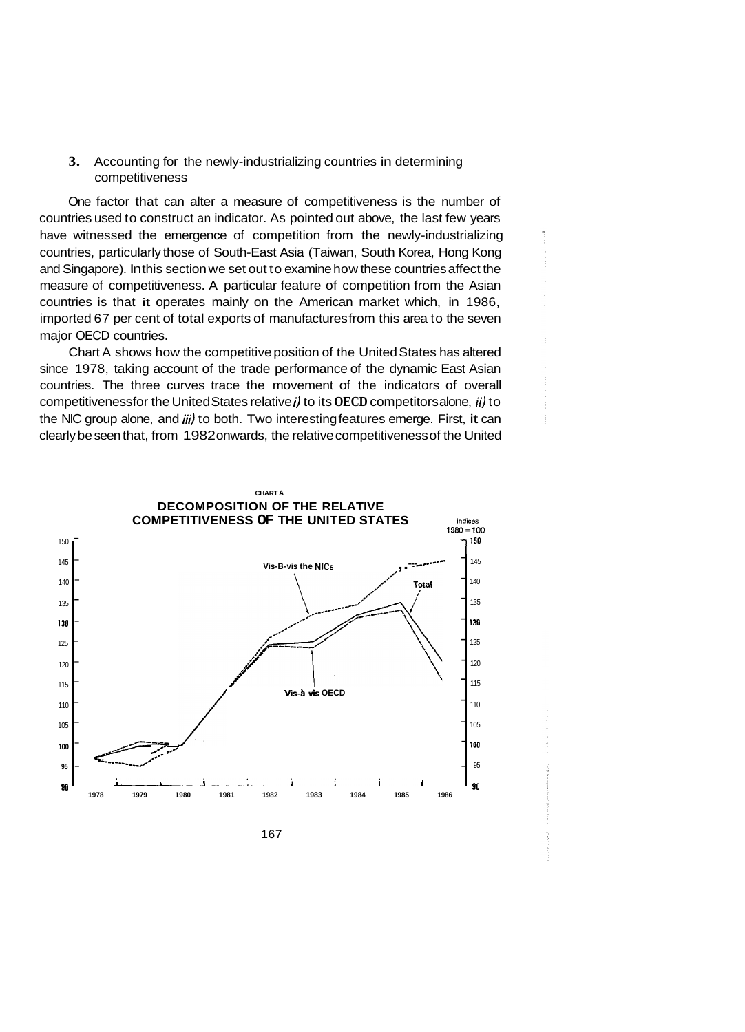## **3.** Accounting for the newly-industrializing countries in determining competitiveness

One factor that can alter a measure of competitiveness is the number of countries used to construct an indicator. As pointed out above, the last few years have witnessed the emergence of competition from the newly-industrializing countries, particularly those of South-East Asia (Taiwan, South Korea, Hong Kong and Singapore). In this section we set out to examine how these countries affect the measure of competitiveness. A particular feature of competition from the Asian countries is that it operates mainly on the American market which, in 1986, imported 67 per cent of total exports of manufactures from this area to the seven major OECD countries.

Chart A shows how the competitive position of the United States has altered since 1978, taking account of the trade performance of the dynamic East Asian countries. The three curves trace the movement of the indicators of overall competitiveness for the United States relative *i)* to its **OECD** competitors alone, *ii)* to the NIC group alone, and iii) to both. Two interesting features emerge. First, it can clearly be seen that, from 1982 onwards, the relative competitiveness of the United



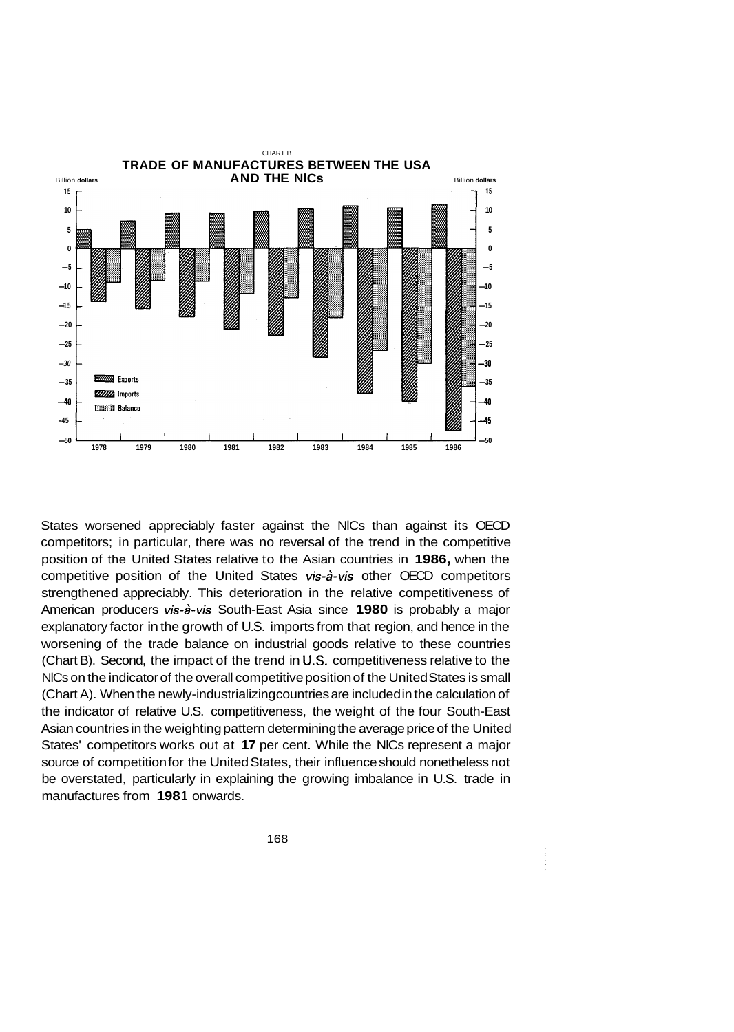

States worsened appreciably faster against the NlCs than against its OECD competitors; in particular, there was no reversal of the trend in the competitive position of the United States relative to the Asian countries in **1986,** when the competitive position of the United States *vis-8-vis* other OECD competitors strengthened appreciably. This deterioration in the relative competitiveness of American producers *vis-84s* South-East Asia since **1980** is probably a major explanatory factor in the growth of U.S. imports from that region, and hence in the worsening of the trade balance on industrial goods relative to these countries (Chart B). Second, the impact of the trend in **US.** competitiveness relative to the NlCs on the indicator of the overall competitive position of the United States is small (Chart A). When the newly-industrializing countries are included in the calculation of the indicator of relative U.S. competitiveness, the weight of the four South-East Asian countries in the weighting pattern determining the average price of the United States' competitors works out at **17** per cent. While the NlCs represent a major source of competition for the United States, their influence should nonetheless not be overstated, particularly in explaining the growing imbalance in U.S. trade in manufactures from 1981 onwards.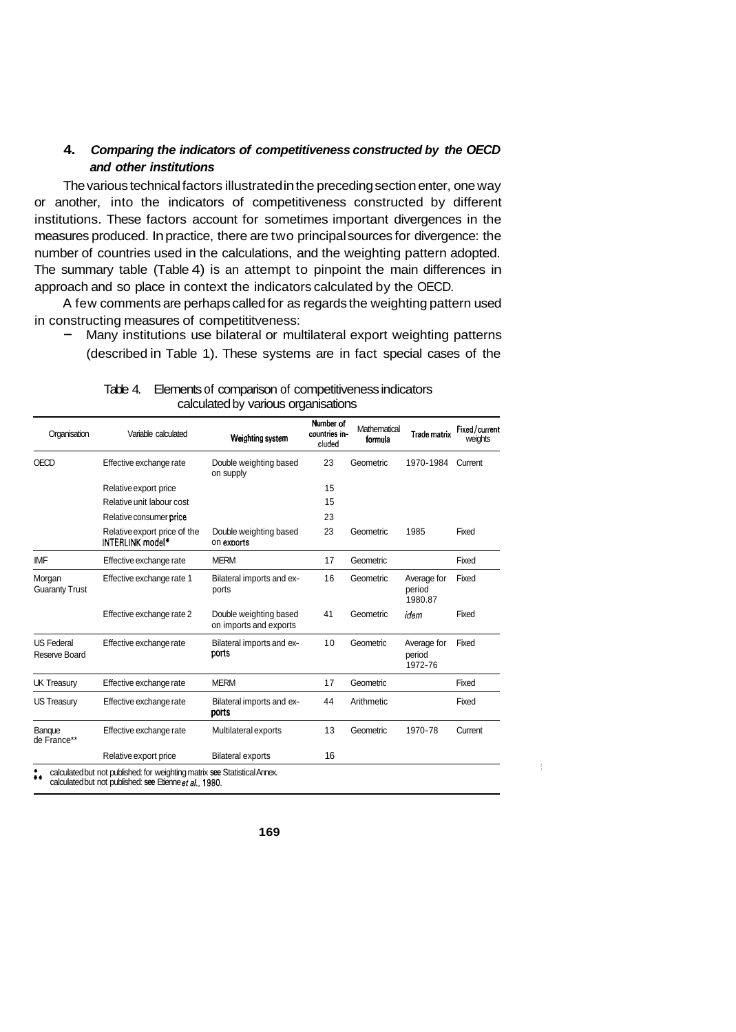## **4.** *Comparing the indicators of competitiveness constructed by the OECD and other institutions*

The various technical factors illustrated in the preceding section enter, one way or another, into the indicators of competitiveness constructed by different institutions. These factors account for sometimes important divergences in the measures produced. In practice, there are two principal sources for divergence: the number of countries used in the calculations, and the weighting pattern adopted. The summary table (Table 4) is an attempt to pinpoint the main differences in approach and so place in context the indicators calculated by the OECD.

A few comments are perhaps called for as regards the weighting pattern used in constructing measures of competititveness:

Many institutions use bilateral or multilateral export weighting patterns (described in Table 1). These systems are in fact special cases of the

| Organisation                       | Variable calculated                              | Weighting system                                 | Number of<br>countries in-<br>cluded | Mathematical<br>formula | Trade matrix                     | Fixed/current<br>weights |
|------------------------------------|--------------------------------------------------|--------------------------------------------------|--------------------------------------|-------------------------|----------------------------------|--------------------------|
| <b>OECD</b>                        | Effective exchange rate                          | Double weighting based<br>on supply              | 23                                   | Geometric               | 1970-1984                        | Current                  |
|                                    | Relative export price                            |                                                  | 15                                   |                         |                                  |                          |
|                                    | Relative unit labour cost                        |                                                  | 15                                   |                         |                                  |                          |
|                                    | Relative consumer price                          |                                                  | 23                                   |                         |                                  |                          |
|                                    | Relative export price of the<br>INTERLINK model* | Double weighting based<br>on exports             | 23                                   | Geometric               | 1985                             | Fixed                    |
| <b>IMF</b>                         | Effective exchange rate                          | <b>MERM</b>                                      | 17                                   | Geometric               |                                  | Fixed                    |
| Morgan<br><b>Guaranty Trust</b>    | Effective exchange rate 1                        | Bilateral imports and ex-<br>ports               | 16                                   | Geometric               | Average for<br>period<br>1980.87 | Fixed                    |
|                                    | Effective exchange rate 2                        | Double weighting based<br>on imports and exports | 41                                   | Geometric               | idem                             | Fixed                    |
| <b>US Federal</b><br>Reserve Board | Effective exchange rate                          | Bilateral imports and ex-<br>ports               | 10                                   | Geometric               | Average for<br>period<br>1972-76 | Fixed                    |
| <b>UK Treasury</b>                 | Effective exchange rate                          | <b>MERM</b>                                      | 17                                   | Geometric               |                                  | Fixed                    |
| <b>US Treasury</b>                 | Effective exchange rate                          | Bilateral imports and ex-<br>ports               | 44                                   | Arithmetic              |                                  | Fixed                    |
| Banque<br>de France**              | Effective exchange rate                          | Multilateral exports                             | 13                                   | Geometric               | 1970-78                          | Current                  |
|                                    | Relative export price                            | <b>Bilateral exports</b>                         | 16                                   |                         |                                  |                          |

Table 4. Elements of comparison of competitiveness indicators calculated by various organisations

\*\* calculated but not published: for weighting matrix **see** Statistical Annex. calculated but not published: **see** Etienne *eta/..* **1980.**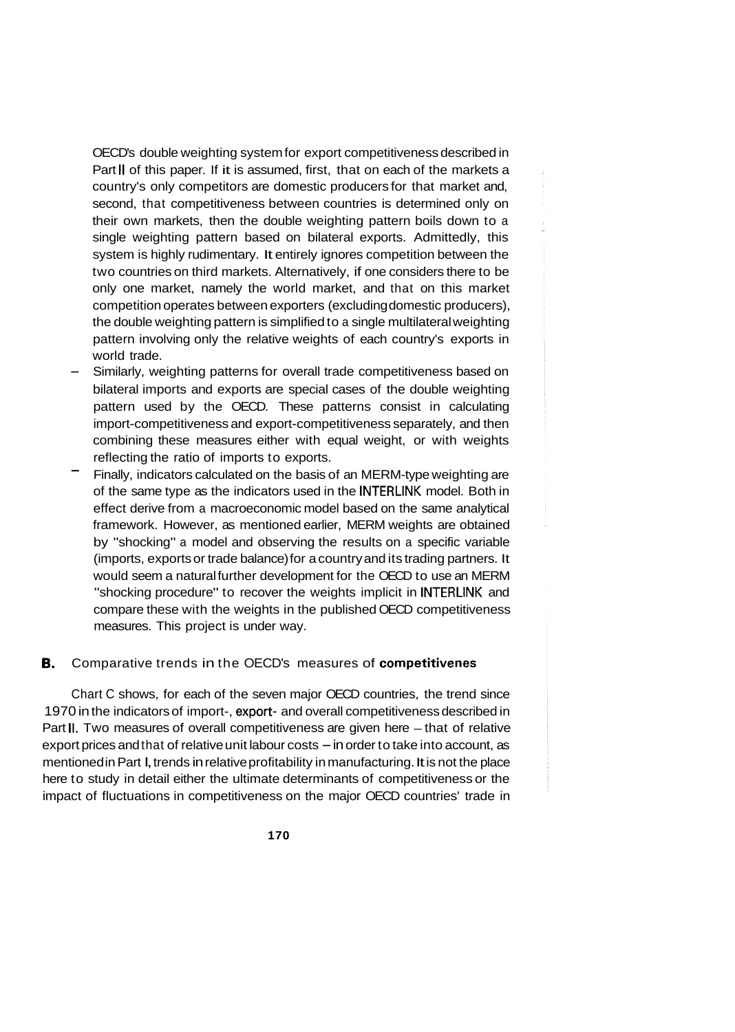OECD's double weighting system for export competitiveness described in Part II of this paper. If it is assumed, first, that on each of the markets a country's only competitors are domestic producers for that market and, second, that competitiveness between countries is determined only on their own markets, then the double weighting pattern boils down to a single weighting pattern based on bilateral exports. Admittedly, this system is highly rudimentary. It entirely ignores competition between the two countries on third markets. Alternatively, if one considers there to be only one market, namely the world market, and that on this market competition operates between exporters (excluding domestic producers), the double weighting pattern is simplified to a single multilateral weighting pattern involving only the relative weights of each country's exports in world trade.

- Similarly, weighting patterns for overall trade competitiveness based on bilateral imports and exports are special cases of the double weighting pattern used by the OECD. These patterns consist in calculating import-competitiveness and export-competitiveness separately, and then combining these measures either with equal weight, or with weights reflecting the ratio of imports to exports. -
- Finally, indicators calculated on the basis of an MERM-type weighting are of the same type as the indicators used in the INTERLINK model. Both in effect derive from a macroeconomic model based on the same analytical framework. However, as mentioned earlier, MERM weights are obtained by "shocking" a model and observing the results on a specific variable (imports, exports or trade balance) for a country and its trading partners. It would seem a natural further development for the OECD to use an MERM "shocking procedure" to recover the weights implicit in INTERLINK and compare these with the weights in the published OECD competitiveness measures. This project is under way.

### **B.** Comparative trends in the OECD's measures of **competitivenes**

Chart C shows, for each of the seven major OECD countries, the trend since 1970 in the indicators of import-, export- and overall competitiveness described in Part II. Two measures of overall competitiveness are given here - that of relative export prices and that of relative unit labour costs  $-$  in order to take into account, as mentioned in Part I, trends in relative profitability in manufacturing. It is not the place here to study in detail either the ultimate determinants of competitiveness or the impact of fluctuations in competitiveness on the major OECD countries' trade in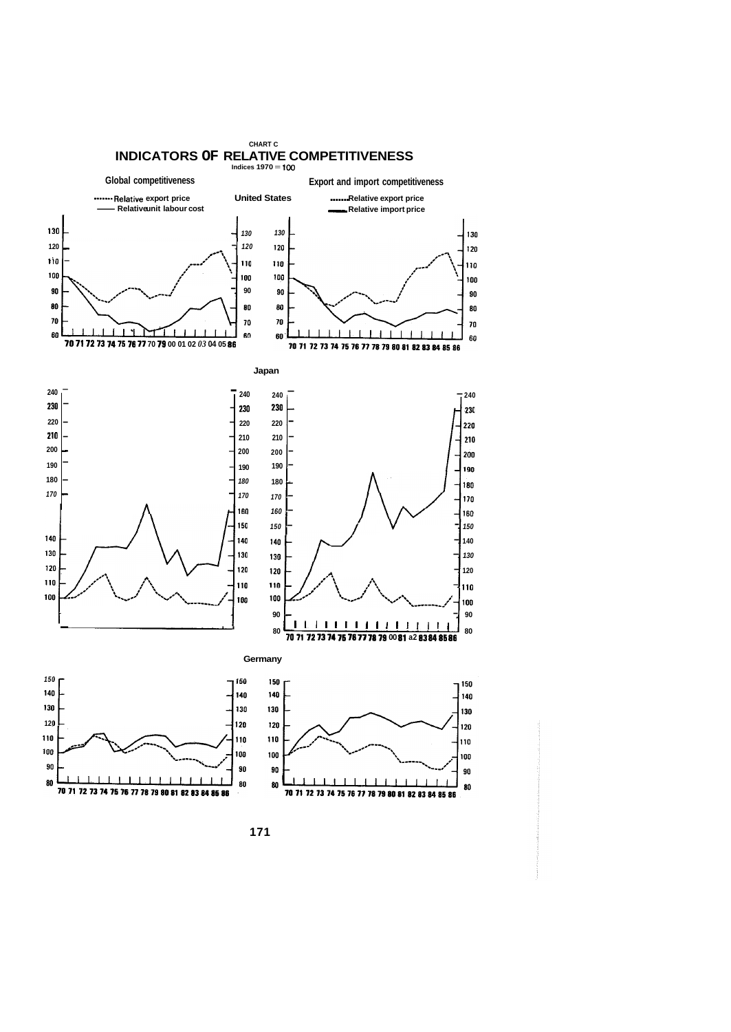

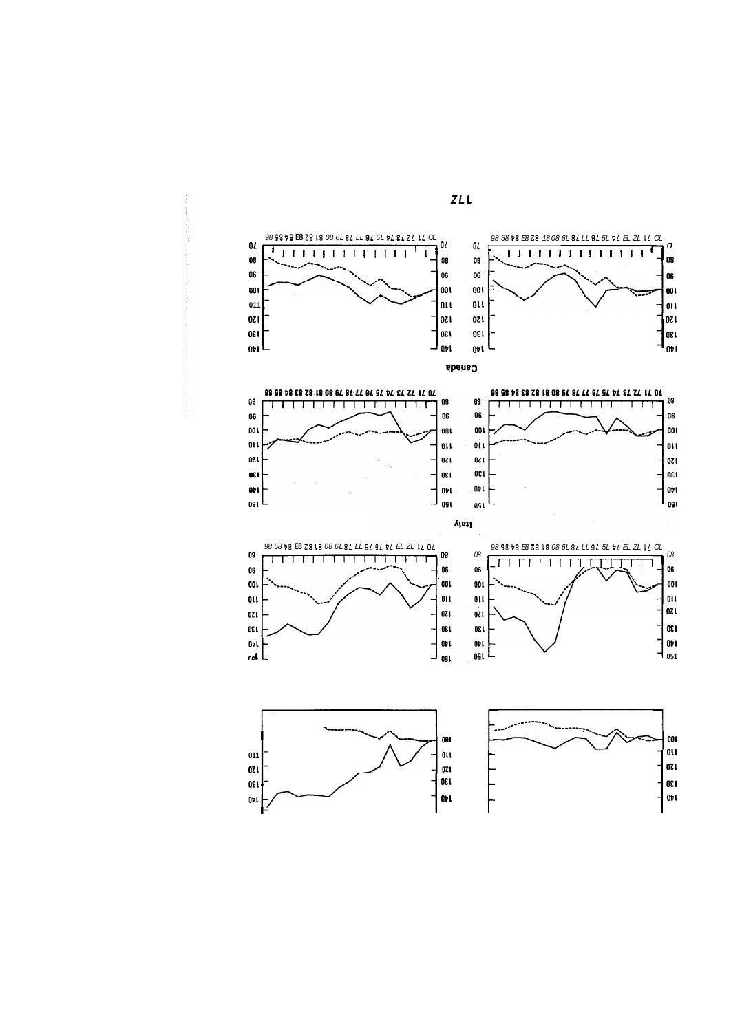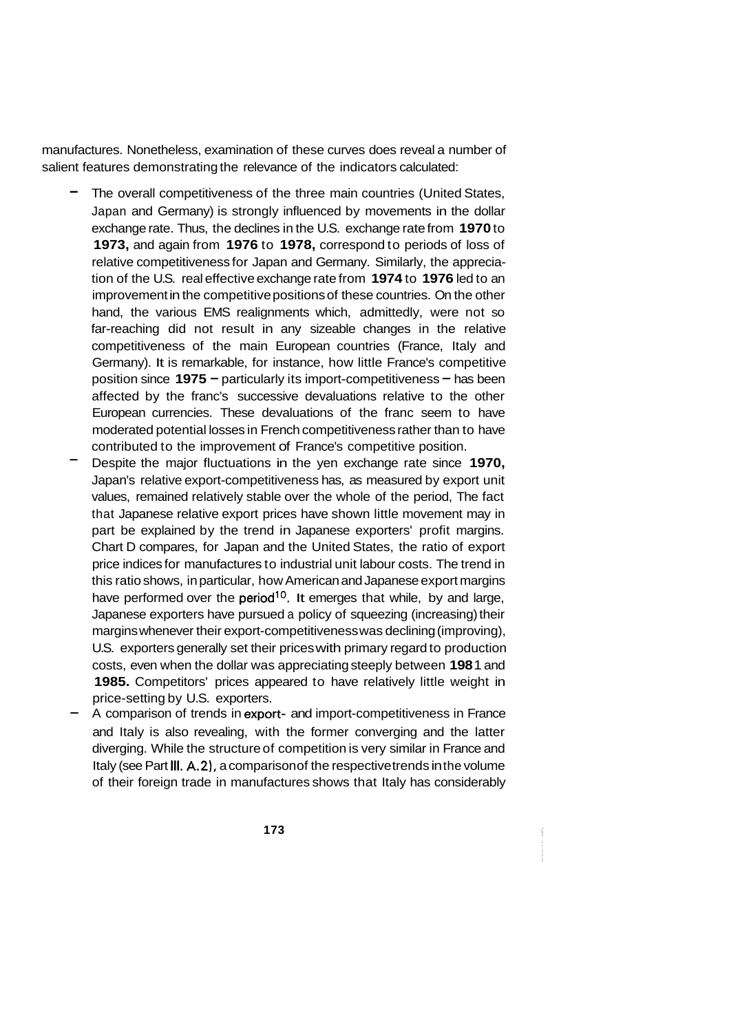manufactures. Nonetheless, examination of these curves does reveal a number of salient features demonstrating the relevance of the indicators calculated:

- The overall competitiveness of the three main countries (United States, Japan and Germany) is strongly influenced by movements in the dollar exchange rate. Thus, the declines in the U.S. exchange rate from **1970** to **1973,** and again from **1976** to **1978,** correspond to periods of loss of relative competitiveness for Japan and Germany. Similarly, the appreciation of the U.S. real effective exchange rate from **1974** to **1976** led to an improvement in the competitive positions of these countries. On the other hand, the various EMS realignments which, admittedly, were not so far-reaching did not result in any sizeable changes in the relative competitiveness of the main European countries (France, Italy and Germany). It is remarkable, for instance, how little France's competitive position since **1975** - particularly its import-competitiveness - has been affected by the franc's successive devaluations relative to the other European currencies. These devaluations of the franc seem to have moderated potential losses in French competitiveness rather than to have contributed to the improvement of France's competitive position.
- Despite the major fluctuations in the yen exchange rate since **1970,**  Japan's relative export-competitiveness has, as measured by export unit values, remained relatively stable over the whole of the period, The fact that Japanese relative export prices have shown little movement may in part be explained by the trend in Japanese exporters' profit margins. Chart D compares, for Japan and the United States, the ratio of export price indices for manufactures to industrial unit labour costs. The trend in this ratio shows, in particular, how American and Japanese export margins have performed over the period<sup>10</sup>. It emerges that while, by and large, Japanese exporters have pursued a policy of squeezing (increasing) their margins whenever their export-competitiveness was declining (improving), U.S. exporters generally set their prices with primary regard to production costs, even when the dollar was appreciating steeply between **198** 1 and **1985.** Competitors' prices appeared to have relatively little weight in price-setting by U.S. exporters. -
- A comparison of trends in export- and import-competitiveness in France and Italy is also revealing, with the former converging and the latter diverging. While the structure of competition is very similar in France and Italy (see Part **111. A.2),** a comparison of the respective trends in the volume of their foreign trade in manufactures shows that Italy has considerably
	- **173**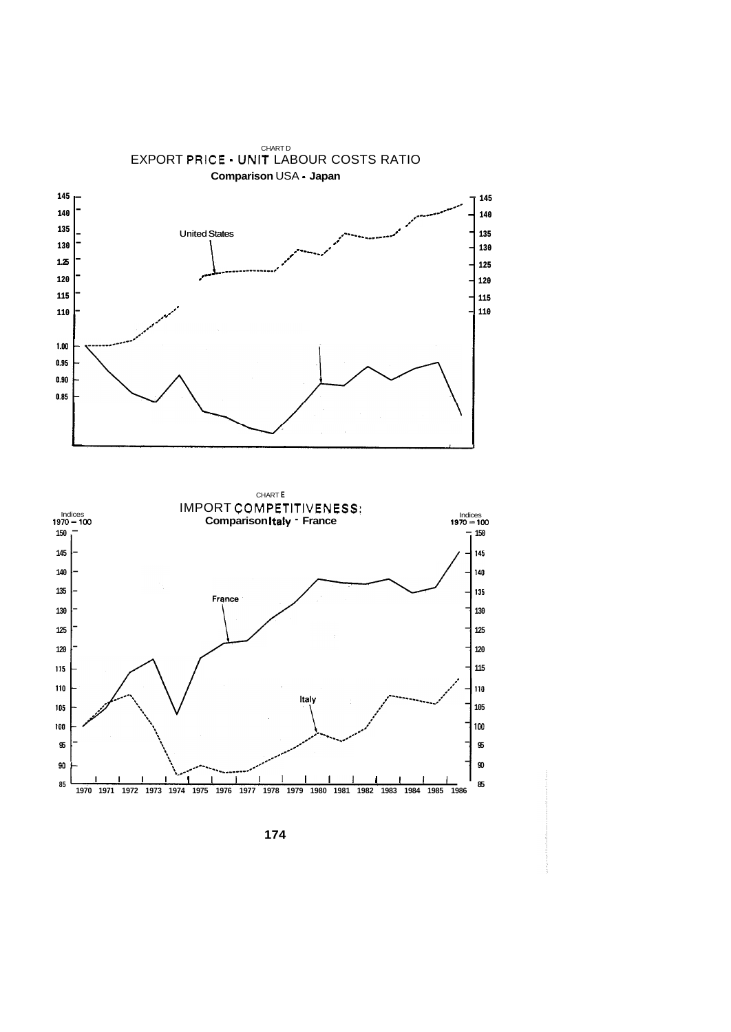

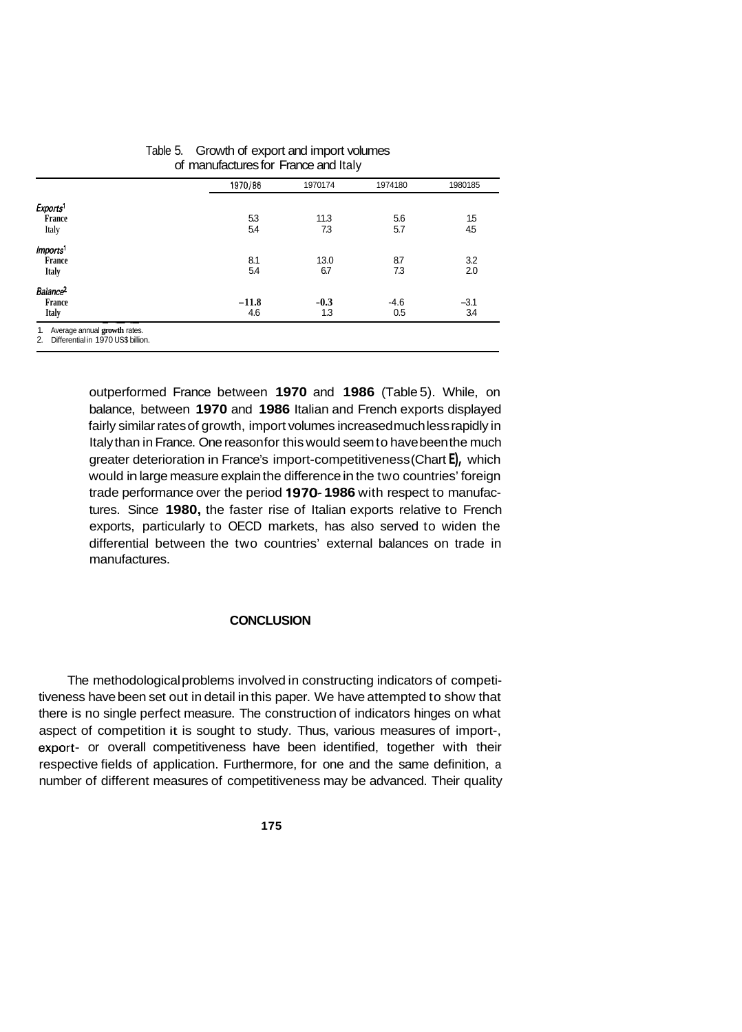|                      | 1970/86 | 1970174 | 1974180 | 1980185 |
|----------------------|---------|---------|---------|---------|
| Exports <sup>1</sup> |         |         |         |         |
| France               | 53      | 11.3    | 5.6     | 1.5     |
| Italy                | 5.4     | 7.3     | 5.7     | 45      |
| Imports <sup>1</sup> |         |         |         |         |
| France               | 8.1     | 13.0    | 8.7     | 3.2     |
| <b>Italy</b>         | 5.4     | 6.7     | 7.3     | 2.0     |
| Balance <sup>2</sup> |         |         |         |         |
| France               | $-11.8$ | $-0.3$  | $-4.6$  | $-3.1$  |
| <b>Italy</b>         | 4.6     | 1.3     | 0.5     | 3.4     |

#### Table 5. Growth of export and import volumes of manufactures for France and Italy

outperformed France between **1970** and **1986** (Table 5). While, on balance, between **1970** and **1986** Italian and French exports displayed fairly similar rates of growth, import volumes increased much less rapidly in Italy than in France. One reason for this would seem to have been the much greater deterioration in France's import-competitiveness (Chart **E),** which would in large measure explain the difference in the two countries' foreign trade performance over the period **1970- 1986** with respect to manufactures. Since **1980,** the faster rise of Italian exports relative to French exports, particularly to OECD markets, has also served to widen the differential between the two countries' external balances on trade in manufactures.

### **CONCLUSION**

The methodological problems involved in constructing indicators of competitiveness have been set out in detail in this paper. We have attempted to show that there is no single perfect measure. The construction of indicators hinges on what aspect of competition it is sought to study. Thus, various measures of import-, export- or overall competitiveness have been identified, together with their respective fields of application. Furthermore, for one and the same definition, a number of different measures of competitiveness may be advanced. Their quality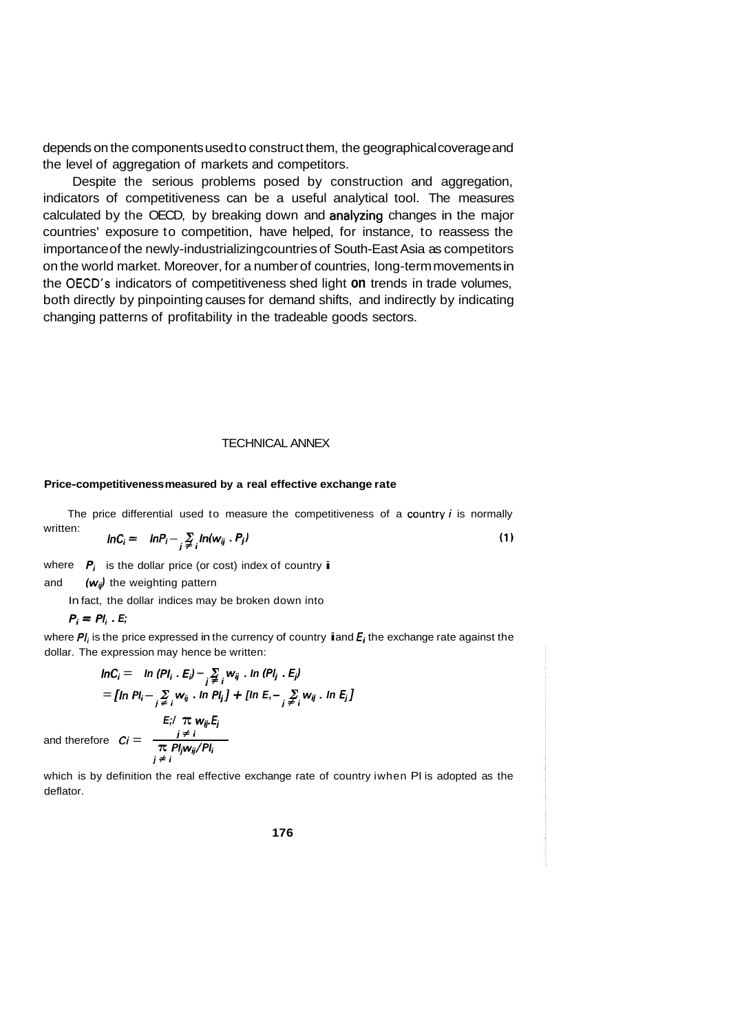depends on the components used to construct them, the geographical coverage and the level of aggregation of markets and competitors.

Despite the serious problems posed by construction and aggregation, indicators of competitiveness can be a useful analytical tool. The measures calculated by the OECD, by breaking down and analyzing changes in the major countries' exposure to competition, have helped, for instance, to reassess the importance of the newly-industrializing countries of South-East Asia as competitors on the world market. Moreover, for a number of countries, long-term movements in the OECD's indicators of competitiveness shed light **on** trends in trade volumes, both directly by pinpointing causes for demand shifts, and indirectly by indicating changing patterns of profitability in the tradeable goods sectors.

#### TECHNICAL ANNEX

#### **Price-competitiveness measured by a real effective exchange rate**

The price differential used to measure the competitiveness of a country  $i$  is normally written:

$$
lnC_i = lnP_i - \sum_{j \neq i} ln(w_{ij} P_j)
$$
 (1)

 $\overline{P_i}$  is the dollar price (or cost) index of country **i** 

#### and  $(w_{ij})$  the weighting pattern

In fact, the dollar indices may be broken down into

 $P_i = P_i$ . *E*;

where  $PI_i$  is the price expressed in the currency of country **i** and  $E_i$  the exchange rate against the dollar. The expression may hence be written:

$$
lnC_i = ln (Pl_i \cdot E_i) - \sum_{j \neq i} w_{ij} \cdot ln (Pl_j \cdot E_j)
$$
  
\n
$$
= [ln Pl_i - \sum_{j \neq i} w_{ij} \cdot ln Pl_j] + [ln E, - \sum_{j \neq i} w_{ij} \cdot ln E_j]
$$
  
\n
$$
E_i / \pi w_{ij} E_j
$$
  
\nand therefore  $C_i = \frac{i \neq i}{\pi Pl_j w_{ij}/Pl_i}$ 

which is by definition the real effective exchange rate of country iwhen PI is adopted as the deflator.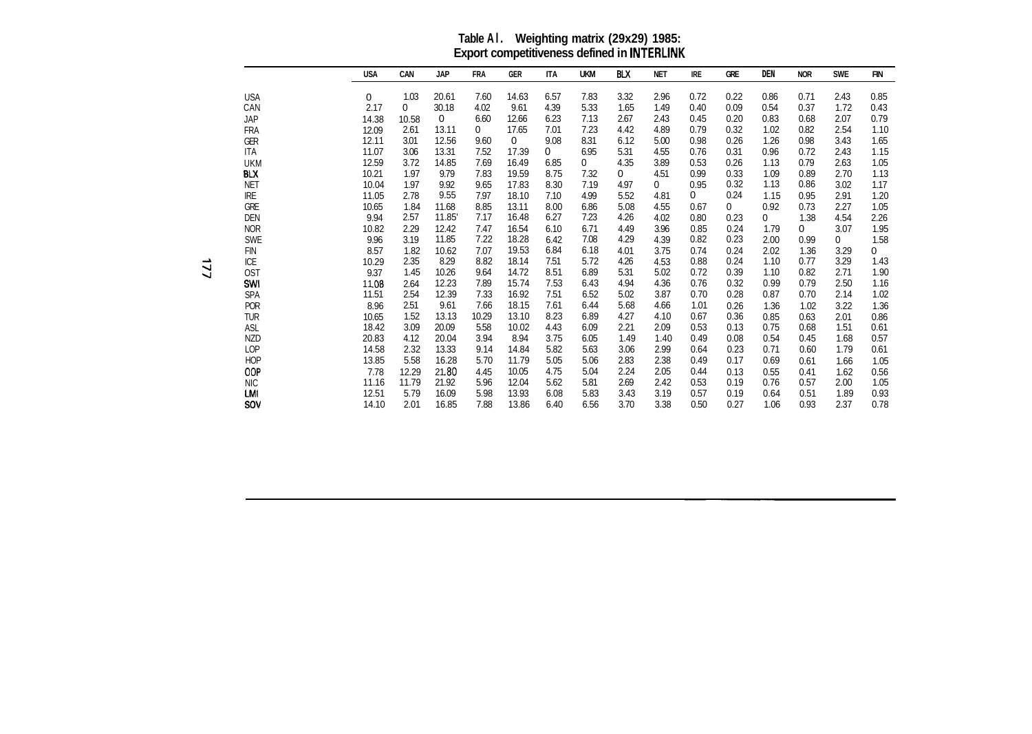**Table Al. Weighting matrix (29x29) 1985: Export competitiveness defined in INTERLINK** 

|            | <b>USA</b> | <b>CAN</b>  | <b>JAP</b> | <b>FRA</b> | <b>GER</b>  | <b>ITA</b> | <b>UKM</b>   | BLX  | <b>NET</b> | <b>IRE</b> | <b>GRE</b> | <b>DEN</b> | <b>NOR</b> | <b>SWE</b> | <b>FIN</b> |
|------------|------------|-------------|------------|------------|-------------|------------|--------------|------|------------|------------|------------|------------|------------|------------|------------|
| USA        | 0          | 1.03        | 20.61      | 7.60       | 14.63       | 6.57       | 7.83         | 3.32 | 2.96       | 0.72       | 0.22       | 0.86       | 0.71       | 2.43       | 0.85       |
| CAN        | 2.17       | $\mathbf 0$ | 30.18      | 4.02       | 9.61        | 4.39       | 5.33         | 1.65 | 1.49       | 0.40       | 0.09       | 0.54       | 0.37       | 1.72       | 0.43       |
| JAP        | 14.38      | 10.58       | 0          | 6.60       | 12.66       | 6.23       | 7.13         | 2.67 | 2.43       | 0.45       | 0.20       | 0.83       | 0.68       | 2.07       | 0.79       |
| FRA        | 12.09      | 2.61        | 13.11      | 0          | 17.65       | 7.01       | 7.23         | 4.42 | 4.89       | 0.79       | 0.32       | 1.02       | 0.82       | 2.54       | 1.10       |
| GER        | 12.11      | 3.01        | 12.56      | 9.60       | $\mathbf 0$ | 9.08       | 8.31         | 6.12 | 5.00       | 0.98       | 0.26       | 1.26       | 0.98       | 3.43       | 1.65       |
| ITA        | 11.07      | 3.06        | 13.31      | 7.52       | 17.39       | 0          | 6.95         | 5.31 | 4.55       | 0.76       | 0.31       | 0.96       | 0.72       | 2.43       | 1.15       |
| UKM        | 12.59      | 3.72        | 14.85      | 7.69       | 16.49       | 6.85       | $\mathbf{0}$ | 4.35 | 3.89       | 0.53       | 0.26       | 1.13       | 0.79       | 2.63       | 1.05       |
| BLX        | 10.21      | 1.97        | 9.79       | 7.83       | 19.59       | 8.75       | 7.32         | 0    | 4.51       | 0.99       | 0.33       | 1.09       | 0.89       | 2.70       | 1.13       |
| NET        | 10.04      | 1.97        | 9.92       | 9.65       | 17.83       | 8.30       | 7.19         | 4.97 | 0          | 0.95       | 0.32       | 1.13       | 0.86       | 3.02       | 1.17       |
| IRE        | 11.05      | 2.78        | 9.55       | 7.97       | 18.10       | 7.10       | 4.99         | 5.52 | 4.81       | 0          | 0.24       | 1.15       | 0.95       | 2.91       | 1.20       |
| GRE        | 10.65      | 1.84        | 11.68      | 8.85       | 13.11       | 8.00       | 6.86         | 5.08 | 4.55       | 0.67       | 0          | 0.92       | 0.73       | 2.27       | 1.05       |
| Den        | 9.94       | 2.57        | 11.85      | 7.17       | 16.48       | 6.27       | 7.23         | 4.26 | 4.02       | 0.80       | 0.23       | 0          | 1.38       | 4.54       | 2.26       |
| NOR        | 10.82      | 2.29        | 12.42      | 7.47       | 16.54       | 6.10       | 6.71         | 4.49 | 3.96       | 0.85       | 0.24       | 1.79       | 0          | 3.07       | 1.95       |
| <b>SWE</b> | 9.96       | 3.19        | 11.85      | 7.22       | 18.28       | 6.42       | 7.08         | 4.29 | 4.39       | 0.82       | 0.23       | 2.00       | 0.99       | 0          | 1.58       |
| <b>FIN</b> | 8.57       | 1.82        | 10.62      | 7.07       | 19.53       | 6.84       | 6.18         | 4.01 | 3.75       | 0.74       | 0.24       | 2.02       | 1.36       | 3.29       | 0          |
| ICE        | 10.29      | 2.35        | 8.29       | 8.82       | 18.14       | 7.51       | 5.72         | 4.26 | 4.53       | 0.88       | 0.24       | 1.10       | 0.77       | 3.29       | 1.43       |
| OST        | 9.37       | 1.45        | 10.26      | 9.64       | 14.72       | 8.51       | 6.89         | 5.31 | 5.02       | 0.72       | 0.39       | 1.10       | 0.82       | 2.71       | 1.90       |
| SWI        | 11.08      | 2.64        | 12.23      | 7.89       | 15.74       | 7.53       | 6.43         | 4.94 | 4.36       | 0.76       | 0.32       | 0.99       | 0.79       | 2.50       | 1.16       |
| <b>SPA</b> | 11.51      | 2.54        | 12.39      | 7.33       | 16.92       | 7.51       | 6.52         | 5.02 | 3.87       | 0.70       | 0.28       | 0.87       | 0.70       | 2.14       | 1.02       |
| <b>POR</b> | 8.96       | 2.51        | 9.61       | 7.66       | 18.15       | 7.61       | 6.44         | 5.68 | 4.66       | 1.01       | 0.26       | 1.36       | 1.02       | 3.22       | 1.36       |
| TUR        | 10.65      | 1.52        | 13.13      | 10.29      | 13.10       | 8.23       | 6.89         | 4.27 | 4.10       | 0.67       | 0.36       | 0.85       | 0.63       | 2.01       | 0.86       |
| ASL        | 18.42      | 3.09        | 20.09      | 5.58       | 10.02       | 4.43       | 6.09         | 2.21 | 2.09       | 0.53       | 0.13       | 0.75       | 0.68       | 1.51       | 0.61       |
| <b>NZD</b> | 20.83      | 4.12        | 20.04      | 3.94       | 8.94        | 3.75       | 6.05         | 1.49 | 1.40       | 0.49       | 0.08       | 0.54       | 0.45       | 1.68       | 0.57       |
| LOP        | 14.58      | 2.32        | 13.33      | 9.14       | 14.84       | 5.82       | 5.63         | 3.06 | 2.99       | 0.64       | 0.23       | 0.71       | 0.60       | 1.79       | 0.61       |
| <b>HOP</b> | 13.85      | 5.58        | 16.28      | 5.70       | 11.79       | 5.05       | 5.06         | 2.83 | 2.38       | 0.49       | 0.17       | 0.69       | 0.61       | 1.66       | 1.05       |
| OOP        | 7.78       | 12.29       | 21.80      | 4.45       | 10.05       | 4.75       | 5.04         | 2.24 | 2.05       | 0.44       | 0.13       | 0.55       | 0.41       | 1.62       | 0.56       |
| <b>NIC</b> | 11.16      | 11.79       | 21.92      | 5.96       | 12.04       | 5.62       | 5.81         | 2.69 | 2.42       | 0.53       | 0.19       | 0.76       | 0.57       | 2.00       | 1.05       |
| lmi        | 12.51      | 5.79        | 16.09      | 5.98       | 13.93       | 6.08       | 5.83         | 3.43 | 3.19       | 0.57       | 0.19       | 0.64       | 0.51       | 1.89       | 0.93       |
| SOV        | 14.10      | 2.01        | 16.85      | 7.88       | 13.86       | 6.40       | 6.56         | 3.70 | 3.38       | 0.50       | 0.27       | 1.06       | 0.93       | 2.37       | 0.78       |

-.A **4 4**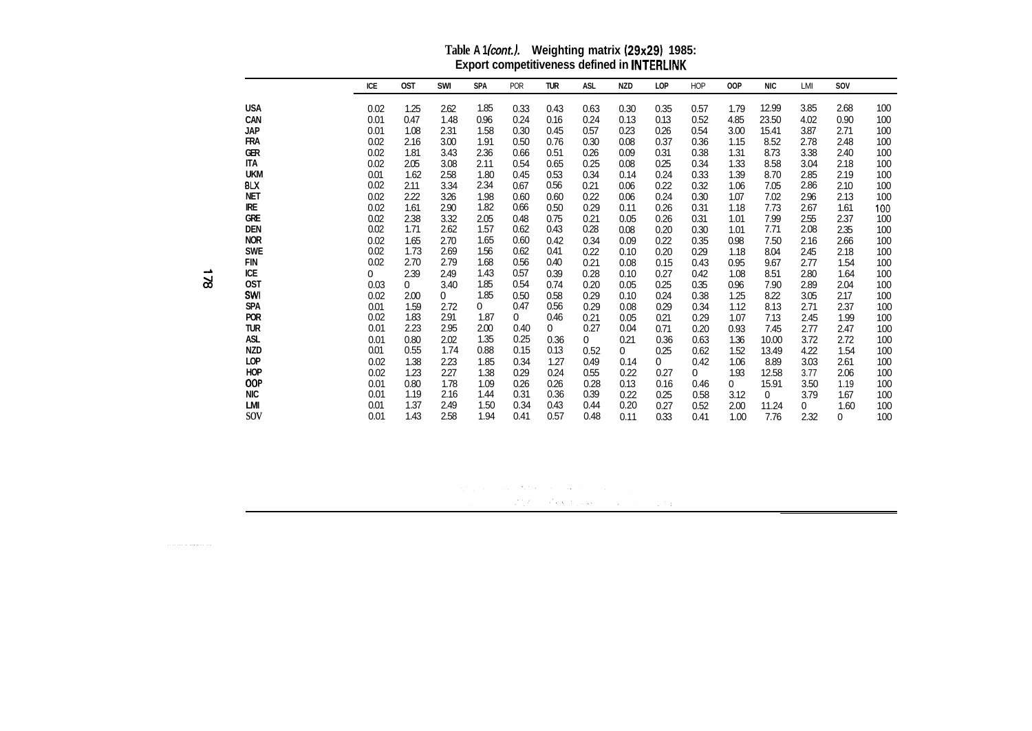| Table A 1(cont.). | Weighting matrix (29x29) 1985:                     |
|-------------------|----------------------------------------------------|
|                   | <b>Export competitiveness defined in INTERLINK</b> |

|            | ICE          | <b>OST</b>     | SWI          | <b>SPA</b>   | POR  | <b>TUR</b>   | ASL          | <b>NZD</b>   | LOP  | <b>HOP</b>   | <b>OOP</b>     | <b>NIC</b> | LMI          | SOV          |     |
|------------|--------------|----------------|--------------|--------------|------|--------------|--------------|--------------|------|--------------|----------------|------------|--------------|--------------|-----|
| <b>USA</b> | 0.02         | 1.25           | 2.62         | 1.85         | 0.33 | 0.43         | 0.63         | 0.30         | 0.35 | 0.57         | 1.79           | 12.99      | 3.85         | 2.68         | 100 |
| <b>CAN</b> | 0.01         | 0.47           | 1.48         | 0.96         | 0.24 | 0.16         | 0.24         | 0.13         | 0.13 | 0.52         | 4.85           | 23.50      | 4.02         | 0.90         | 100 |
| <b>JAP</b> | 0.01         | 1.08           | 2.31         | 1.58         | 0.30 | 0.45         | 0.57         | 0.23         | 0.26 | 0.54         | 3.00           | 15.41      | 3.87         | 2.71         | 100 |
| <b>FRA</b> | 0.02         | 2.16           | 3.00         | 1.91         | 0.50 | 0.76         | 0.30         | 0.08         | 0.37 | 0.36         | 1.15           | 8.52       | 2.78         | 2.48         | 100 |
| GER        | 0.02         | 1.81           | 3.43         | 2.36         | 0.66 | 0.51         | 0.26         | 0.09         | 0.31 | 0.38         | 1.31           | 8.73       | 3.38         | 2.40         | 100 |
| ITA        | 0.02         | 2.05           | 3.08         | 2.11         | 0.54 | 0.65         | 0.25         | 0.08         | 0.25 | 0.34         | 1.33           | 8.58       | 3.04         | 2.18         | 100 |
| <b>UKM</b> | 0.01         | 1.62           | 2.58         | 1.80         | 0.45 | 0.53         | 0.34         | 0.14         | 0.24 | 0.33         | 1.39           | 8.70       | 2.85         | 2.19         | 100 |
| <b>BLX</b> | 0.02         | 2.11           | 3.34         | 2.34         | 0.67 | 0.56         | 0.21         | 0.06         | 0.22 | 0.32         | 1.06           | 7.05       | 2.86         | 2.10         | 100 |
| <b>NET</b> | 0.02         | 2.22           | 3.26         | 1.98         | 0.60 | 0.60         | 0.22         | 0.06         | 0.24 | 0.30         | 1.07           | 7.02       | 2.96         | 2.13         | 100 |
| <b>IRE</b> | 0.02         | 1.61           | 2.90         | 1.82         | 0.66 | 0.50         | 0.29         | 0.11         | 0.26 | 0.31         | 1.18           | 7.73       | 2.67         | 1.61         | 100 |
| <b>GRE</b> | 0.02         | 2.38           | 3.32         | 2.05         | 0.48 | 0.75         | 0.21         | 0.05         | 0.26 | 0.31         | 1.01           | 7.99       | 2.55         | 2.37         | 100 |
| <b>DEN</b> | 0.02         | 1.71           | 2.62         | 1.57         | 0.62 | 0.43         | 0.28         | 0.08         | 0.20 | 0.30         | 1.01           | 7.71       | 2.08         | 2.35         | 100 |
| <b>NOR</b> | 0.02         | 1.65           | 2.70         | 1.65         | 0.60 | 0.42         | 0.34         | 0.09         | 0.22 | 0.35         | 0.98           | 7.50       | 2.16         | 2.66         | 100 |
| <b>SWE</b> | 0.02         | 1.73           | 2.69         | 1.56         | 0.62 | 0.41         | 0.22         | 0.10         | 0.20 | 0.29         | 1.18           | 8.04       | 2.45         | 2.18         | 100 |
| FIN        | 0.02         | 2.70           | 2.79         | 1.68         | 0.56 | 0.40         | 0.21         | 0.08         | 0.15 | 0.43         | 0.95           | 9.67       | 2.77         | 1.54         | 100 |
| ICE        | $\mathbf{0}$ | 2.39           | 2.49         | 1.43         | 0.57 | 0.39         | 0.28         | 0.10         | 0.27 | 0.42         | 1.08           | 8.51       | 2.80         | 1.64         | 100 |
| <b>OST</b> | 0.03         | $\overline{0}$ | 3.40         | 1.85         | 0.54 | 0.74         | 0.20         | 0.05         | 0.25 | 0.35         | 0.96           | 7.90       | 2.89         | 2.04         | 100 |
| SWI        | 0.02         | 2.00           | $\mathbf{0}$ | 1.85         | 0.50 | 0.58         | 0.29         | 0.10         | 0.24 | 0.38         | 1.25           | 8.22       | 3.05         | 2.17         | 100 |
| <b>SPA</b> | 0.01         | 1.59           | 2.72         | $\mathbf{0}$ | 0.47 | 0.56         | 0.29         | 0.08         | 0.29 | 0.34         | 1.12           | 8.13       | 2.71         | 2.37         | 100 |
| <b>POR</b> | 0.02         | 1.83           | 2.91         | 1.87         | 0    | 0.46         | 0.21         | 0.05         | 0.21 | 0.29         | 1.07           | 7.13       | 2.45         | 1.99         | 100 |
| <b>TUR</b> | 0.01         | 2.23           | 2.95         | 2.00         | 0.40 | $\mathbf{0}$ | 0.27         | 0.04         | 0.71 | 0.20         | 0.93           | 7.45       | 2.77         | 2.47         | 100 |
| ASL        | 0.01         | 0.80           | 2.02         | 1.35         | 0.25 | 0.36         | $\mathbf{0}$ | 0.21         | 0.36 | 0.63         | 1.36           | 10.00      | 3.72         | 2.72         | 100 |
| NZD        | 0.01         | 0.55           | 1.74         | 0.88         | 0.15 | 0.13         | 0.52         | $\mathbf{0}$ | 0.25 | 0.62         | 1.52           | 13.49      | 4.22         | 1.54         | 100 |
| LOP        | 0.02         | 1.38           | 2.23         | 1.85         | 0.34 | 1.27         | 0.49         | 0.14         | 0    | 0.42         | 1.06           | 8.89       | 3.03         | 2.61         | 100 |
| <b>HOP</b> | 0.02         | 1.23           | 2.27         | 1.38         | 0.29 | 0.24         | 0.55         | 0.22         | 0.27 | $\mathbf{0}$ | 1.93           | 12.58      | 3.77         | 2.06         | 100 |
| <b>OOP</b> | 0.01         | 0.80           | 1.78         | 1.09         | 0.26 | 0.26         | 0.28         | 0.13         | 0.16 | 0.46         | $\overline{0}$ | 15.91      | 3.50         | 1.19         | 100 |
| <b>NIC</b> | 0.01         | 1.19           | 2.16         | 1.44         | 0.31 | 0.36         | 0.39         | 0.22         | 0.25 | 0.58         | 3.12           | $\Omega$   | 3.79         | 1.67         | 100 |
| LMI        | 0.01         | 1.37           | 2.49         | 1.50         | 0.34 | 0.43         | 0.44         | 0.20         | 0.27 | 0.52         | 2.00           | 11.24      | $\mathbf{0}$ | 1.60         | 100 |
| SOV        | 0.01         | 1.43           | 2.58         | 1.94         | 0.41 | 0.57         | 0.48         | 0.11         | 0.33 | 0.41         | 1.00           | 7.76       | 2.32         | $\mathbf{0}$ | 100 |

 $\label{eq:2.1} \begin{split} \mathcal{L}_{\text{G}}\left(\mathcal{M}_{\text{G}}\right) & = \mathcal{L}_{\text{G}}\left(\mathcal{M}_{\text{G}}\right) + \mathcal{M}_{\text{G}}\left(\mathcal{M}_{\text{G}}\right) + \mathcal{L}_{\text{G}}\left(\mathcal{M}_{\text{G}}\right) \right) \\ & = \mathcal{L}_{\text{G}}\left(\mathcal{L}_{\text{G}}\right) + \mathcal{L}_{\text{G}}\left(\mathcal{M}_{\text{G}}\right) + \mathcal{L}_{\text{G}}\left(\mathcal{M}_{\text{G}}\right) + \mathcal{$ 

<sup>~</sup>**ICE A** 

 $\sim$  and a set of the maximum matrix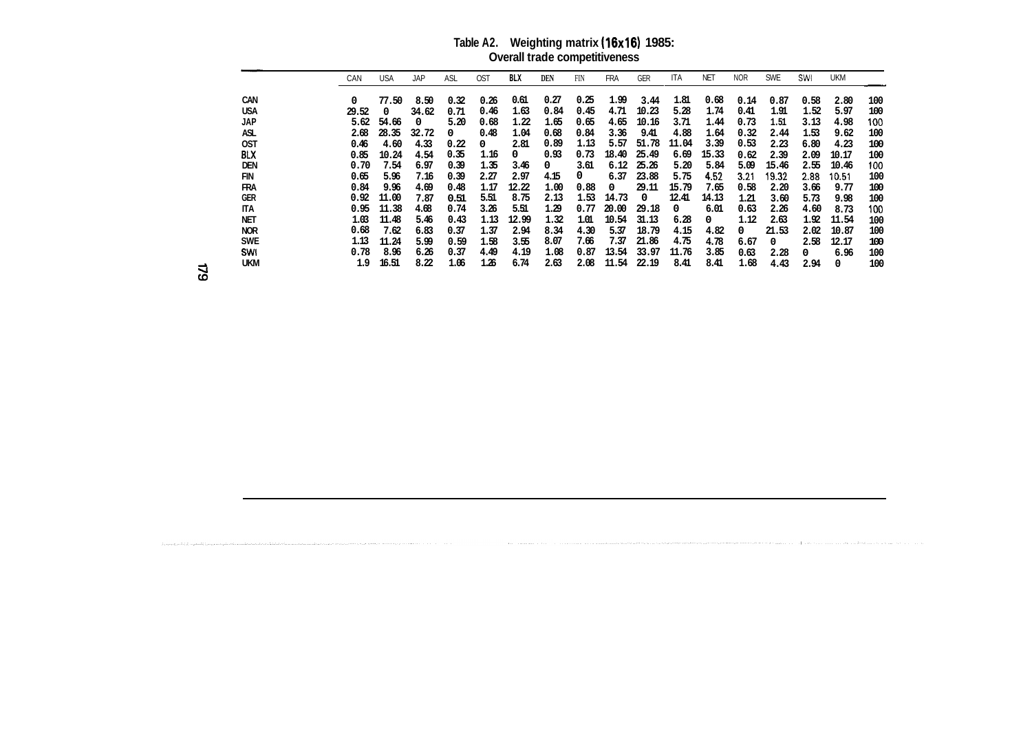### **Table A2. Weighting matrix (16x16) 1985: Overall trade competitiveness**

| Weighting matrix (16x16) 1985:<br>Table A2.<br><b>Overall trade competitiveness</b> |            |            |            |            |            |      |            |            |       |            |            |            |            |      |            |     |
|-------------------------------------------------------------------------------------|------------|------------|------------|------------|------------|------|------------|------------|-------|------------|------------|------------|------------|------|------------|-----|
| CAN                                                                                 | <b>USA</b> | <b>JAP</b> | <b>ASL</b> | <b>OST</b> | <b>BLX</b> | DEN  | <b>FIN</b> | <b>FRA</b> | GER   | <b>ITA</b> | <b>NET</b> | <b>NOR</b> | <b>SWE</b> | SWI  | <b>UKM</b> |     |
| 0                                                                                   | 77.50      | 8.50       | 0.32       | 0.26       | 0.61       | 0.27 | 0.25       | 1.99       | 3.44  | 1.81       | 0.68       | 0.14       | 0.87       | 0.58 | 2.80       | 100 |
| 29.52                                                                               | 0          | 34.62      | 0.71       | 0.46       | 1.63       | 0.84 | 0.45       | 4.71       | 10.23 | 5.28       | 1.74       | 0.41       | 1.91       | 1.52 | 5.97       | 100 |
| 5.62                                                                                | 54.66      | 0          | 5.20       | 0.68       | 1.22       | 1.65 | 0.65       | 4.65       | 10.16 | 3.71       | 1.44       | 0.73       | 1.51       | 3.13 | 4.98       | 100 |
| 2.68                                                                                | 28.35      | 32.72      | 0          | 0.48       | 1.04       | 0.68 | 0.84       | 3.36       | 9.41  | 4.88       | 1.64       | 0.32       | 2.44       | 1.53 | 9.62       | 100 |
| 0.46                                                                                | 4.60       | 4.33       | 0.22       | 0          | 2.81       | 0.89 | 1.13       | 5.57       | 51.78 | 11.04      | 3.39       | 0.53       | 2.23       | 6.80 | 4.23       | 100 |
| 0.85                                                                                | 10.24      | 4.54       | 0.35       | 1.16       | 0          | 0.93 | 0.73       | 18.40      | 25.49 | 6.69       | 15.33      | 0.62       | 2.39       | 2.09 | 10.17      | 100 |
| 0.70                                                                                | 7.54       | 6.97       | 0.39       | 1.35       | 3.46       | 0    | 3.61       | 6.12       | 25.26 | 5.20       | 5.84       | 5.09       | 15.46      | 2.55 | 10.46      | 100 |
| 0.65                                                                                | 5.96       | 7.16       | 0.39       | 2.27       | 2.97       | 4.15 | 0          | 6.37       | 23.88 | 5.75       | 4.52       | 3.21       | 19.32      | 2.88 | 10.51      | 100 |
| 0.84                                                                                | 9.96       | 4.69       | 0.48       | 1.17       | 12.22      | 1.00 | 0.88       | 0          | 29.11 | 15.79      | 7.65       | 0.58       | 2.20       | 3.66 | 9.77       | 100 |
| 0.92                                                                                | 11.00      | 7.87       | 0.51       | 5.51       | 8.75       | 2.13 | 1.53       | 14.73      | 0     | 12.41      | 14.13      | 1.21       | 3.60       | 5.73 | 9.98       | 100 |
| 0.95                                                                                | 11.38      | 4.68       | 0.74       | 3.26       | 5.51       | 1.29 | 0.77       | 20.00      | 29.18 | 0          | 6.01       | 0.63       | 2.26       | 4.60 | 8.73       | 100 |
| 1.03                                                                                | 11.48      | 5.46       | 0.43       | 1.13       | 12.99      | 1.32 | 1.01       | 10.54      | 31.13 | 6.28       | 0          | 1.12       | 2.63       | 1.92 | 11.54      | 100 |
| 0.68                                                                                | 7.62       | 6.83       | 0.37       | 1.37       | 2.94       | 8.34 | 4.30       | 5.37       | 18.79 | 4.15       | 4.82       | $\Omega$   | 21.53      | 2.02 | 10.87      | 100 |
| 1.13                                                                                | 11.24      | 5.99       | 0.59       | 1.58       | 3.55       | 8.07 | 7.66       | 7.37       | 21.86 | 4.75       | 4.78       | 6.67       | 0          | 2.58 | 12.17      | 100 |
| 0.78                                                                                | 8.96       | 6.26       | 0.37       | 4.49       | 4.19       | 1.08 | 0.87       | 13.54      | 33.97 | 11.76      | 3.85       | 0.63       | 2.28       | 0    | 6.96       | 100 |
| 1.9                                                                                 | 16.51      | 8.22       | 1.06       | 1.26       | 6.74       | 2.63 | 2.08       | 11.54      | 22.19 | 8.41       | 8.41       | 1.68       | 4.43       | 2.94 | 0          | 100 |

**SWI 4 UKM 4**  64

**CAN USA JAP ASL OST BLX DEN FIN FRA GER ITA NET NOR SWE**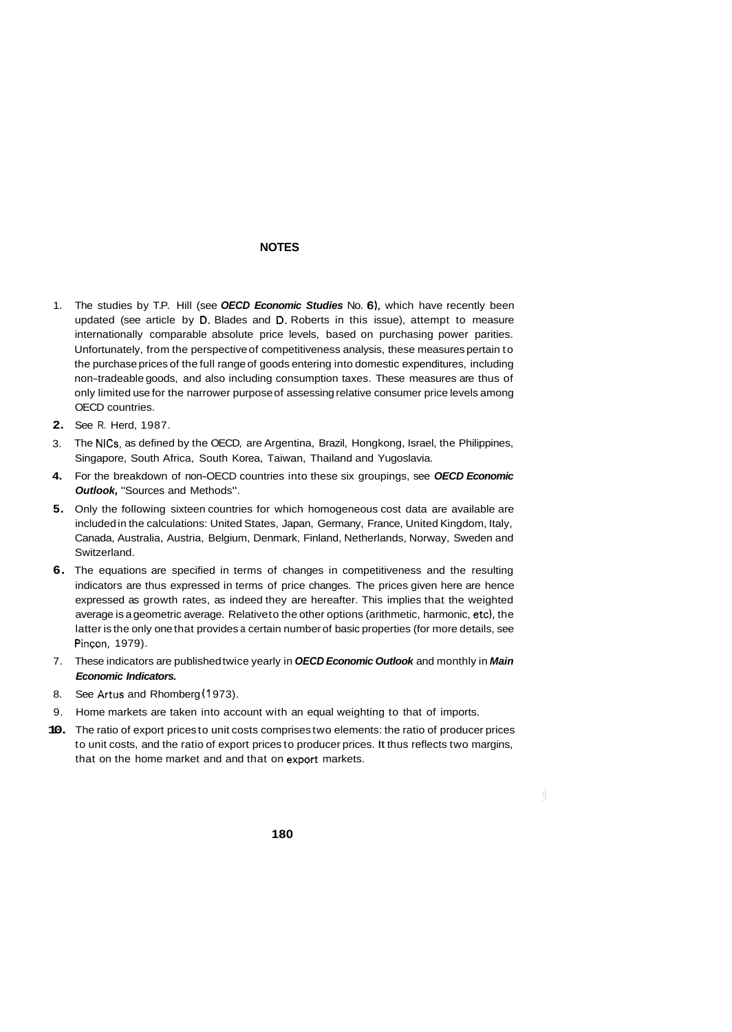#### **NOTES**

- 1. The studies by T.P. Hill (see *OECD Economic Studies* No. **61,** which have recently been updated (see article by D. Blades and D. Roberts in this issue), attempt to measure internationally comparable absolute price levels, based on purchasing power parities. Unfortunately, from the perspective of competitiveness analysis, these measures pertain to the purchase prices of the full range of goods entering into domestic expenditures, including non-tradeable goods, and also including consumption taxes. These measures are thus of only limited use for the narrower purpose of assessing relative consumer price levels among OECD countries.
- **2.**  See R. Herd, 1987.
- 3. The NICs, as defined by the OECD, are Argentina, Brazil, Hongkong, Israel, the Philippines, Singapore, South Africa, South Korea, Taiwan, Thailand and Yugoslavia.
- **4.**  For the breakdown of non-OECD countries into these six groupings, see *OECD Economic Outlook,* "Sources and Methods".
- **5.**  Only the following sixteen countries for which homogeneous cost data are available are included in the calculations: United States, Japan, Germany, France, United Kingdom, Italy, Canada, Australia, Austria, Belgium, Denmark, Finland, Netherlands, Norway, Sweden and **Switzerland**
- **6.**  The equations are specified in terms of changes in competitiveness and the resulting indicators are thus expressed in terms of price changes. The prices given here are hence expressed as growth rates, as indeed they are hereafter. This implies that the weighted average is a geometric average. Relative to the other options (arithmetic, harmonic, etc), the latter is the only one that provides a certain number of basic properties (for more details, see Pincon, 1979).
- 7. These indicators are published twice yearly in *OECD Economic Outlook* and monthly in *Main Economic Indicators.*
- 8. See Artus and Rhomberg (1973).
- 9. Home markets are taken into account with an equal weighting to that of imports.
- **10.**  The ratio of export prices to unit costs comprises two elements: the ratio of producer prices to unit costs, and the ratio of export prices to producer prices. It thus reflects two margins, that on the home market and and that on export markets.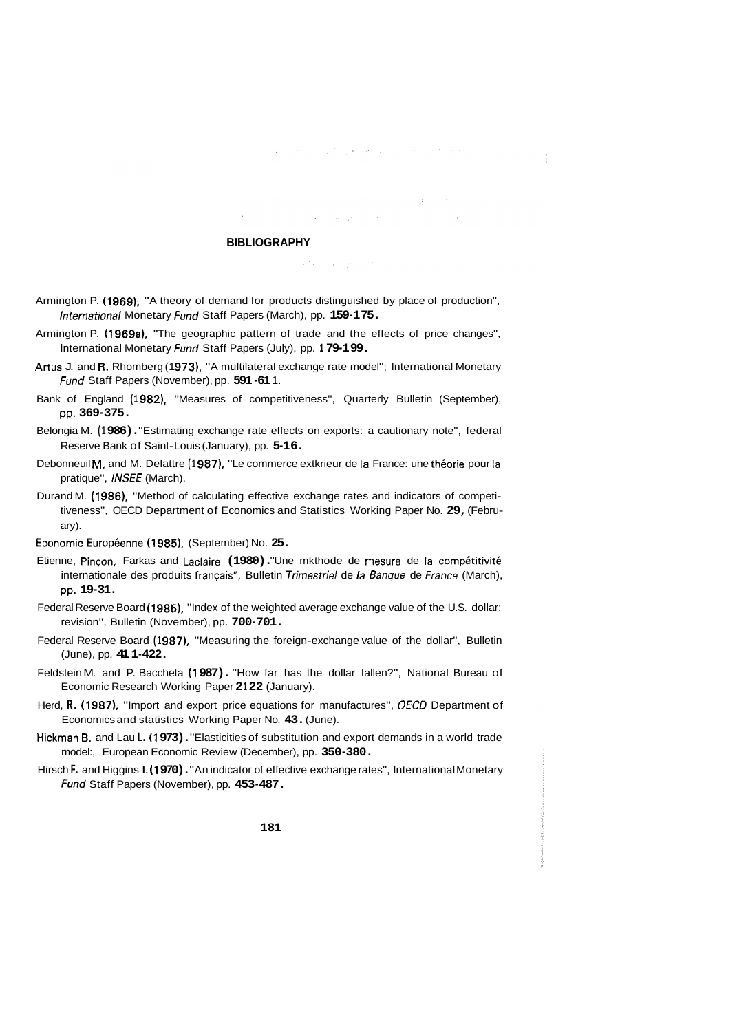#### **BIBLIOGRAPHY**

 $\mathcal{L}^{\mathcal{L}}$  , we can expect the contribution of  $\mathcal{L}^{\mathcal{L}}$ 

state of the company

 $\label{eq:2.1} \langle \phi^{\alpha} \phi \rangle = \langle \phi^{\alpha} \phi^{\alpha} \phi \rangle = \langle \phi^{\alpha} \phi^{\alpha} \rangle$ 

 $\sim 10^7$ 

- Armington P. **(1 969),** "A theory of demand for products distinguished by place of production", lnternational Monetary fund Staff Papers (March), pp. **159-1 75.**
- Armington P. **(1 969a),** "The geographic pattern of trade and the effects of price changes", lnternational Monetary fund Staff Papers (July), pp. **1 79-1 99.**
- Artus J. and R. Rhomberg (1973), "A multilateral exchange rate model"; International Monetary fund Staff Papers (November), pp. **591 -61** 1.
- Bank of England **(1 982),** "Measures of competitiveness", Quarterly Bulletin (September), pp. **369-375.**
- Belongia M. **(1 986).** "Estimating exchange rate effects on exports: a cautionary note", federal Reserve Bank of Saint-Louis (January), pp. **5-1 6.**
- Debonneuil M. and M. Delattre (1987), "Le commerce extkrieur de la France: une théorie pour la pratique", INSEE (March).
- Durand M. **(I 986),** "Method of calculating effective exchange rates and indicators of competitiveness", OECD Department of Economics and Statistics Working Paper No. **29,** (February).
- Economie Européenne (1985), (September) No. 25.
- Etienne, Pincon, Farkas and Laclaire (1980). "Une mkthode de mesure de la compétitivité internationale des produits français", Bulletin Trimestriel de la Banque de France (March), pp. **19-31.**
- Federal Reserve Board **(1 985),** "Index of the weighted average exchange value of the U.S. dollar: revision", Bulletin (November), pp. **700-701.**
- Federal Reserve Board (1987), "Measuring the foreign-exchange value of the dollar", Bulletin (June), pp. **41 1-422.**
- Feldstein M. and P. Baccheta **(1 987).** "How far has the dollar fallen?", National Bureau of Economic Research Working Paper 2122 (January).
- Herd, **R. (1 987).** "Import and export price equations for manufactures", *OECD* Department of Economics and statistics Working Paper No. **43.** (June).
- Hickman **B.** and Lau **L. (1 973).** "Elasticities of substitution and export demands in a world trade model:, European Economic Review (December), pp. **350-380.**
- Hirsch **F.** and Higgins I. **(1 970).** "An indicator of effective exchange rates", lnternational Monetary fund Staff Papers (November), pp. **453-487.**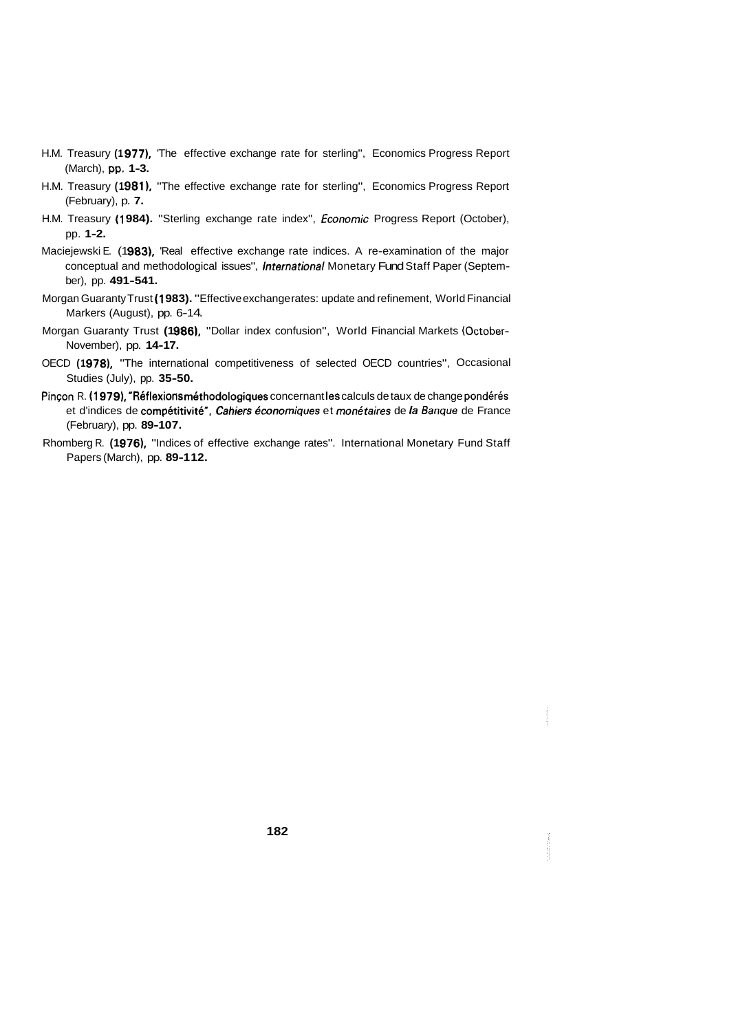- H.M. Treasury **(1 977),** 'The effective exchange rate for sterling", Economics Progress Report (March), pp. **1-3.**
- H.M. Treasury **(1 981),** "The effective exchange rate for sterling", Economics Progress Report (February), p. **7.**
- H.M. Treasury **(1 984).** "Sterling exchange rate index", Economic Progress Report (October), pp. **1-2.**
- Maciejewski E. (1983), 'Real effective exchange rate indices. A re-examination of the major conceptual and methodological issues", lnternational Monetary Fund Staff Paper (September), pp. **491-541.**
- Morgan Guaranty Trust **(1 983).** "Effective exchange rates: update and refinement, World Financial Markers (August), pp. 6-14.
- Morgan Guaranty Trust (1986), "Dollar index confusion", World Financial Markets (October-November), pp. **14-17.**
- OECD **(1 978),** "The international competitiveness of selected OECD countries", Occasional Studies (July), pp. **35-50.**
- Pinçon R. (1979), "Réflexions méthodologiques concernant les calculs de taux de change pondérés et d'indices de compétitivité". Cahiers économiques et monétaires de la Banque de France (February), pp. **89-1 07.**
- Rhomberg R. (1976), "Indices of effective exchange rates". International Monetary Fund Staff Papers (March), pp. **89-1 12.**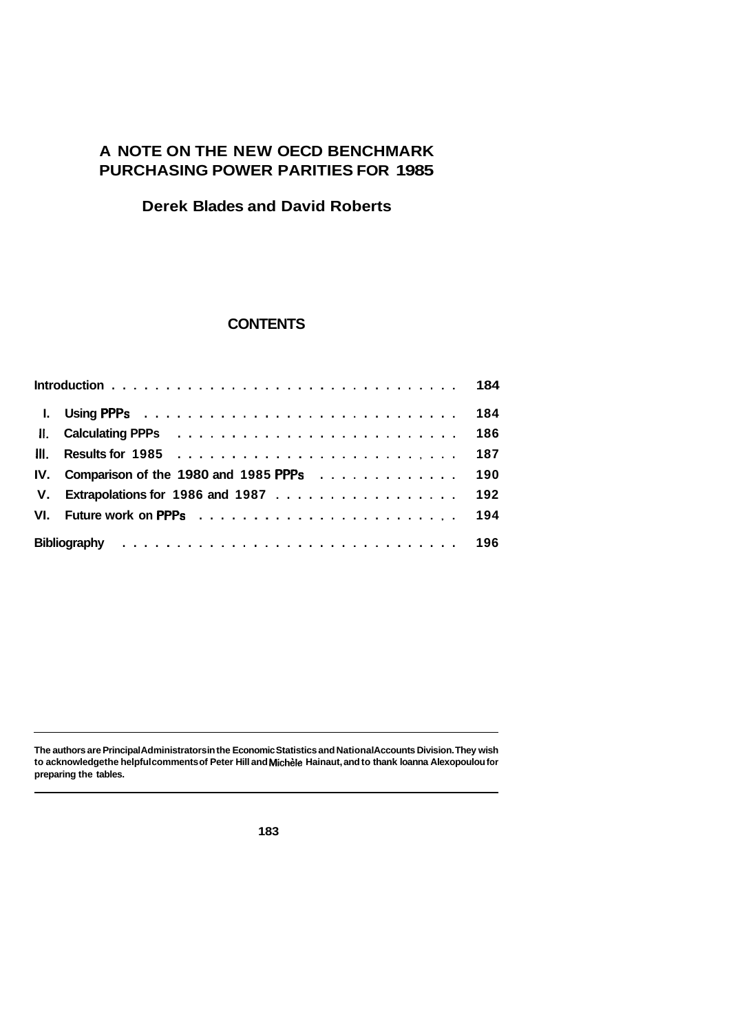# **A NOTE ON THE NEW OECD BENCHMARK PURCHASING POWER PARITIES FOR 1985**

## **Derek Blades and David Roberts**

## **CONTENTS**

|     |                                          | 186 |
|-----|------------------------------------------|-----|
| HI. |                                          | 187 |
|     | IV. Comparison of the 1980 and 1985 PPPs | 190 |
|     | V. Extrapolations for 1986 and 1987      | 192 |
| VL. |                                          |     |
|     |                                          |     |

**The authors are Principal Administrators in the Economic Statistics and National Accounts Division. They wish to acknowledge the helpful comments of Peter Hill and Michgle Hainaut, and to thank loanna Alexopoulou for preparing the tables.**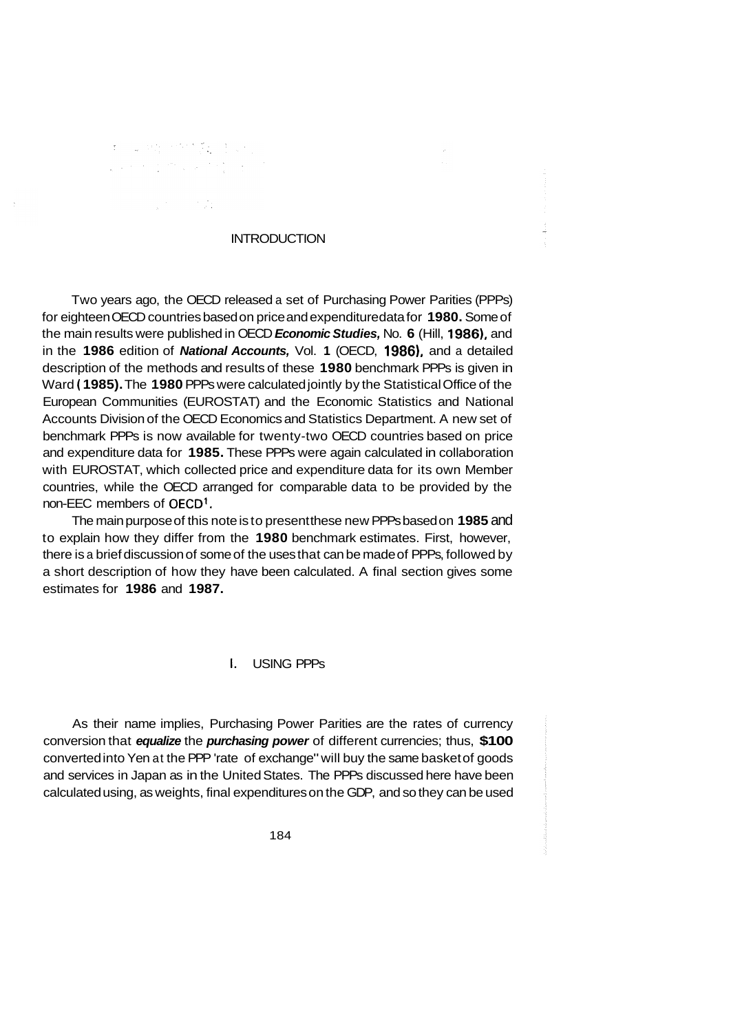# **如果我们的人类**

 $\label{eq:2.1} \frac{1}{\sqrt{2}}\left(\frac{1}{\sqrt{2}}\right)^{2} \left(\frac{1}{\sqrt{2}}\right)^{2} \left(\frac{1}{\sqrt{2}}\right)^{2} \left(\frac{1}{\sqrt{2}}\right)^{2} \left(\frac{1}{\sqrt{2}}\right)^{2} \left(\frac{1}{\sqrt{2}}\right)^{2} \left(\frac{1}{\sqrt{2}}\right)^{2} \left(\frac{1}{\sqrt{2}}\right)^{2} \left(\frac{1}{\sqrt{2}}\right)^{2} \left(\frac{1}{\sqrt{2}}\right)^{2} \left(\frac{1}{\sqrt{2}}\right)^{2} \left(\$ 

# **INTRODUCTION**

Two years ago, the OECD released a set of Purchasing Power Parities (PPPs) for eighteen OECD countries based on price and expenditure data for **1980.** Some of the main results were published in OECD **Economic Studies, No. 6 (Hill, 1986)**, and in the **1986** edition of **National Accounts,** Vol. **1** (OECD, **1986)**, and a detailed description of the methods and results of these **1980** benchmark PPPs is given in Ward ( **1985).** The **1980** PPPs were calculated jointly by the Statistical Office of the European Communities (EUROSTAT) and the Economic Statistics and National Accounts Division of the OECD Economics and Statistics Department. A new set of benchmark PPPs is now available for twenty-two OECD countries based on price and expenditure data for **1985.** These PPPs were again calculated in collaboration with EUROSTAT, which collected price and expenditure data for its own Member countries, while the OECD arranged for comparable data to be provided by the non-EEC members of OECD'.

The main purpose of this note is to present these new PPPs based on **1985** and to explain how they differ from the **1980** benchmark estimates. First, however, there is a brief discussion of some of the uses that can be made of PPPs, followed by a short description of how they have been calculated. A final section gives some estimates for **1986** and **1987.** 

#### **1.** USING PPPs

As their name implies, Purchasing Power Parities are the rates of currency conversion that *equalize* the *purchasing power* of different currencies; thus, **\$100**  converted into Yen at the PPP 'rate of exchange" will buy the same basket of goods and services in Japan as in the United States. The PPPs discussed here have been calculated using, as weights, final expenditures on the GDP, and so they can be used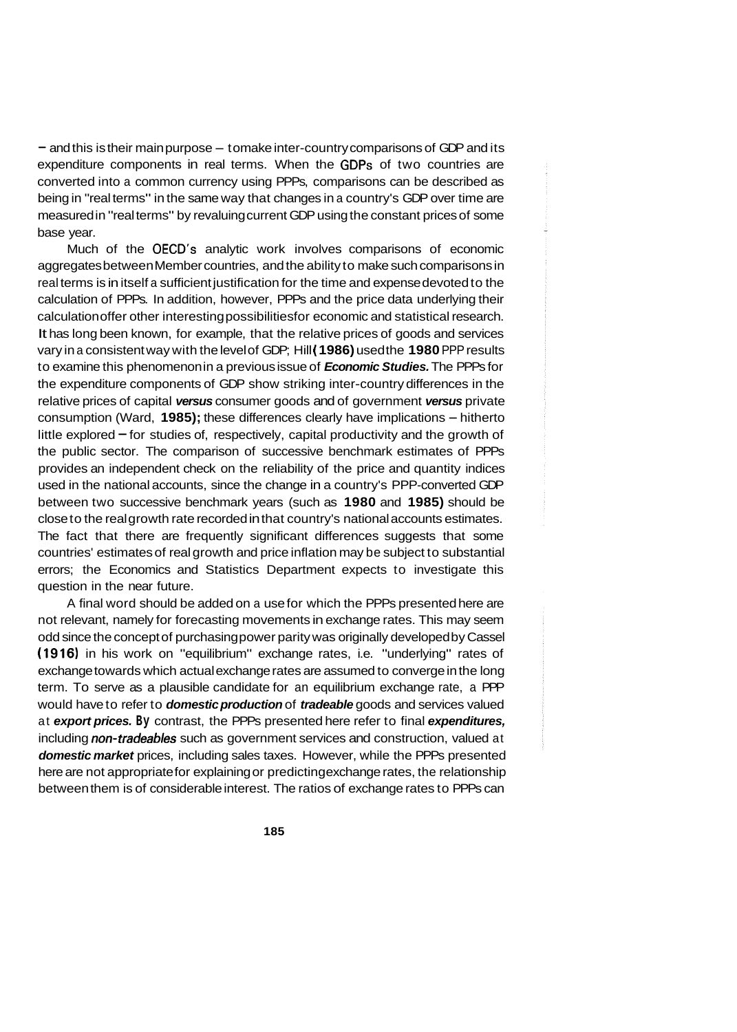$-$  and this is their main purpose  $-$  to make inter-country comparisons of GDP and its expenditure components in real terms. When the GDPs of two countries are converted into a common currency using PPPs, comparisons can be described as being in "real terms" in the same way that changes in a country's GDP over time are measured in "real terms" by revaluing current GDP using the constant prices of some base year.

Much of the OECD's analytic work involves comparisons of economic aggregates between Member countries, and the ability to make such comparisons in real terms is in itself a sufficient justification for the time and expense devoted to the calculation of PPPs. In addition, however, PPPs and the price data underlying their calculation offer other interesting possibilities for economic and statistical research. It has long been known, for example, that the relative prices of goods and services vary in a consistent way with the level of GDP; Hill ( **1986)** used the **1980** PPP results to examine this phenomenon in a previous issue of *Economic Studies.* The PPPs for the expenditure components of GDP show striking inter-country differences in the relative prices of capital *versus* consumer goods and of government *versus* private consumption (Ward, **1985);** these differences clearly have implications - hitherto little explored  $-$  for studies of, respectively, capital productivity and the growth of the public sector. The comparison of successive benchmark estimates of PPPs provides an independent check on the reliability of the price and quantity indices used in the national accounts, since the change in a country's PPP-converted GDP between two successive benchmark years (such as **1980** and **1985)** should be close to the real growth rate recorded in that country's national accounts estimates. The fact that there are frequently significant differences suggests that some countries' estimates of real growth and price inflation may be subject to substantial errors; the Economics and Statistics Department expects to investigate this question in the near future.

A final word should be added on a use for which the PPPs presented here are not relevant, namely for forecasting movements in exchange rates. This may seem odd since the concept of purchasing power parity was originally developed by Cassel **(1916)** in his work on "equilibrium" exchange rates, i.e. "underlying" rates of exchange towards which actual exchange rates are assumed to converge in the long term. To serve as a plausible candidate for an equilibrium exchange rate, a PPP would have to refer to *domestic production* of *tradeable* goods and services valued at *export prices.* **By** contrast, the PPPs presented here refer to final *expenditures,*  including *non-tradeables* such as government services and construction, valued at *domestic market* prices, including sales taxes. However, while the PPPs presented here are not appropriate for explaining or predicting exchange rates, the relationship between them is of considerable interest. The ratios of exchange rates to PPPs can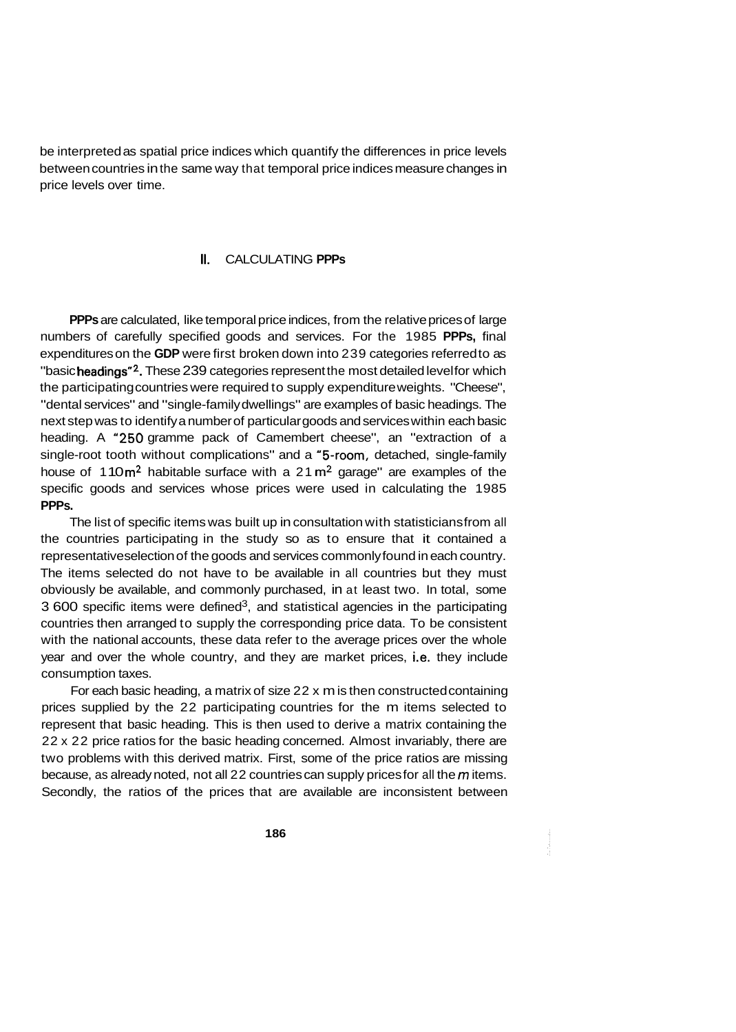be interpreted as spatial price indices which quantify the differences in price levels between countries in the same way that temporal price indices measure changes in price levels over time.

## **II.** CALCULATING **PPPs**

**PPPs** are calculated, like temporal price indices, from the relative prices of large numbers of carefully specified goods and services. For the 1985 **PPPs,** final expenditures on the **GDP** were first broken down into 239 categories referred to as "basic headings"<sup>2</sup>. These 239 categories represent the most detailed level for which the participating countries were required to supply expenditure weights. "Cheese", "dental services" and "single-family dwellings" are examples of basic headings. The next step was to identify a number of particular goods and services within each basic heading. A "250 gramme pack of Camembert cheese", an "extraction of a single-root tooth without complications" and a '5-room, detached, single-family house of 110 $\text{m}^2$  habitable surface with a 21 $\text{m}^2$  garage" are examples of the specific goods and services whose prices were used in calculating the 1985 **PPPs.** 

The list of specific items was built up in consultation with statisticians from all the countries participating in the study so as to ensure that it contained a representative selection of the goods and services commonly found in each country. The items selected do not have to be available in all countries but they must obviously be available, and commonly purchased, in at least two. In total, some  $3600$  specific items were defined<sup>3</sup>, and statistical agencies in the participating countries then arranged to supply the corresponding price data. To be consistent with the national accounts, these data refer to the average prices over the whole year and over the whole country, and they are market prices, i.e. they include consumption taxes.

For each basic heading, a matrix of size 22 x m is then constructed containing prices supplied by the 22 participating countries for the m items selected to represent that basic heading. This is then used to derive a matrix containing the 22 x 22 price ratios for the basic heading concerned. Almost invariably, there are two problems with this derived matrix. First, some of the price ratios are missing because, as already noted, not all 22 countries can supply prices for all the *m* items. Secondly, the ratios of the prices that are available are inconsistent between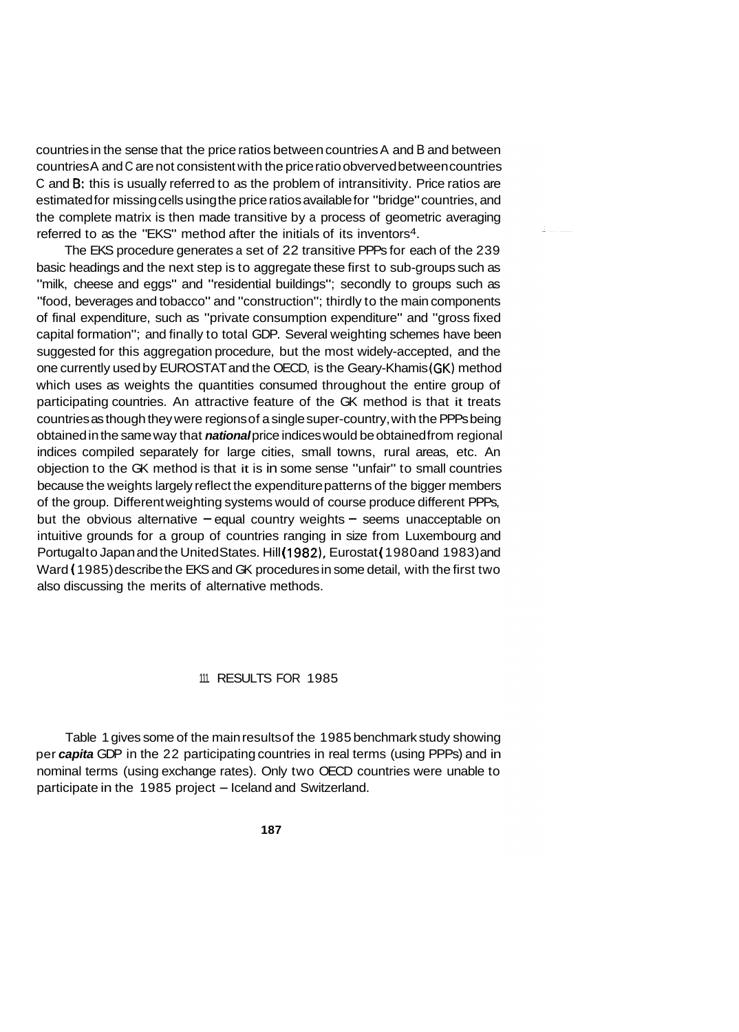countries in the sense that the price ratios between countries A and B and between countries A and C are not consistent with the price ratio obverved between countries C and **6:** this is usually referred to as the problem of intransitivity. Price ratios are estimated for missing cells using the price ratios available for "bridge" countries, and the complete matrix is then made transitive by a process of geometric averaging referred to as the "EKS" method after the initials of its inventors4.

The EKS procedure generates a set of 22 transitive PPPs for each of the 239 basic headings and the next step is to aggregate these first to sub-groups such as "milk, cheese and eggs" and "residential buildings"; secondly to groups such as "food, beverages and tobacco" and "construction"; thirdly to the main components of final expenditure, such as "private consumption expenditure" and "gross fixed capital formation"; and finally to total GDP. Several weighting schemes have been suggested for this aggregation procedure, but the most widely-accepted, and the one currently used by EUROSTAT and the OECD, is the Geary-Khamis (GK) method which uses as weights the quantities consumed throughout the entire group of participating countries. An attractive feature of the GK method is that it treats countries as though they were regions of a single super-country, with the PPPs being obtained in the same way that *national* price indices would be obtained from regional indices compiled separately for large cities, small towns, rural areas, etc. An objection to the GK method is that it is in some sense "unfair" to small countries because the weights largely reflect the expenditure patterns of the bigger members of the group. Different weighting systems would of course produce different PPPs, but the obvious alternative  $-e$  equal country weights  $-e$  seems unacceptable on intuitive grounds for a group of countries ranging in size from Luxembourg and Portugal to Japan and the United States. Hill (1982), Eurostat (1980 and 1983) and Ward ( 1985) describe the EKS and GK procedures in some detail, with the first two also discussing the merits of alternative methods.

### 111. RESULTS FOR 1985

Table 1 gives some of the main results of the 1985 benchmark study showing per *capita* GDP in the 22 participating countries in real terms (using PPPs) and in nominal terms (using exchange rates). Only two OECD countries were unable to participate in the 1985 project - Iceland and Switzerland.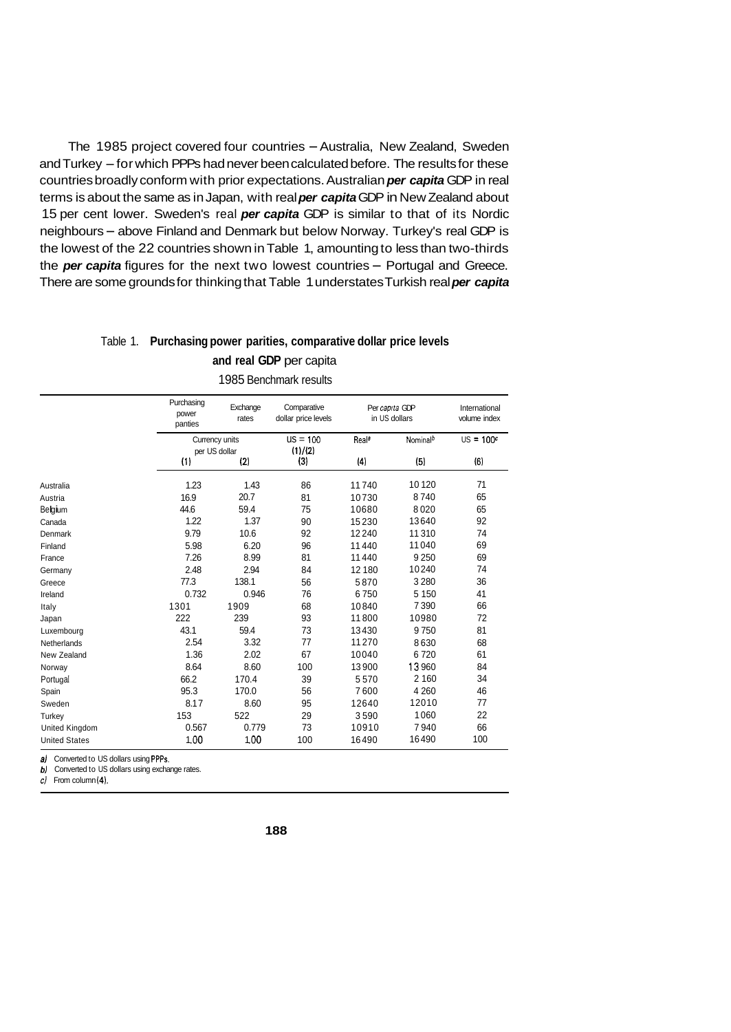The 1985 project covered four countries - Australia, New Zealand, Sweden and Turkey - for which PPPs had never been calculated before. The results for these countries broadly conform with prior expectations. Australian *per capita* GDP in real terms is about the same as in Japan, with real *per capita* GDP in New Zealand about 15 per cent lower. Sweden's real *per capita* GDP is similar to that of its Nordic neighbours - above Finland and Denmark but below Norway. Turkey's real GDP is the lowest of the 22 countries shown in Table 1, amounting to less than two-thirds the *per capita* figures for the next two lowest countries - Portugal and Greece. There are some grounds for thinking that Table 1 understates Turkish real *per capita* 

## Table 1. **Purchasing power parities, comparative dollar price levels and real GDP** per capita

|                       | Purchasing<br>power<br>panties  | Exchange<br>rates | Comparative<br>dollar price levels | Per capita GDP      | in US dollars        | International<br>volume index |
|-----------------------|---------------------------------|-------------------|------------------------------------|---------------------|----------------------|-------------------------------|
|                       | Currency units<br>per US dollar |                   | $US = 100$<br>(1)/(2)              | Real®               | Nominal <sup>b</sup> | $US = 100^c$                  |
|                       | (1)                             | (2)               | (3)                                | $\langle 4 \rangle$ | (5)                  | (6)                           |
| Australia             | 1.23                            | 1.43              | 86                                 | 11740               | 10120                | 71                            |
| Austria               | 16.9                            | 20.7              | 81                                 | 10730               | 8740                 | 65                            |
| Belgium               | 44.6                            | 59.4              | 75                                 | 10680               | 8020                 | 65                            |
| Canada                | 1.22                            | 1.37              | 90                                 | 15230               | 13640                | 92                            |
| Denmark               | 9.79                            | 10.6              | 92                                 | 12240               | 11310                | 74                            |
| Finland               | 5.98                            | 6.20              | 96                                 | 11440               | 11040                | 69                            |
| France                | 7.26                            | 8.99              | 81                                 | 11440               | 9 2 5 0              | 69                            |
| Germany               | 2.48                            | 2.94              | 84                                 | 12 180              | 10240                | 74                            |
| Greece                | 77.3                            | 138.1             | 56                                 | 5870                | 3 2 8 0              | 36                            |
| Ireland               | 0.732                           | 0.946             | 76                                 | 6750                | 5 1 5 0              | 41                            |
| Italy                 | 1301                            | 1909              | 68                                 | 10840               | 7390                 | 66                            |
| Japan                 | 222                             | 239               | 93                                 | 11800               | 10980                | 72                            |
| Luxembourg            | 43.1                            | 59.4              | 73                                 | 13430               | 9750                 | 81                            |
| Netherlands           | 2.54                            | 3.32              | 77                                 | 11270               | 8630                 | 68                            |
| New Zealand           | 1.36                            | 2.02              | 67                                 | 10040               | 6720                 | 61                            |
| Norway                | 8.64                            | 8.60              | 100                                | 13900               | 13960                | 84                            |
| Portugal              | 66.2                            | 170.4             | 39                                 | 5570                | 2 1 6 0              | 34                            |
| Spain                 | 95.3                            | 170.0             | 56                                 | 7600                | 4 2 6 0              | 46                            |
| Sweden                | 8.17                            | 8.60              | 95                                 | 12640               | 12010                | 77                            |
| Turkey                | 153                             | 522               | 29                                 | 3590                | 1060                 | 22                            |
| <b>United Kingdom</b> | 0.567                           | 0.779             | 73                                 | 10910               | 7940                 | 66                            |
| <b>United States</b>  | 1.00                            | 1.00              | 100                                | 16490               | 16490                | 100                           |

1985 Benchmark results

*a)* Converted to US dollars using PPPs.

*b* Converted to US dollars using exchange rates.

*cl* From column **(4).**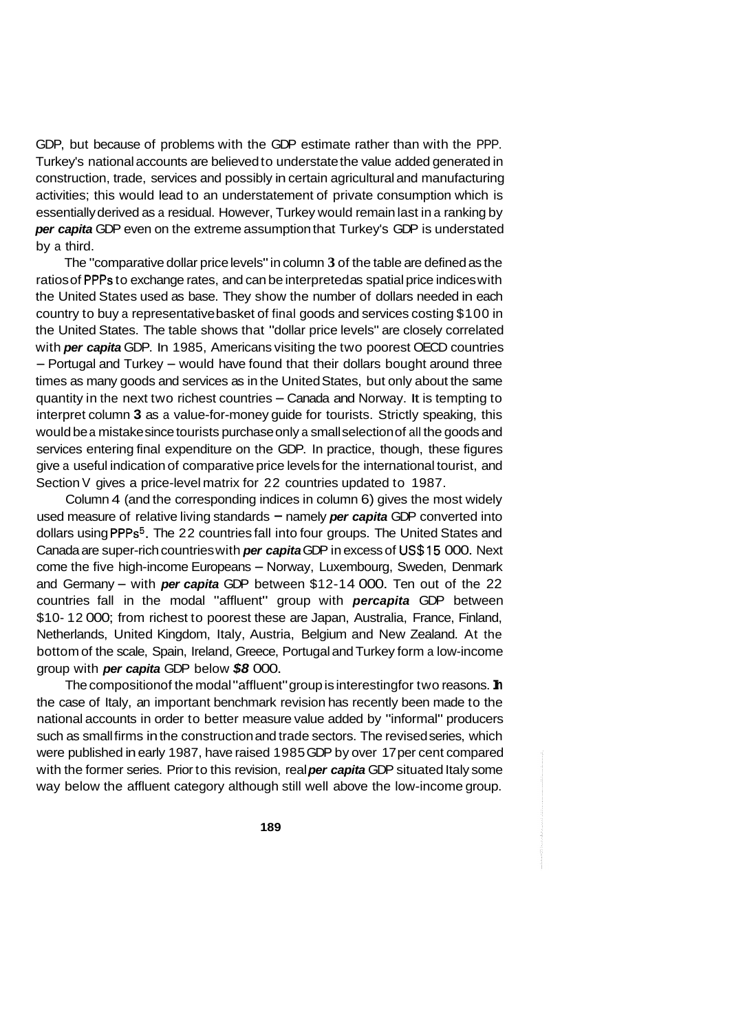GDP, but because of problems with the GDP estimate rather than with the PPP. Turkey's national accounts are believed to understate the value added generated in construction, trade, services and possibly in certain agricultural and manufacturing activities; this would lead to an understatement of private consumption which is essentially derived as a residual. However, Turkey would remain last in a ranking by *per capita* GDP even on the extreme assumption that Turkey's GDP is understated by a third.

The "comparative dollar price levels" in column **3** of the table are defined as the ratios of PPPs to exchange rates, and can be interpreted as spatial price indices with the United States used as base. They show the number of dollars needed in each country to buy a representative basket of final goods and services costing \$100 in the United States. The table shows that "dollar price levels" are closely correlated with *per capita* GDP. In 1985, Americans visiting the two poorest OECD countries - Portugal and Turkey - would have found that their dollars bought around three times as many goods and services as in the United States, but only about the same quantity in the next two richest countries – Canada and Norway. It is tempting to interpret column **3** as a value-for-money guide for tourists. Strictly speaking, this would be a mistake since tourists purchase only a small selection of all the goods and services entering final expenditure on the GDP. In practice, though, these figures give a useful indication of comparative price levels for the international tourist, and Section V gives a price-level matrix for 22 countries updated to 1987.

Column 4 (and the corresponding indices in column 6) gives the most widely used measure of relative living standards - namely *per capita* GDP converted into dollars using PPPs<sup>5</sup>. The 22 countries fall into four groups. The United States and Canada are super-rich countries with *per capita* GDP in excess of US\$15 000. Next come the five high-income Europeans - Norway, Luxembourg, Sweden, Denmark and Germany - with *per capita* GDP between \$12-1 4 000. Ten out of the 22 countries fall in the modal "affluent" group with *percapita* GDP between \$10- 12 000; from richest to poorest these are Japan, Australia, France, Finland, Netherlands, United Kingdom, Italy, Austria, Belgium and New Zealand. At the bottom of the scale, Spain, Ireland, Greece, Portugal and Turkey form a low-income group with *per capita* GDP below *\$8* 000.

The composition of the modal "affluent" group is interesting for two reasons. In the case of Italy, an important benchmark revision has recently been made to the national accounts in order to better measure value added by "informal" producers such as small firms in the construction and trade sectors. The revised series, which were published in early 1987, have raised 1985 GDP by over 17 per cent compared with the former series. Prior to this revision, real *per capita* GDP situated Italy some way below the affluent category although still well above the low-income group.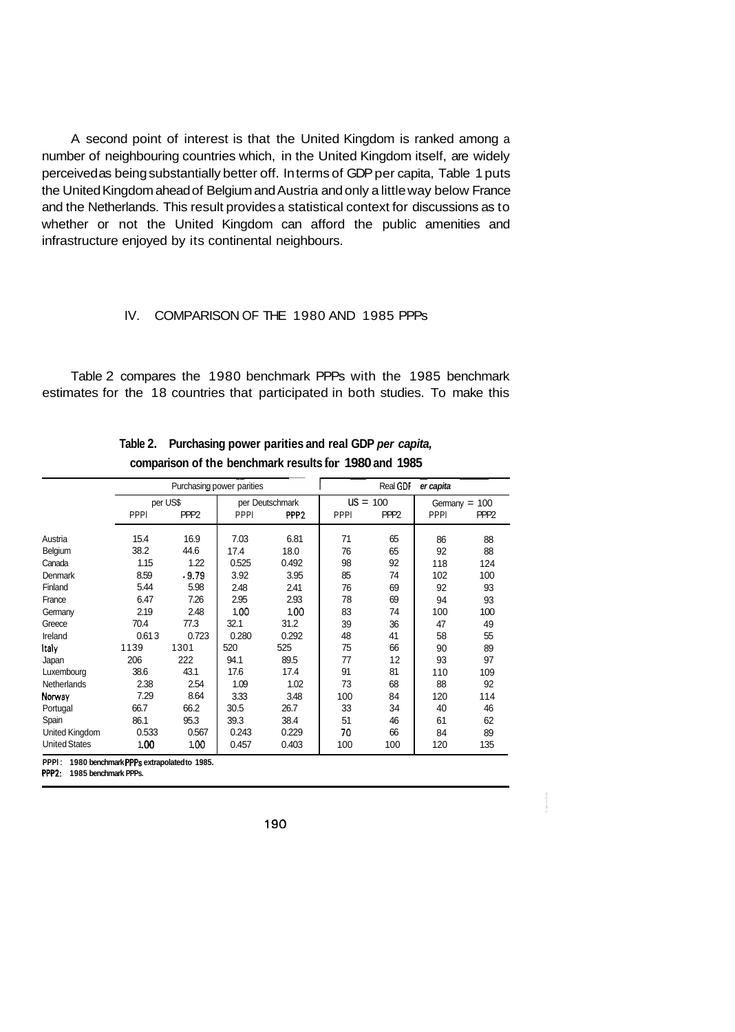A second point of interest is that the United Kingdom is ranked among a number of neighbouring countries which, in the United Kingdom itself, are widely perceived as being substantially better off. In terms of GDP per capita, Table 1 puts the United Kingdom ahead of Belgium and Austria and only a little way below France and the Netherlands. This result provides a statistical context for discussions as to whether or not the United Kingdom can afford the public amenities and infrastructure enjoyed by its continental neighbours.

### IV. COMPARISON OF THE 1980 AND 1985 PPPs

Table 2 compares the 1980 benchmark PPPs with the 1985 benchmark estimates for the 18 countries that participated in both studies. To make this

|                      |             |                  | Purchasing power parities |                  |             | Real GDF         | er capita   |                  |
|----------------------|-------------|------------------|---------------------------|------------------|-------------|------------------|-------------|------------------|
|                      |             | per US\$         |                           | per Deutschmark  |             | $US = 100$       |             | Germany $= 100$  |
|                      | <b>PPPI</b> | PPP <sub>2</sub> | <b>PPPI</b>               | PPP <sub>2</sub> | <b>PPPI</b> | PPP <sub>2</sub> | <b>PPPI</b> | PPP <sub>2</sub> |
| Austria              | 15.4        | 16.9             | 7.03                      | 6.81             | 71          | 65               | 86          | 88               |
| Belgium              | 38.2        | 44.6             | 17.4                      | 18.0             | 76          | 65               | 92          | 88               |
| Canada               | 1.15        | 1.22             | 0.525                     | 0.492            | 98          | 92               | 118         | 124              |
| Denmark              | 8.59        | .9.79            | 3.92                      | 3.95             | 85          | 74               | 102         | 100              |
| Finland              | 5.44        | 5.98             | 2.48                      | 2.41             | 76          | 69               | 92          | 93               |
| France               | 6.47        | 7.26             | 2.95                      | 2.93             | 78          | 69               | 94          | 93               |
| Germany              | 2.19        | 2.48             | 1.00                      | 1.00             | 83          | 74               | 100         | 100              |
| Greece               | 70.4        | 77.3             | 32.1                      | 31.2             | 39          | 36               | 47          | 49               |
| Ireland              | 0.613       | 0.723            | 0.280                     | 0.292            | 48          | 41               | 58          | 55               |
| Italv                | 1139        | 1301             | 520                       | 525              | 75          | 66               | 90          | 89               |
| Japan                | 206         | 222              | 94.1                      | 89.5             | 77          | 12               | 93          | 97               |
| Luxembourg           | 38.6        | 43.1             | 17.6                      | 17.4             | 91          | 81               | 110         | 109              |
| <b>Netherlands</b>   | 2.38        | 2.54             | 1.09                      | 1.02             | 73          | 68               | 88          | 92               |
| Norway               | 7.29        | 8.64             | 3.33                      | 3.48             | 100         | 84               | 120         | 114              |
| Portugal             | 66.7        | 66.2             | 30.5                      | 26.7             | 33          | 34               | 40          | 46               |
| Spain                | 86.1        | 95.3             | 39.3                      | 38.4             | 51          | 46               | 61          | 62               |
| United Kingdom       | 0.533       | 0.567            | 0.243                     | 0.229            | 70          | 66               | 84          | 89               |
| <b>United States</b> | 1.00        | 1.00             | 0.457                     | 0.403            | 100         | 100              | 120         | 135              |

**Table 2. Purchasing power parities and real GDP** *per capita,*  **comparison of the benchmark results for 1980 and 1985** 

PPP2: 1985 benchmark PPPs.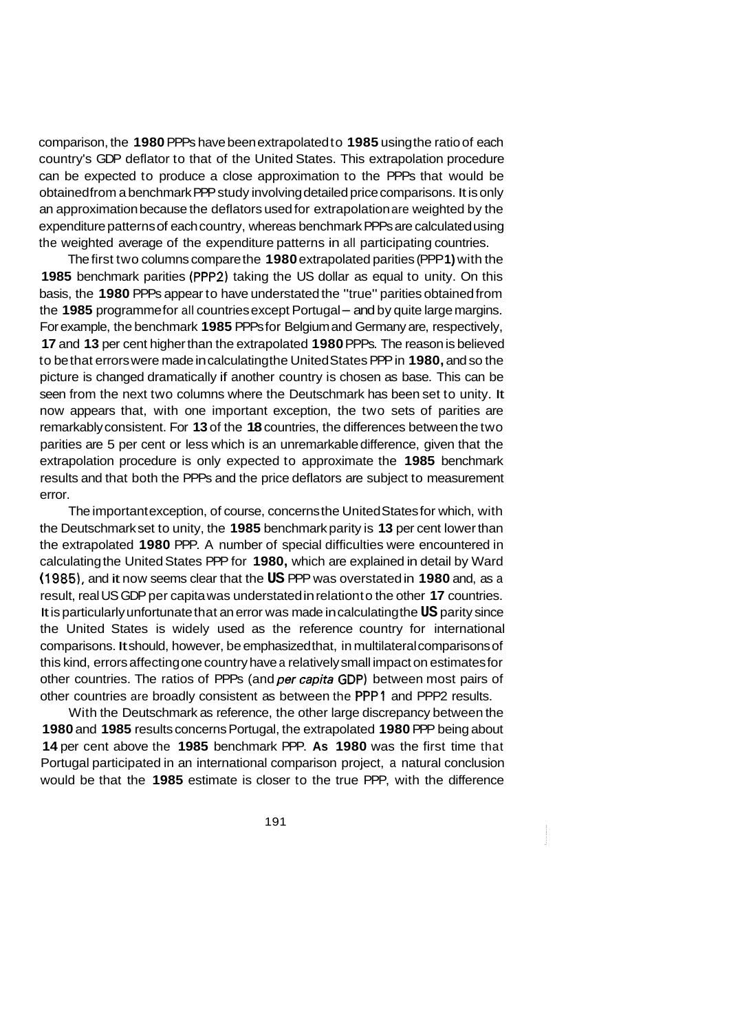comparison, the **1980** PPPs have been extrapolated to **1985** using the ratio of each country's GDP deflator to that of the United States. This extrapolation procedure can be expected to produce a close approximation to the PPPs that would be obtained from a benchmark PPP study involving detailed price comparisons. It is only an approximation because the deflators used for extrapolation are weighted by the expenditure patterns of each country, whereas benchmark PPPs are calculated using the weighted average of the expenditure patterns in all participating countries.

The first two columns compare the **1980** extrapolated parities (PPP **1)** with the **1985** benchmark parities (PPP2) taking the US dollar as equal to unity. On this basis, the **1980** PPPs appear to have understated the "true" parities obtained from the **1985** programme for all countries except Portugal - and by quite large margins. For example, the benchmark **1985** PPPs for Belgium and Germany are, respectively, **17** and **13** per cent higher than the extrapolated **1980** PPPs. The reason is believed to be that errors were made in calculating the United States PPP in **1980,** and so the picture is changed dramatically if another country is chosen as base. This can be seen from the next two columns where the Deutschmark has been set to unity. It now appears that, with one important exception, the two sets of parities are remarkably consistent. For **13** of the **18** countries, the differences between the two parities are 5 per cent or less which is an unremarkable difference, given that the extrapolation procedure is only expected to approximate the **1985** benchmark results and that both the PPPs and the price deflators are subject to measurement error.

The important exception, of course, concerns the United States for which, with the Deutschmark set to unity, the **1985** benchmark parity is **13** per cent lower than the extrapolated **1980** PPP. A number of special difficulties were encountered in calculating the United States PPP for **1980,** which are explained in detail by Ward ( **1985),** and it now seems clear that the **US** PPP was overstated in **1980** and, as a result, real US GDP per capita was understated in relation to the other **17** countries. It is particularly unfortunate that an error was made in calculating the **US** parity since the United States is widely used as the reference country for international comparisons. It should, however, be emphasized that, in multilateral comparisons of this kind, errors affecting one country have a relatively small impact on estimates for other countries. The ratios of PPPs (and *per capita* GDP) between most pairs of other countries are broadly consistent as between the **PPPl** and PPP2 results.

With the Deutschmark as reference, the other large discrepancy between the **1980** and **1985** results concerns Portugal, the extrapolated **1980** PPP being about **14** per cent above the **1985** benchmark PPP. **As 1980** was the first time that Portugal participated in an international comparison project, a natural conclusion would be that the **1985** estimate is closer to the true PPP, with the difference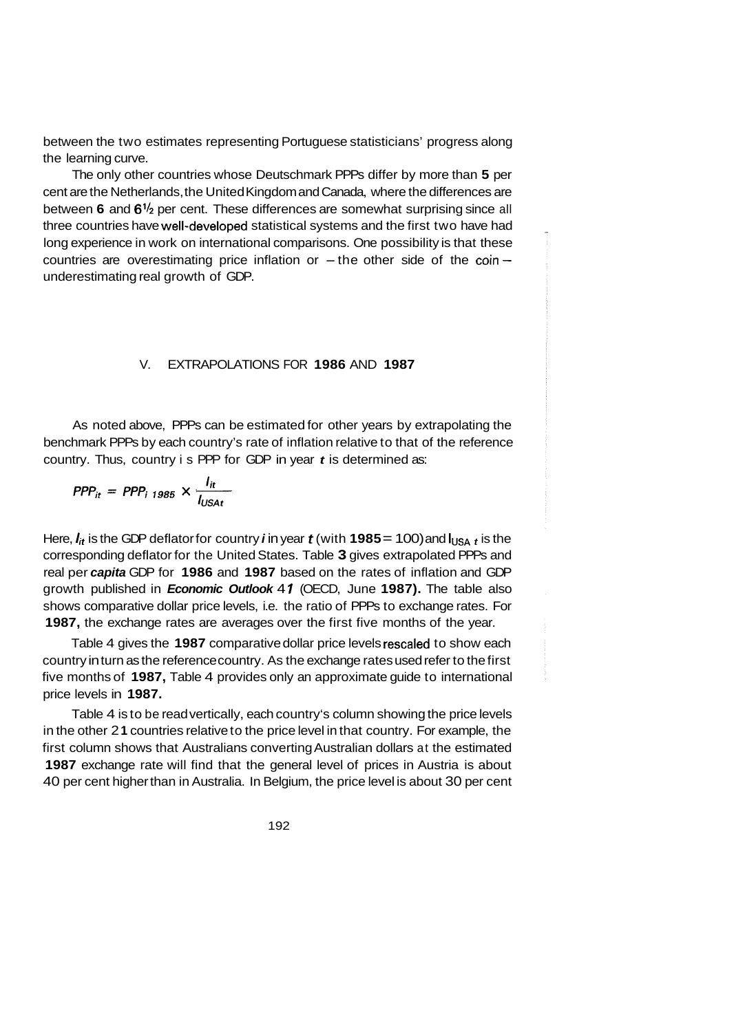between the two estimates representing Portuguese statisticians' progress along the learning curve.

The only other countries whose Deutschmark PPPs differ by more than **5** per cent are the Netherlands, the United Kingdom and Canada, where the differences are between **6** and **6'12** per cent. These differences are somewhat surprising since all three countries have well-developed statistical systems and the first two have had long experience in work on international comparisons. One possibility is that these countries are overestimating price inflation or  $-$  the other side of the coin $$ underestimating real growth of GDP.

### V. EXTRAPOLATIONS FOR **1986** AND **1987**

As noted above, PPPs can be estimated for other years by extrapolating the benchmark PPPs by each country's rate of inflation relative to that of the reference country. Thus, country is PPP for GDP in year *t* is determined as:

$$
PPP_{it} = PPP_{i 1985} \times \frac{I_{it}}{I_{USAt}}
$$

Here,  $I_{it}$  is the GDP deflator for country *i* in year *t* (with **1985** = 100) and  $I_{USA}$  *t* is the corresponding deflator for the United States. Table **3** gives extrapolated PPPs and real per *capita* GDP for **1986** and **1987** based on the rates of inflation and GDP growth published in *Economic Outlook* 4 *1* (OECD, June **1987).** The table also shows comparative dollar price levels, i.e. the ratio of PPPs to exchange rates. For **1987,** the exchange rates are averages over the first five months of the year.

Table 4 gives the **1987** comparative dollar price levels rescaled to show each country in turn as the reference country. As the exchange rates used refer to the first five months of **1987,** Table 4 provides only an approximate guide to international price levels in **1987.** 

Table 4 is to be read vertically, each country's column showing the price levels in the other 2 **1** countries relative to the price level in that country. For example, the first column shows that Australians converting Australian dollars at the estimated **1987** exchange rate will find that the general level of prices in Austria is about 40 per cent higher than in Australia. In Belgium, the price level is about 30 per cent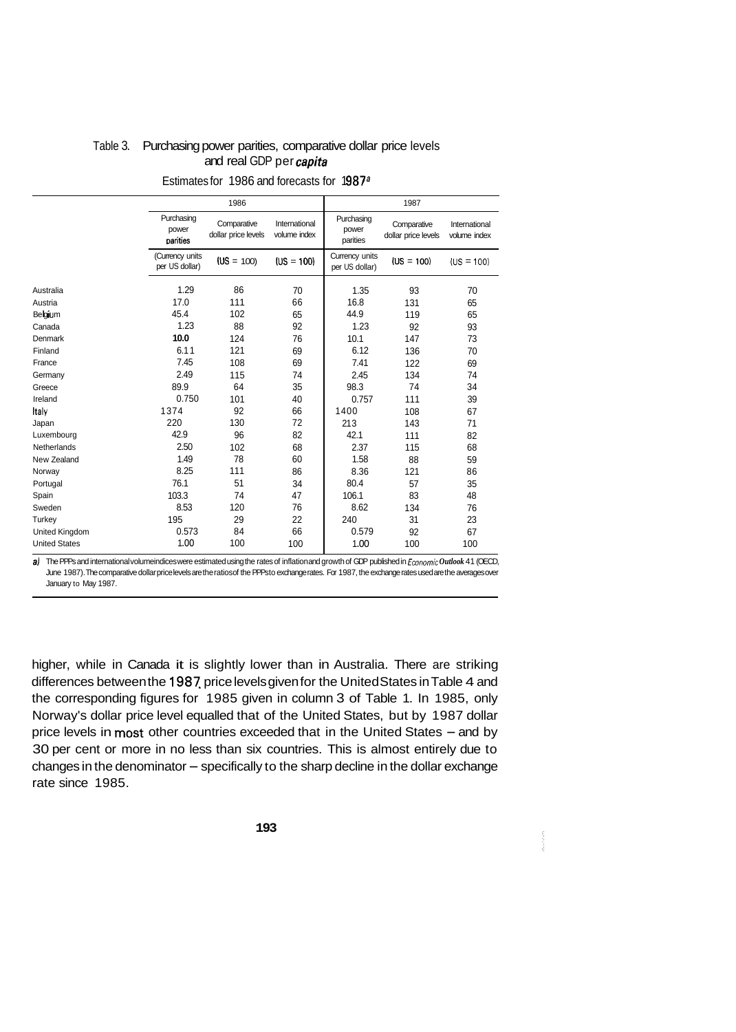|                       |                                   | 1986                               |                               |                                  | 1987                               |                               |  |  |  |  |
|-----------------------|-----------------------------------|------------------------------------|-------------------------------|----------------------------------|------------------------------------|-------------------------------|--|--|--|--|
|                       | Purchasing<br>power<br>parities   | Comparative<br>dollar price levels | International<br>volume index | Purchasing<br>power<br>parities  | Comparative<br>dollar price levels | International<br>volume index |  |  |  |  |
|                       | (Currency units<br>per US dollar) | $(US = 100)$                       | $(US = 100)$                  | Currency units<br>per US dollar) | $(US = 100)$                       | $(US = 100)$                  |  |  |  |  |
| Australia             | 1.29                              | 86                                 | 70                            | 1.35                             | 93                                 | 70                            |  |  |  |  |
| Austria               | 17.0                              | 111                                | 66                            | 16.8                             | 131                                | 65                            |  |  |  |  |
| Belgium               | 45.4                              | 102                                | 65                            | 44.9                             | 119                                | 65                            |  |  |  |  |
| Canada                | 1.23                              | 88                                 | 92                            | 1.23                             | 92                                 | 93                            |  |  |  |  |
| Denmark               | 10.0                              | 124                                | 76                            | 10.1                             | 147                                | 73                            |  |  |  |  |
| Finland               | 6.11                              | 121                                | 69                            | 6.12                             | 136                                | 70                            |  |  |  |  |
| France                | 7.45                              | 108                                | 69                            | 7.41                             | 122                                | 69                            |  |  |  |  |
| Germany               | 2.49                              | 115                                | 74                            | 2.45                             | 134                                | 74                            |  |  |  |  |
| Greece                | 89.9                              | 64                                 | 35                            | 98.3                             | 74                                 | 34                            |  |  |  |  |
| Ireland               | 0.750                             | 101                                | 40                            | 0.757                            | 111                                | 39                            |  |  |  |  |
| Italy                 | 1374                              | 92                                 | 66                            | 1400                             | 108                                | 67                            |  |  |  |  |
| Japan                 | 220                               | 130                                | 72                            | 213                              | 143                                | 71                            |  |  |  |  |
| Luxembourg            | 42.9                              | 96                                 | 82                            | 42.1                             | 111                                | 82                            |  |  |  |  |
| Netherlands           | 2.50                              | 102                                | 68                            | 2.37                             | 115                                | 68                            |  |  |  |  |
| New Zealand           | 1.49                              | 78                                 | 60                            | 1.58                             | 88                                 | 59                            |  |  |  |  |
| Norway                | 8.25                              | 111                                | 86                            | 8.36                             | 121                                | 86                            |  |  |  |  |
| Portugal              | 76.1                              | 51                                 | 34                            | 80.4                             | 57                                 | 35                            |  |  |  |  |
| Spain                 | 103.3                             | 74                                 | 47                            | 106.1                            | 83                                 | 48                            |  |  |  |  |
| Sweden                | 8.53                              | 120                                | 76                            | 8.62                             | 134                                | 76                            |  |  |  |  |
| Turkey                | 195                               | 29                                 | 22                            | 240                              | 31                                 | 23                            |  |  |  |  |
| <b>United Kingdom</b> | 0.573                             | 84                                 | 66                            | 0.579                            | 92                                 | 67                            |  |  |  |  |
| <b>United States</b>  | 1.00                              | 100                                | 100                           | 1.00                             | 100                                | 100                           |  |  |  |  |

## Table 3. Purchasing power parities, comparative dollar price levels and real GDP per *capita*

Estimates for 1986 and forecasts for 1987<sup>a</sup>

a) The PPPs and international volumeindices were estimated using the rates of inflation and growth of GDP published in Economic Outlook 41 (OECD, June 1987). The comparative dollar price levels are the ratios of the PPPs to exchange rates. For 1987, the exchange rates used are the averages over January to May 1987.

higher, while in Canada it is slightly lower than in Australia. There are striking differences between the 1987 price levels given for the United States in Table 4 and the corresponding figures for 1985 given in column 3 of Table 1. In 1985, only Norway's dollar price level equalled that of the United States, but by 1987 dollar price levels in most other countries exceeded that in the United States - and by 30 per cent or more in no less than six countries. This is almost entirely due to  $changes$  in the denominator  $-$  specifically to the sharp decline in the dollar exchange rate since 1985.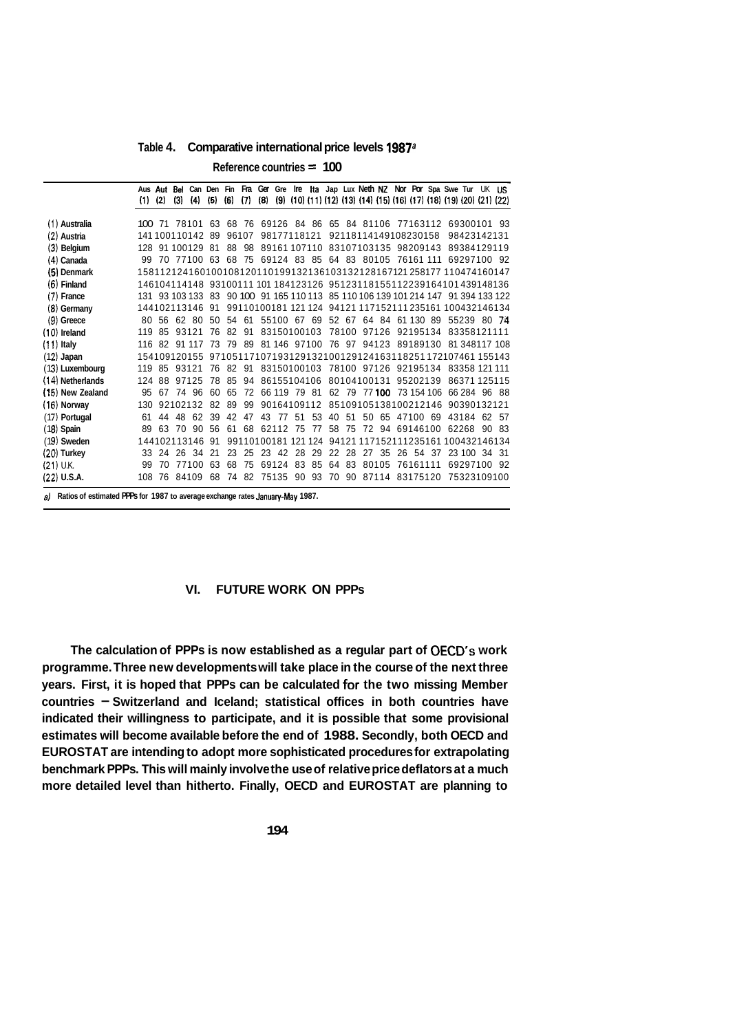**Table 4. Comparative international price levels 1987a** 

**Reference countries** = **100** 

|                                                                                  | (1) | (2)    | (3)      | (4)             | Aus Aut Bel Can Den Fin Fra Ger Gre Ire Ita Jap Lux Neth NZ Nor Por Spa Swe Tur UK US<br>(5) | (6) | (7)   | (8) |              |       |    |    |       |                                      |       |                |          |          |          | $(9)$ $(10)$ $(11)$ $(12)$ $(13)$ $(14)$ $(15)$ $(16)$ $(17)$ $(18)$ $(19)$ $(20)$ $(21)$ $(22)$ |      |
|----------------------------------------------------------------------------------|-----|--------|----------|-----------------|----------------------------------------------------------------------------------------------|-----|-------|-----|--------------|-------|----|----|-------|--------------------------------------|-------|----------------|----------|----------|----------|--------------------------------------------------------------------------------------------------|------|
| (1) Australia                                                                    |     | 100 71 |          | 78101           | 63                                                                                           |     | 68 76 |     |              |       |    |    |       | 69126 84 86 65 84 81106 77163112     |       |                |          |          |          | 69300101 93                                                                                      |      |
| (2) Austria                                                                      |     |        |          | 141100110142    | 89                                                                                           |     | 96107 |     | 98177118121  |       |    |    |       | 92118114149108230158                 |       |                |          |          |          | 98423142131                                                                                      |      |
| $(3)$ Belgium                                                                    | 128 |        |          | 91 100129 81    |                                                                                              | 88  | 98    |     |              |       |    |    |       | 89161 107110 83107103135 98209143    |       |                |          |          |          | 89384129119                                                                                      |      |
| (4) Canada                                                                       | 99  |        |          |                 | 70 77100 63                                                                                  | 68  |       |     |              |       |    |    |       | 75 69124 83 85 64 83 80105 76161 111 |       |                |          |          |          | 69297100 92                                                                                      |      |
| (5) Denmark                                                                      |     |        |          |                 | 158112124160100108120110199132136103132128167121258177 110474160147                          |     |       |     |              |       |    |    |       |                                      |       |                |          |          |          |                                                                                                  |      |
| $(6)$ Finland                                                                    |     |        |          |                 | 146104114148 93100111 101 184123126 95123118155112239164101439148136                         |     |       |     |              |       |    |    |       |                                      |       |                |          |          |          |                                                                                                  |      |
| $(7)$ France                                                                     |     |        |          |                 | 131 93 103 133 83 90 100 91 165 110 113 85 110 106 139 101 214 147 91 394 133 122            |     |       |     |              |       |    |    |       |                                      |       |                |          |          |          |                                                                                                  |      |
| (8) Germany                                                                      |     |        |          | 144102113146 91 |                                                                                              |     |       |     |              |       |    |    |       |                                      |       |                |          |          |          | 99110100181 121 124 94121 117152111 235161 100432146134                                          |      |
| $(9)$ Greece                                                                     | 80  | 56     |          | 62 80           | 50                                                                                           | 54  | 61    |     |              |       |    |    |       |                                      |       |                |          |          |          | 55100 67 69 52 67 64 84 61 130 89 55239 80 74                                                    |      |
| $(10)$ Ireland                                                                   | 119 | 85     |          | 93121           | 76                                                                                           | 82  | 91    |     | 83150100103  |       |    |    |       |                                      |       |                |          |          |          | 78100 97126 92195134 83358121111                                                                 |      |
| $(11)$ Italy                                                                     | 116 |        |          |                 | 82 91 117 73                                                                                 | 79  |       |     |              |       |    |    |       |                                      |       |                |          |          |          | 89 81 146 97100 76 97 94123 89189130 81 348117 108                                               |      |
| $(12)$ Japan                                                                     |     |        |          | 154109120155    |                                                                                              |     |       |     |              |       |    |    |       |                                      |       |                |          |          |          | 97105117107193129132100129124163118251172107461155143                                            |      |
| (13) Luxembourg                                                                  | 119 | 85     |          | 93121           | 76                                                                                           | 82  | 91    |     |              |       |    |    |       |                                      |       |                |          |          |          | 83150100103 78100 97126 92195134 83358 121 111                                                   |      |
| (14) Netherlands                                                                 | 124 |        | 88 97125 |                 | 78                                                                                           | 85  | 94    |     |              |       |    |    |       | 86155104106 80104100131 95202139     |       |                |          |          |          | 86371 125115                                                                                     |      |
| (15) New Zealand                                                                 | 95  | 67     |          | 74 96           | 60                                                                                           | 65  | 72    |     | 66 119 79 81 |       |    |    |       | 62 79 77 100                         |       |                |          |          |          | 73 154 106 66 284 96 88                                                                          |      |
| $(16)$ Norway                                                                    | 130 |        |          | 92102132        | 82                                                                                           | 89  | 99    |     | 90164109112  |       |    |    |       |                                      |       |                |          |          |          | 85109105138100212146 90390132121                                                                 |      |
| (17) Portugal                                                                    | 61  | 44     | 48       | 62              | 39                                                                                           | 42  | 47    | 43  |              | 77 51 | 53 | 40 | 51    |                                      | 50 65 |                |          | 47100 69 | 43184 62 |                                                                                                  | - 57 |
| $(18)$ Spain                                                                     | 89  | 63     | 70       | 90              | 56                                                                                           | 61  |       |     | 68 62112 75  |       | 77 | 58 | -75   |                                      |       | 72 94 69146100 |          |          | 62268    | 90 83                                                                                            |      |
| $(19)$ Sweden                                                                    |     |        |          | 144102113146    | -91                                                                                          |     |       |     |              |       |    |    |       |                                      |       |                |          |          |          | 99110100181 121 124 94121 117152111235161 100432146134                                           |      |
| $(20)$ Turkey                                                                    | 33  | 24     | 26       | -34             | 21                                                                                           | 23  | 25    |     | 23 42        | 28    | 29 |    | 22 28 |                                      | 27 35 |                |          | 26 54 37 |          | 23 100 34 31                                                                                     |      |
| $(21)$ U.K.                                                                      | 99  | 70     |          | 77100           | 63                                                                                           | 68  | 75    |     | 69124        | 83    | 85 | 64 | 83    |                                      | 80105 |                | 76161111 |          |          | 69297100 92                                                                                      |      |
| $(22)$ U.S.A.                                                                    | 108 | 76     |          | 84109           | 68                                                                                           | 74  | 82    |     | 75135 90 93  |       |    | 70 |       | 90 87114 83175120                    |       |                |          |          |          | 75323109100                                                                                      |      |
| a) Ratios of estimated PPPs for 1987 to average exchange rates January-May 1987. |     |        |          |                 |                                                                                              |     |       |     |              |       |    |    |       |                                      |       |                |          |          |          |                                                                                                  |      |

## **VI. FUTURE WORK ON PPPs**

**The calculation of PPPs is now established as a regular part of OECD's work programme. Three new developments will take place in the course of the next three years. First, it is hoped that PPPs can be calculated for the two missing Member countries** - **Switzerland and Iceland; statistical offices in both countries have indicated their willingness to participate, and it is possible that some provisional estimates will become available before the end of 1988. Secondly, both OECD and EUROSTAT are intending to adopt more sophisticated procedures for extrapolating benchmark PPPs. This will mainly involve the use of relative price deflators at a much more detailed level than hitherto. Finally, OECD and EUROSTAT are planning to**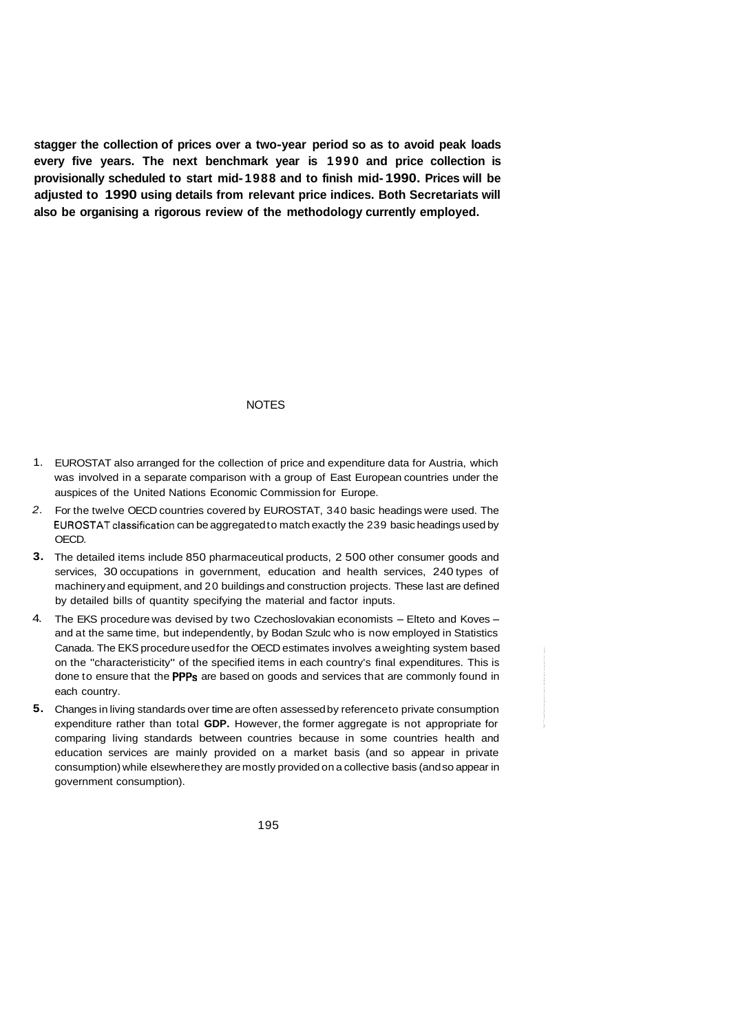**stagger the collection of prices over a two-year period so as to avoid peak loads every five years. The next benchmark year is 1990 and price collection is provisionally scheduled to start mid- 1988 and to finish mid- 1990. Prices will be adjusted to 1990 using details from relevant price indices. Both Secretariats will also be organising a rigorous review of the methodology currently employed.** 

#### NOTES

- 1. EUROSTAT also arranged for the collection of price and expenditure data for Austria, which was involved in a separate comparison with a group of East European countries under the auspices of the United Nations Economic Commission for Europe.
- *2.*  For the twelve OECD countries covered by EUROSTAT, 340 basic headings were used. The EUROSTAT classification can be aggregated to match exactly the 239 basic headings used by OECD.
- **3.**  The detailed items include 850 pharmaceutical products, 2 500 other consumer goods and services, 30 occupations in government, education and health services, 240 types of machinery and equipment, and 20 buildings and construction projects. These last are defined by detailed bills of quantity specifying the material and factor inputs.
- 4. The EKS procedure was devised by two Czechoslovakian economists Elteto and Koves and at the same time, but independently, by Bodan Szulc who is now employed in Statistics Canada. The EKS procedure used for the OECD estimates involves a weighting system based on the "characteristicity" of the specified items in each country's final expenditures. This is done to ensure that the **PPPs** are based on goods and services that are commonly found in each country.
- **5.**  Changes in living standards over time are often assessed by reference to private consumption expenditure rather than total **GDP.** However, the former aggregate is not appropriate for comparing living standards between countries because in some countries health and education services are mainly provided on a market basis (and so appear in private consumption) while elsewhere they are mostly provided on a collective basis (and so appear in government consumption).
	- 195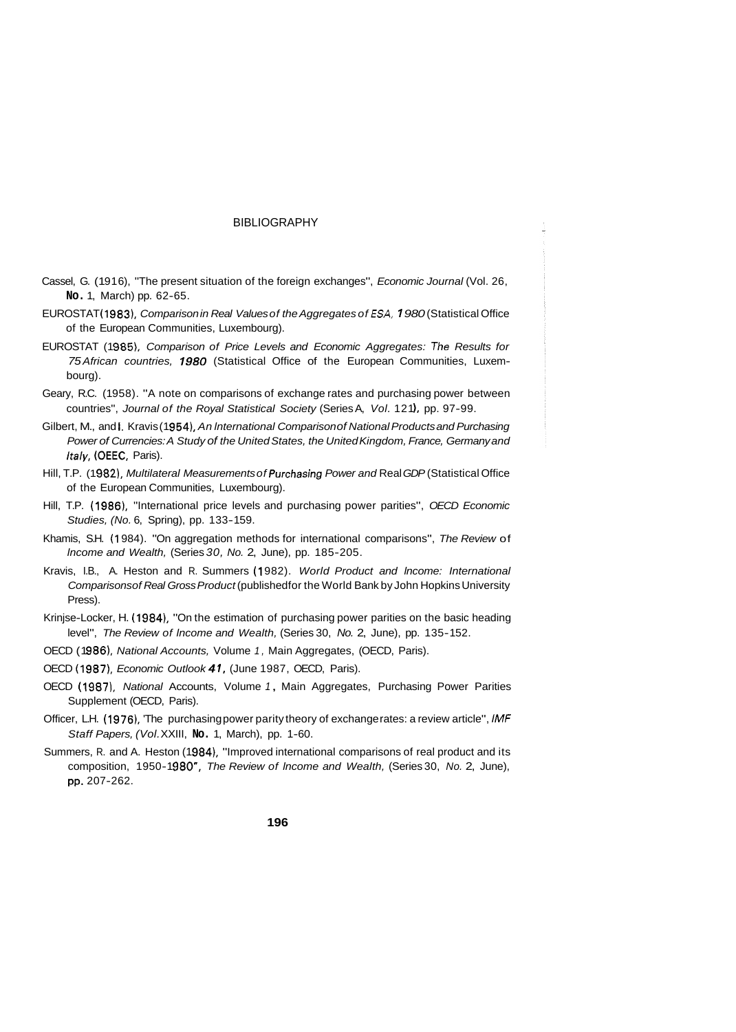#### BIBLIOGRAPHY

- Cassel, G. (1916), "The present situation of the foreign exchanges", *Economic Journal* (Vol. 26, **No.** 1, March) pp. 62-65.
- EUROSTAT (1 9831, *Comparison in Real Values of the Aggregates of €SA,* **7** *980* (Statistical Office of the European Communities, Luxembourg).
- EUROSTAT (1985), *Comparison of Price Levels and Economic Aggregates: The Results for 75 African countries,* **7** *980* (Statistical Office of the European Communities, Luxembourg).
- Geary, R.C. (1958). "A note on comparisons of exchange rates and purchasing power between countries", *Journal of the Royal Statistical Society* (Series A, Vol. 121), pp. 97-99.
- Gilbert, M., and **j**. *Kravis* (1954), *An International Comparison of National Products and Purchasing Power of Currencies: A Study of the United States, the United Kingdom, France, Germany and Italy,* (OEEC, Paris).
- Hill, T.P. (1 982). *Multilateral Measurements of* Purchasing *Power and* Real *GDP* (Statistical Office of the European Communities, Luxembourg).
- Hill, T.P. **(1** 986). "International price levels and purchasing power parities", *OECD Economic Studies, (No. 6, Spring), pp. 133-159.*
- Khamis, S.H. (1 984). "On aggregation methods for international comparisons", *The Review* of *lncome and Wealth,* (Series *30, No.* 2, June), pp. 185-205.
- Kravis, I.B., A. Heston and R. Summers (1 982). *World Product and lncome: International Comparisons of Real Gross Product* (published for the World Bank by John Hopkins University Press).
- Krinjse-Locker, H. (1984), "On the estimation of purchasing power parities on the basic heading level", *The Review of Income and Wealth,* (Series 30, No. 2, June), pp. 135-152.
- OECD (1986), *National Accounts*, Volume 1, Main Aggregates, (OECD, Paris).
- OECD (1 9871, *Economic Outlook 41,* (June 1987, OECD, Paris).
- OECD (1987), National Accounts, Volume 1, Main Aggregates, Purchasing Power Parities Supplement (OECD, Paris).
- Officer, L.H. (1976), The purchasing power parity theory of exchange rates: a review article", *IMF Staff Papers, (Vol.* XXIII, **No.** 1, March), pp. 1-60.
- Summers, R. and A. Heston (1984), "Improved international comparisons of real product and its composition, 1950-1 980", *The Review of lncome and Wealth,* (Series 30, *No.* 2, June), pp. 207-262.